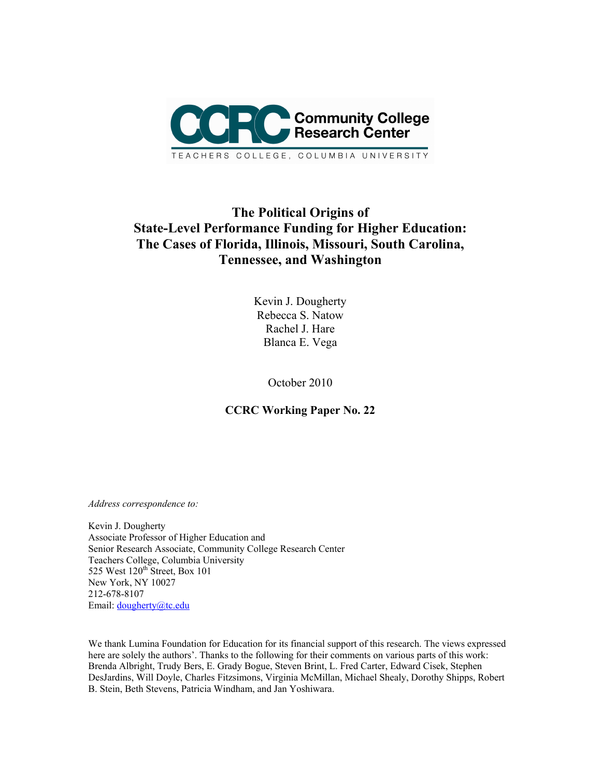

# **The Political Origins of State-Level Performance Funding for Higher Education: The Cases of Florida, Illinois, Missouri, South Carolina, Tennessee, and Washington**

Kevin J. Dougherty Rebecca S. Natow Rachel J. Hare Blanca E. Vega

October 2010

**CCRC Working Paper No. 22** 

*Address correspondence to:* 

Kevin J. Dougherty Associate Professor of Higher Education and Senior Research Associate, Community College Research Center Teachers College, Columbia University 525 West 120<sup>th</sup> Street, Box 101 New York, NY 10027 212-678-8107 Email: dougherty@tc.edu

We thank Lumina Foundation for Education for its financial support of this research. The views expressed here are solely the authors'. Thanks to the following for their comments on various parts of this work: Brenda Albright, Trudy Bers, E. Grady Bogue, Steven Brint, L. Fred Carter, Edward Cisek, Stephen DesJardins, Will Doyle, Charles Fitzsimons, Virginia McMillan, Michael Shealy, Dorothy Shipps, Robert B. Stein, Beth Stevens, Patricia Windham, and Jan Yoshiwara.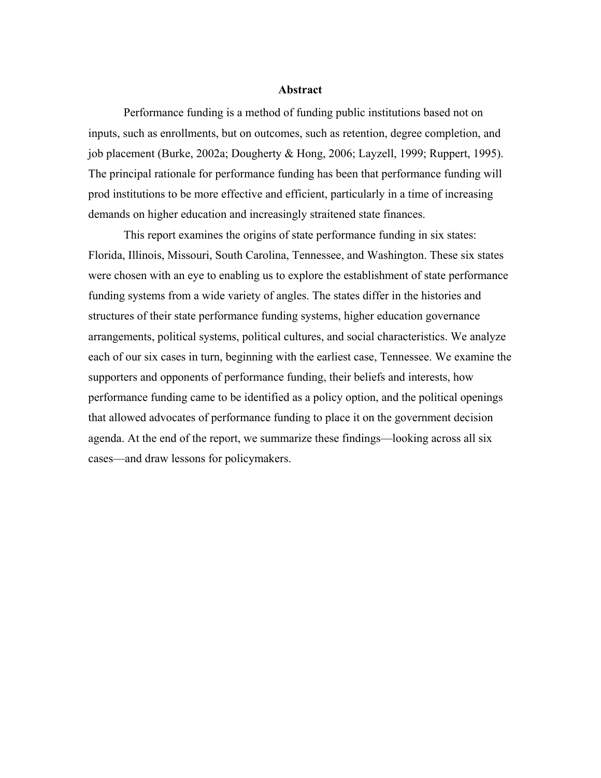#### **Abstract**

Performance funding is a method of funding public institutions based not on inputs, such as enrollments, but on outcomes, such as retention, degree completion, and job placement (Burke, 2002a; Dougherty & Hong, 2006; Layzell, 1999; Ruppert, 1995). The principal rationale for performance funding has been that performance funding will prod institutions to be more effective and efficient, particularly in a time of increasing demands on higher education and increasingly straitened state finances.

This report examines the origins of state performance funding in six states: Florida, Illinois, Missouri, South Carolina, Tennessee, and Washington. These six states were chosen with an eye to enabling us to explore the establishment of state performance funding systems from a wide variety of angles. The states differ in the histories and structures of their state performance funding systems, higher education governance arrangements, political systems, political cultures, and social characteristics. We analyze each of our six cases in turn, beginning with the earliest case, Tennessee. We examine the supporters and opponents of performance funding, their beliefs and interests, how performance funding came to be identified as a policy option, and the political openings that allowed advocates of performance funding to place it on the government decision agenda. At the end of the report, we summarize these findings—looking across all six cases—and draw lessons for policymakers.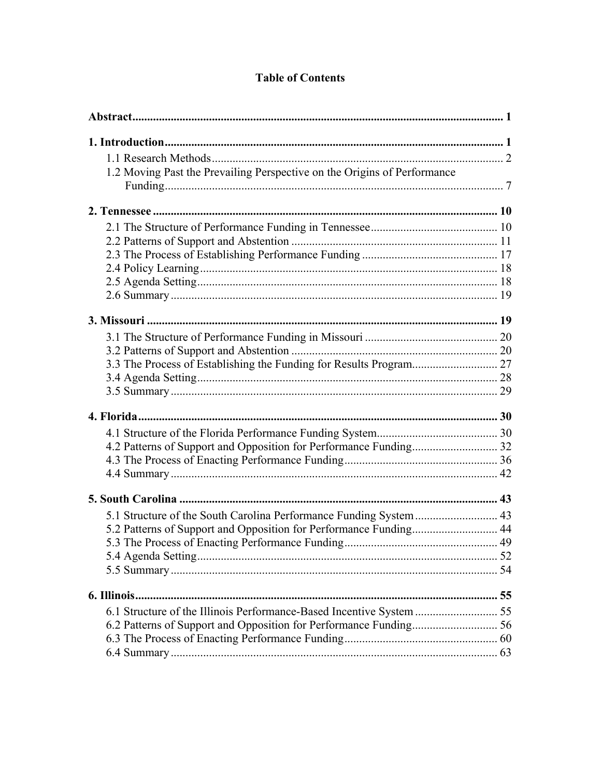# **Table of Contents**

| 1.2 Moving Past the Prevailing Perspective on the Origins of Performance |  |
|--------------------------------------------------------------------------|--|
|                                                                          |  |
|                                                                          |  |
|                                                                          |  |
|                                                                          |  |
|                                                                          |  |
|                                                                          |  |
|                                                                          |  |
|                                                                          |  |
|                                                                          |  |
|                                                                          |  |
|                                                                          |  |
|                                                                          |  |
|                                                                          |  |
|                                                                          |  |
|                                                                          |  |
|                                                                          |  |
|                                                                          |  |
|                                                                          |  |
|                                                                          |  |
|                                                                          |  |
| 5.1 Structure of the South Carolina Performance Funding System  43       |  |
|                                                                          |  |
|                                                                          |  |
|                                                                          |  |
|                                                                          |  |
|                                                                          |  |
|                                                                          |  |
|                                                                          |  |
|                                                                          |  |
|                                                                          |  |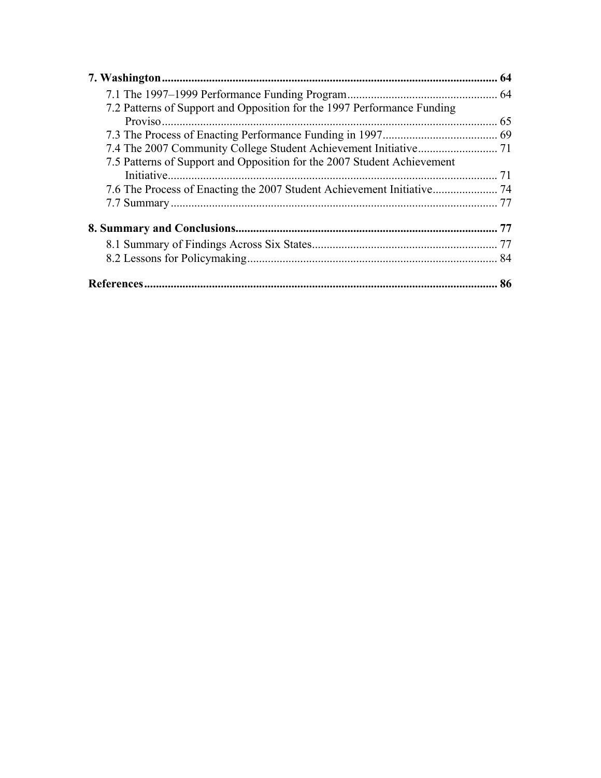|                                                                                        | 64  |
|----------------------------------------------------------------------------------------|-----|
|                                                                                        |     |
| 7.2 Patterns of Support and Opposition for the 1997 Performance Funding                |     |
|                                                                                        |     |
|                                                                                        |     |
|                                                                                        |     |
| 7.5 Patterns of Support and Opposition for the 2007 Student Achievement<br>Initiative. |     |
|                                                                                        |     |
|                                                                                        |     |
|                                                                                        |     |
|                                                                                        |     |
|                                                                                        | -84 |
|                                                                                        | 86  |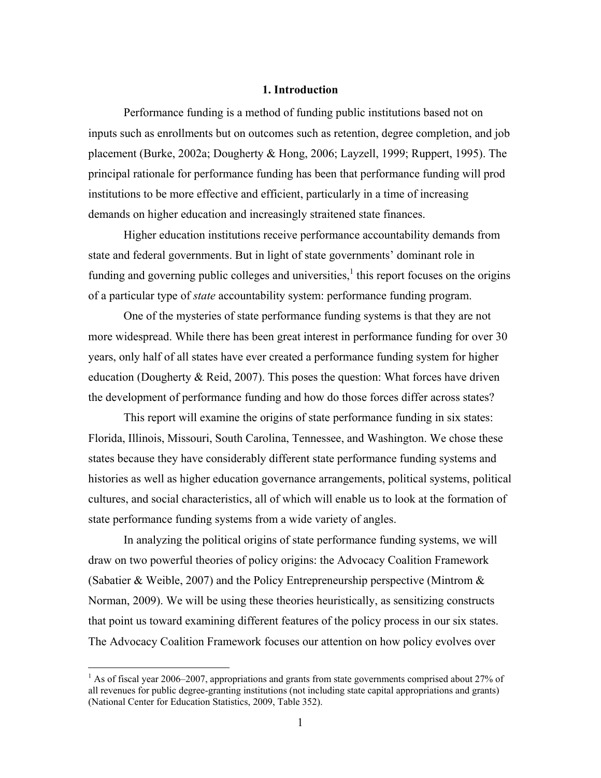## **1. Introduction**

Performance funding is a method of funding public institutions based not on inputs such as enrollments but on outcomes such as retention, degree completion, and job placement (Burke, 2002a; Dougherty & Hong, 2006; Layzell, 1999; Ruppert, 1995). The principal rationale for performance funding has been that performance funding will prod institutions to be more effective and efficient, particularly in a time of increasing demands on higher education and increasingly straitened state finances.

 Higher education institutions receive performance accountability demands from state and federal governments. But in light of state governments' dominant role in funding and governing public colleges and universities, $<sup>1</sup>$  this report focuses on the origins</sup> of a particular type of *state* accountability system: performance funding program.

 One of the mysteries of state performance funding systems is that they are not more widespread. While there has been great interest in performance funding for over 30 years, only half of all states have ever created a performance funding system for higher education (Dougherty & Reid, 2007). This poses the question: What forces have driven the development of performance funding and how do those forces differ across states?

 This report will examine the origins of state performance funding in six states: Florida, Illinois, Missouri, South Carolina, Tennessee, and Washington. We chose these states because they have considerably different state performance funding systems and histories as well as higher education governance arrangements, political systems, political cultures, and social characteristics, all of which will enable us to look at the formation of state performance funding systems from a wide variety of angles.

 In analyzing the political origins of state performance funding systems, we will draw on two powerful theories of policy origins: the Advocacy Coalition Framework (Sabatier & Weible, 2007) and the Policy Entrepreneurship perspective (Mintrom & Norman, 2009). We will be using these theories heuristically, as sensitizing constructs that point us toward examining different features of the policy process in our six states. The Advocacy Coalition Framework focuses our attention on how policy evolves over

 $\overline{a}$ 

 $<sup>1</sup>$  As of fiscal year 2006–2007, appropriations and grants from state governments comprised about 27% of</sup> all revenues for public degree-granting institutions (not including state capital appropriations and grants) (National Center for Education Statistics, 2009, Table 352).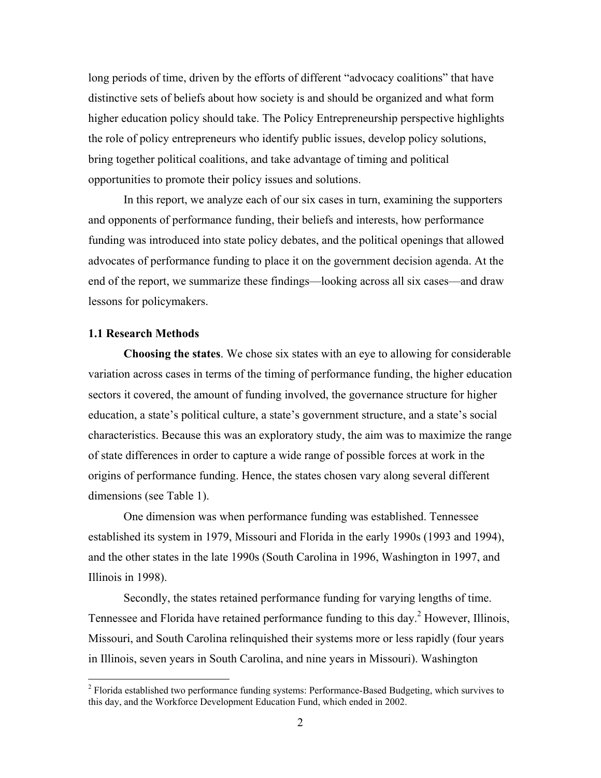long periods of time, driven by the efforts of different "advocacy coalitions" that have distinctive sets of beliefs about how society is and should be organized and what form higher education policy should take. The Policy Entrepreneurship perspective highlights the role of policy entrepreneurs who identify public issues, develop policy solutions, bring together political coalitions, and take advantage of timing and political opportunities to promote their policy issues and solutions.

 In this report, we analyze each of our six cases in turn, examining the supporters and opponents of performance funding, their beliefs and interests, how performance funding was introduced into state policy debates, and the political openings that allowed advocates of performance funding to place it on the government decision agenda. At the end of the report, we summarize these findings—looking across all six cases—and draw lessons for policymakers.

#### **1.1 Research Methods**

**Choosing the states**. We chose six states with an eye to allowing for considerable variation across cases in terms of the timing of performance funding, the higher education sectors it covered, the amount of funding involved, the governance structure for higher education, a state's political culture, a state's government structure, and a state's social characteristics. Because this was an exploratory study, the aim was to maximize the range of state differences in order to capture a wide range of possible forces at work in the origins of performance funding. Hence, the states chosen vary along several different dimensions (see Table 1).

 One dimension was when performance funding was established. Tennessee established its system in 1979, Missouri and Florida in the early 1990s (1993 and 1994), and the other states in the late 1990s (South Carolina in 1996, Washington in 1997, and Illinois in 1998).

 Secondly, the states retained performance funding for varying lengths of time. Tennessee and Florida have retained performance funding to this day.<sup>2</sup> However, Illinois, Missouri, and South Carolina relinquished their systems more or less rapidly (four years in Illinois, seven years in South Carolina, and nine years in Missouri). Washington

<sup>&</sup>lt;sup>2</sup> Florida established two performance funding systems: Performance-Based Budgeting, which survives to this day, and the Workforce Development Education Fund, which ended in 2002.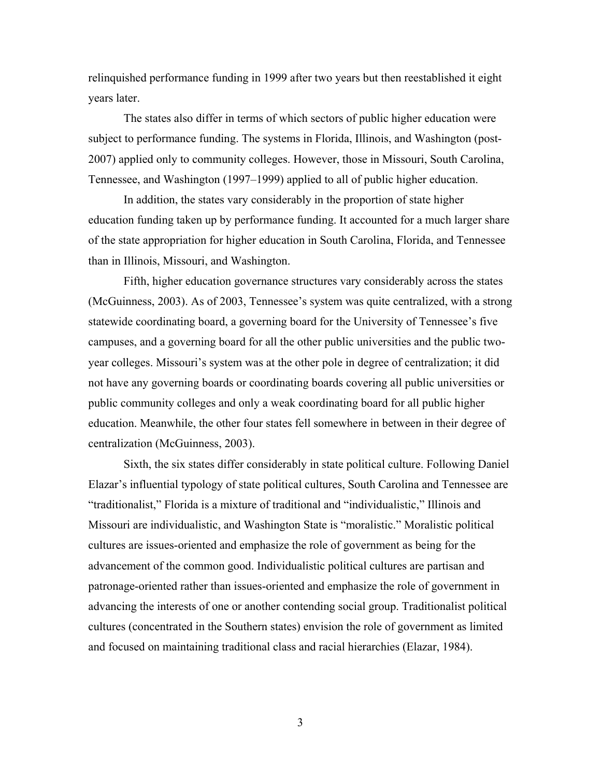relinquished performance funding in 1999 after two years but then reestablished it eight years later.

 The states also differ in terms of which sectors of public higher education were subject to performance funding. The systems in Florida, Illinois, and Washington (post-2007) applied only to community colleges. However, those in Missouri, South Carolina, Tennessee, and Washington (1997–1999) applied to all of public higher education.

 In addition, the states vary considerably in the proportion of state higher education funding taken up by performance funding. It accounted for a much larger share of the state appropriation for higher education in South Carolina, Florida, and Tennessee than in Illinois, Missouri, and Washington.

 Fifth, higher education governance structures vary considerably across the states (McGuinness, 2003). As of 2003, Tennessee's system was quite centralized, with a strong statewide coordinating board, a governing board for the University of Tennessee's five campuses, and a governing board for all the other public universities and the public twoyear colleges. Missouri's system was at the other pole in degree of centralization; it did not have any governing boards or coordinating boards covering all public universities or public community colleges and only a weak coordinating board for all public higher education. Meanwhile, the other four states fell somewhere in between in their degree of centralization (McGuinness, 2003).

 Sixth, the six states differ considerably in state political culture. Following Daniel Elazar's influential typology of state political cultures, South Carolina and Tennessee are "traditionalist," Florida is a mixture of traditional and "individualistic," Illinois and Missouri are individualistic, and Washington State is "moralistic." Moralistic political cultures are issues-oriented and emphasize the role of government as being for the advancement of the common good. Individualistic political cultures are partisan and patronage-oriented rather than issues-oriented and emphasize the role of government in advancing the interests of one or another contending social group. Traditionalist political cultures (concentrated in the Southern states) envision the role of government as limited and focused on maintaining traditional class and racial hierarchies (Elazar, 1984).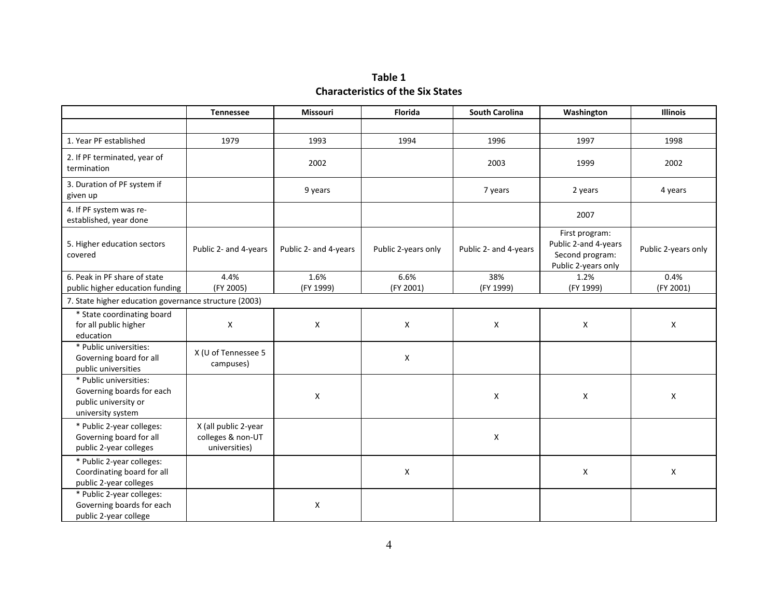# **Table 1 Characteristics of the Six States**

|                                                                                                  | <b>Tennessee</b>                                           | <b>Missouri</b>       | Florida             | <b>South Carolina</b>                                                                                     | <b>Illinois</b> |                     |
|--------------------------------------------------------------------------------------------------|------------------------------------------------------------|-----------------------|---------------------|-----------------------------------------------------------------------------------------------------------|-----------------|---------------------|
|                                                                                                  |                                                            |                       |                     |                                                                                                           |                 |                     |
| 1. Year PF established                                                                           | 1979                                                       | 1993                  | 1994                | 1996                                                                                                      | 1997            | 1998                |
| 2. If PF terminated, year of<br>termination                                                      |                                                            | 2002                  |                     | 2003                                                                                                      | 1999            | 2002                |
| 3. Duration of PF system if<br>given up                                                          |                                                            | 9 years               |                     | 7 years                                                                                                   | 2 years         | 4 years             |
| 4. If PF system was re-<br>established, year done                                                |                                                            |                       |                     | 2007                                                                                                      |                 |                     |
| 5. Higher education sectors<br>covered                                                           | Public 2- and 4-years                                      | Public 2- and 4-years | Public 2-years only | First program:<br>Public 2-and 4-years<br>Public 2- and 4-years<br>Second program:<br>Public 2-years only |                 | Public 2-years only |
| 6. Peak in PF share of state                                                                     | 4.4%                                                       | 1.6%                  | 6.6%                | 38%<br>1.2%                                                                                               |                 | 0.4%                |
| public higher education funding                                                                  | (FY 2005)                                                  | (FY 1999)             | (FY 2001)           | (FY 1999)                                                                                                 | (FY 1999)       | (FY 2001)           |
| 7. State higher education governance structure (2003)                                            |                                                            |                       |                     |                                                                                                           |                 |                     |
| * State coordinating board<br>for all public higher<br>education                                 | X                                                          | X                     | X                   | X                                                                                                         | X               | X                   |
| * Public universities:<br>Governing board for all<br>public universities                         | X (U of Tennessee 5<br>campuses)                           |                       | X                   |                                                                                                           |                 |                     |
| * Public universities:<br>Governing boards for each<br>public university or<br>university system |                                                            | X                     |                     | X                                                                                                         | X               | X                   |
| * Public 2-year colleges:<br>Governing board for all<br>public 2-year colleges                   | X (all public 2-year<br>colleges & non-UT<br>universities) |                       |                     | X                                                                                                         |                 |                     |
| * Public 2-year colleges:<br>Coordinating board for all<br>public 2-year colleges                |                                                            |                       | X                   |                                                                                                           | X               | X                   |
| * Public 2-year colleges:<br>Governing boards for each<br>public 2-year college                  |                                                            | X                     |                     |                                                                                                           |                 |                     |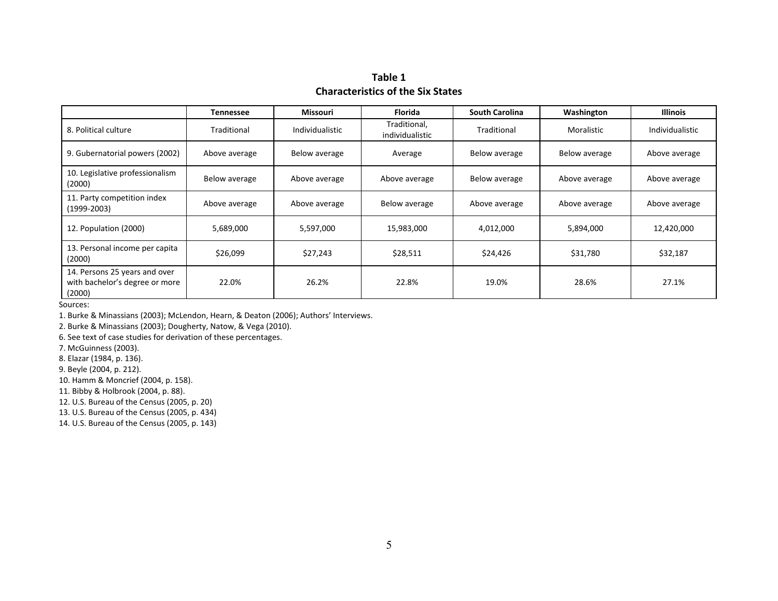# **Table 1Characteristics of the Six States**

|                                                                           | Tennessee     | <b>Missouri</b> | <b>Florida</b>                  | <b>South Carolina</b>          | Washington    | <b>Illinois</b> |  |
|---------------------------------------------------------------------------|---------------|-----------------|---------------------------------|--------------------------------|---------------|-----------------|--|
| 8. Political culture                                                      | Traditional   | Individualistic | Traditional,<br>individualistic | Traditional                    | Moralistic    | Individualistic |  |
| 9. Gubernatorial powers (2002)                                            | Above average | Below average   | Average                         | Below average<br>Below average |               | Above average   |  |
| 10. Legislative professionalism<br>(2000)                                 | Below average | Above average   | Above average                   | Below average                  | Above average | Above average   |  |
| 11. Party competition index<br>(1999-2003)                                | Above average | Above average   | Below average                   | Above average                  | Above average | Above average   |  |
| 12. Population (2000)                                                     | 5,689,000     | 5,597,000       | 15,983,000                      | 4,012,000                      | 5,894,000     | 12,420,000      |  |
| 13. Personal income per capita<br>(2000)                                  | \$26,099      | \$27,243        | \$28,511                        | \$24,426                       | \$31,780      | \$32,187        |  |
| 14. Persons 25 years and over<br>with bachelor's degree or more<br>(2000) | 22.0%         | 26.2%           | 22.8%                           | 19.0%                          | 28.6%         | 27.1%           |  |

Sources:

1. Burke & Minassians (2003); McLendon, Hearn, & Deaton (2006); Authors' Interviews.

2. Burke & Minassians (2003); Dougherty, Natow, & Vega (2010).

6. See text of case studies for derivation of these percentages.

7. McGuinness (2003).

8. Elazar (1984, p. 136).

9. Beyle (2004, p. 212).

10. Hamm & Moncrief (2004, p. 158).

11. Bibby & Holbrook (2004, p. 88).

12. U.S. Bureau of the Census (2005, p. 20)

13. U.S. Bureau of the Census (2005, p. 434)

14. U.S. Bureau of the Census (2005, p. 143)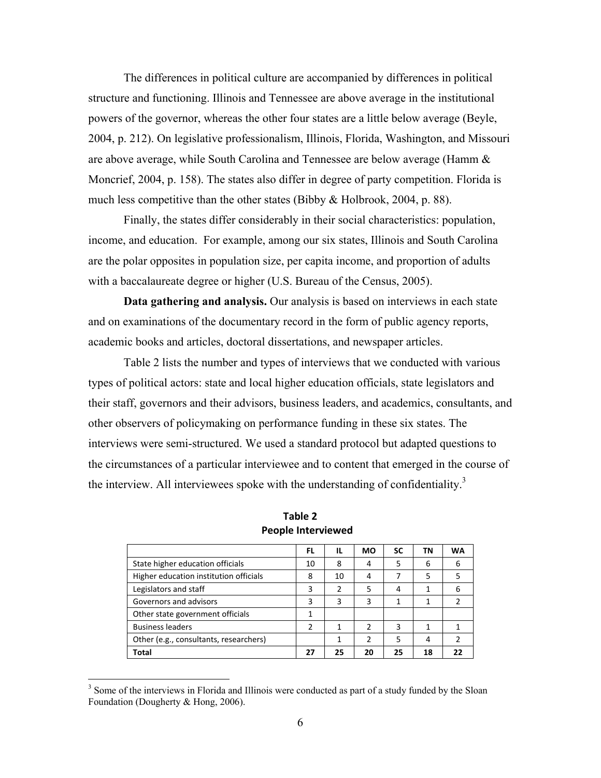The differences in political culture are accompanied by differences in political structure and functioning. Illinois and Tennessee are above average in the institutional powers of the governor, whereas the other four states are a little below average (Beyle, 2004, p. 212). On legislative professionalism, Illinois, Florida, Washington, and Missouri are above average, while South Carolina and Tennessee are below average (Hamm & Moncrief, 2004, p. 158). The states also differ in degree of party competition. Florida is much less competitive than the other states (Bibby & Holbrook, 2004, p. 88).

 Finally, the states differ considerably in their social characteristics: population, income, and education. For example, among our six states, Illinois and South Carolina are the polar opposites in population size, per capita income, and proportion of adults with a baccalaureate degree or higher (U.S. Bureau of the Census, 2005).

**Data gathering and analysis.** Our analysis is based on interviews in each state and on examinations of the documentary record in the form of public agency reports, academic books and articles, doctoral dissertations, and newspaper articles.

 Table 2 lists the number and types of interviews that we conducted with various types of political actors: state and local higher education officials, state legislators and their staff, governors and their advisors, business leaders, and academics, consultants, and other observers of policymaking on performance funding in these six states. The interviews were semi-structured. We used a standard protocol but adapted questions to the circumstances of a particular interviewee and to content that emerged in the course of the interview. All interviewees spoke with the understanding of confidentiality.<sup>3</sup>

|                                        | FL. | IL | MO            | SC | ΤN | WA |
|----------------------------------------|-----|----|---------------|----|----|----|
| State higher education officials       | 10  | 8  | 4             | 5  | 6  | 6  |
| Higher education institution officials | 8   | 10 | 4             |    | 5  |    |
| Legislators and staff                  | 3   | 2  | 5             | 4  |    | 6  |
| Governors and advisors                 | 3   | 3  | 3             |    |    |    |
| Other state government officials       |     |    |               |    |    |    |
| <b>Business leaders</b>                | 2   |    | $\mathfrak z$ | 3  |    |    |
| Other (e.g., consultants, researchers) |     |    | $\mathfrak z$ | 5  |    |    |
| Total                                  | 27  | 25 | 20            | 25 | 18 |    |

**Table 2 People Interviewed**

 $\overline{a}$ 

<sup>&</sup>lt;sup>3</sup> Some of the interviews in Florida and Illinois were conducted as part of a study funded by the Sloan Foundation (Dougherty & Hong, 2006).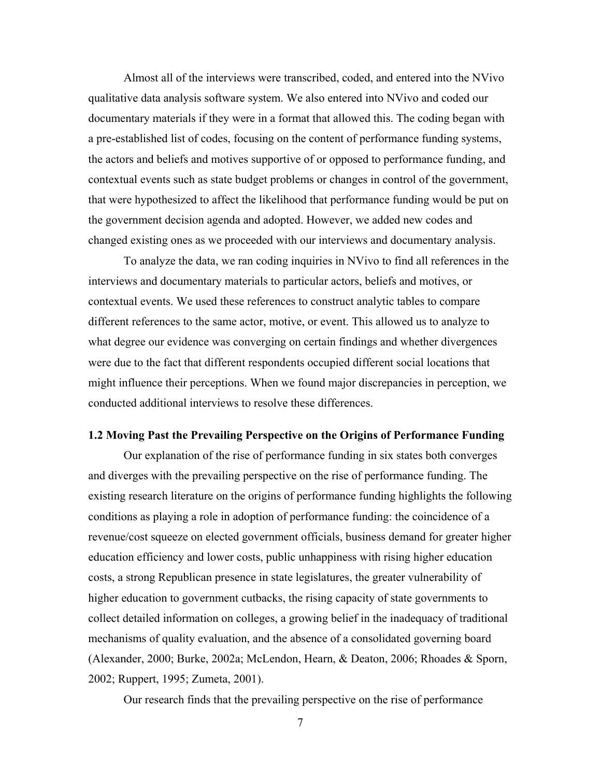Almost all of the interviews were transcribed, coded, and entered into the NVivo qualitative data analysis software system. We also entered into NVivo and coded our documentary materials if they were in a format that allowed this. The coding began with a pre-established list of codes, focusing on the content of performance funding systems, the actors and beliefs and motives supportive of or opposed to performance funding, and contextual events such as state budget problems or changes in control of the government, that were hypothesized to affect the likelihood that performance funding would be put on the government decision agenda and adopted. However, we added new codes and changed existing ones as we proceeded with our interviews and documentary analysis.

 To analyze the data, we ran coding inquiries in NVivo to find all references in the interviews and documentary materials to particular actors, beliefs and motives, or contextual events. We used these references to construct analytic tables to compare different references to the same actor, motive, or event. This allowed us to analyze to what degree our evidence was converging on certain findings and whether divergences were due to the fact that different respondents occupied different social locations that might influence their perceptions. When we found major discrepancies in perception, we conducted additional interviews to resolve these differences.

### **1.2 Moving Past the Prevailing Perspective on the Origins of Performance Funding**

 Our explanation of the rise of performance funding in six states both converges and diverges with the prevailing perspective on the rise of performance funding. The existing research literature on the origins of performance funding highlights the following conditions as playing a role in adoption of performance funding: the coincidence of a revenue/cost squeeze on elected government officials, business demand for greater higher education efficiency and lower costs, public unhappiness with rising higher education costs, a strong Republican presence in state legislatures, the greater vulnerability of higher education to government cutbacks, the rising capacity of state governments to collect detailed information on colleges, a growing belief in the inadequacy of traditional mechanisms of quality evaluation, and the absence of a consolidated governing board (Alexander, 2000; Burke, 2002a; McLendon, Hearn, & Deaton, 2006; Rhoades & Sporn, 2002; Ruppert, 1995; Zumeta, 2001).

Our research finds that the prevailing perspective on the rise of performance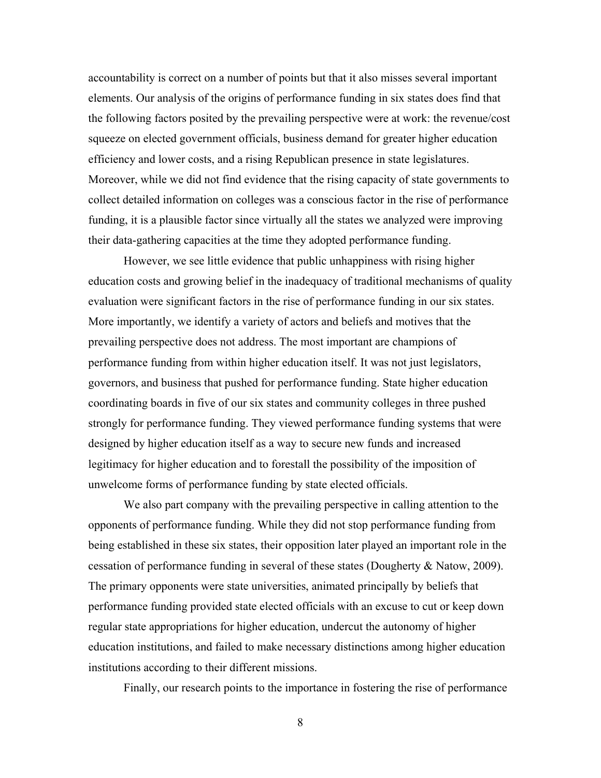accountability is correct on a number of points but that it also misses several important elements. Our analysis of the origins of performance funding in six states does find that the following factors posited by the prevailing perspective were at work: the revenue/cost squeeze on elected government officials, business demand for greater higher education efficiency and lower costs, and a rising Republican presence in state legislatures. Moreover, while we did not find evidence that the rising capacity of state governments to collect detailed information on colleges was a conscious factor in the rise of performance funding, it is a plausible factor since virtually all the states we analyzed were improving their data-gathering capacities at the time they adopted performance funding.

However, we see little evidence that public unhappiness with rising higher education costs and growing belief in the inadequacy of traditional mechanisms of quality evaluation were significant factors in the rise of performance funding in our six states. More importantly, we identify a variety of actors and beliefs and motives that the prevailing perspective does not address. The most important are champions of performance funding from within higher education itself. It was not just legislators, governors, and business that pushed for performance funding. State higher education coordinating boards in five of our six states and community colleges in three pushed strongly for performance funding. They viewed performance funding systems that were designed by higher education itself as a way to secure new funds and increased legitimacy for higher education and to forestall the possibility of the imposition of unwelcome forms of performance funding by state elected officials.

We also part company with the prevailing perspective in calling attention to the opponents of performance funding. While they did not stop performance funding from being established in these six states, their opposition later played an important role in the cessation of performance funding in several of these states (Dougherty & Natow, 2009). The primary opponents were state universities, animated principally by beliefs that performance funding provided state elected officials with an excuse to cut or keep down regular state appropriations for higher education, undercut the autonomy of higher education institutions, and failed to make necessary distinctions among higher education institutions according to their different missions.

Finally, our research points to the importance in fostering the rise of performance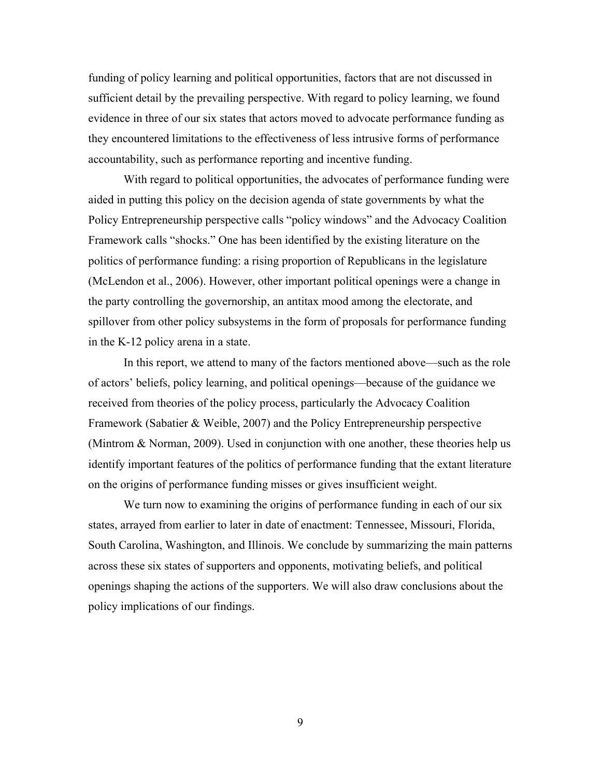funding of policy learning and political opportunities, factors that are not discussed in sufficient detail by the prevailing perspective. With regard to policy learning, we found evidence in three of our six states that actors moved to advocate performance funding as they encountered limitations to the effectiveness of less intrusive forms of performance accountability, such as performance reporting and incentive funding.

With regard to political opportunities, the advocates of performance funding were aided in putting this policy on the decision agenda of state governments by what the Policy Entrepreneurship perspective calls "policy windows" and the Advocacy Coalition Framework calls "shocks." One has been identified by the existing literature on the politics of performance funding: a rising proportion of Republicans in the legislature (McLendon et al., 2006). However, other important political openings were a change in the party controlling the governorship, an antitax mood among the electorate, and spillover from other policy subsystems in the form of proposals for performance funding in the K-12 policy arena in a state.

 In this report, we attend to many of the factors mentioned above—such as the role of actors' beliefs, policy learning, and political openings—because of the guidance we received from theories of the policy process, particularly the Advocacy Coalition Framework (Sabatier & Weible, 2007) and the Policy Entrepreneurship perspective (Mintrom  $\&$  Norman, 2009). Used in conjunction with one another, these theories help us identify important features of the politics of performance funding that the extant literature on the origins of performance funding misses or gives insufficient weight.

 We turn now to examining the origins of performance funding in each of our six states, arrayed from earlier to later in date of enactment: Tennessee, Missouri, Florida, South Carolina, Washington, and Illinois. We conclude by summarizing the main patterns across these six states of supporters and opponents, motivating beliefs, and political openings shaping the actions of the supporters. We will also draw conclusions about the policy implications of our findings.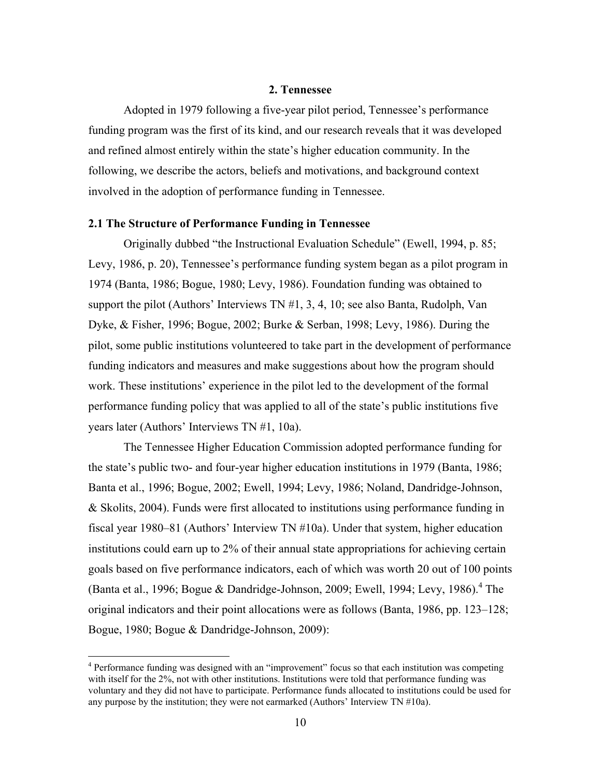### **2. Tennessee**

Adopted in 1979 following a five-year pilot period, Tennessee's performance funding program was the first of its kind, and our research reveals that it was developed and refined almost entirely within the state's higher education community. In the following, we describe the actors, beliefs and motivations, and background context involved in the adoption of performance funding in Tennessee.

# **2.1 The Structure of Performance Funding in Tennessee**

Originally dubbed "the Instructional Evaluation Schedule" (Ewell, 1994, p. 85; Levy, 1986, p. 20), Tennessee's performance funding system began as a pilot program in 1974 (Banta, 1986; Bogue, 1980; Levy, 1986). Foundation funding was obtained to support the pilot (Authors' Interviews TN #1, 3, 4, 10; see also Banta, Rudolph, Van Dyke, & Fisher, 1996; Bogue, 2002; Burke & Serban, 1998; Levy, 1986). During the pilot, some public institutions volunteered to take part in the development of performance funding indicators and measures and make suggestions about how the program should work. These institutions' experience in the pilot led to the development of the formal performance funding policy that was applied to all of the state's public institutions five years later (Authors' Interviews TN #1, 10a).

The Tennessee Higher Education Commission adopted performance funding for the state's public two- and four-year higher education institutions in 1979 (Banta, 1986; Banta et al., 1996; Bogue, 2002; Ewell, 1994; Levy, 1986; Noland, Dandridge-Johnson, & Skolits, 2004). Funds were first allocated to institutions using performance funding in fiscal year 1980–81 (Authors' Interview TN #10a). Under that system, higher education institutions could earn up to 2% of their annual state appropriations for achieving certain goals based on five performance indicators, each of which was worth 20 out of 100 points (Banta et al., 1996; Bogue & Dandridge-Johnson, 2009; Ewell, 1994; Levy, 1986).<sup>4</sup> The original indicators and their point allocations were as follows (Banta, 1986, pp. 123–128; Bogue, 1980; Bogue & Dandridge-Johnson, 2009):

 4 Performance funding was designed with an "improvement" focus so that each institution was competing with itself for the 2%, not with other institutions. Institutions were told that performance funding was voluntary and they did not have to participate. Performance funds allocated to institutions could be used for any purpose by the institution; they were not earmarked (Authors' Interview TN #10a).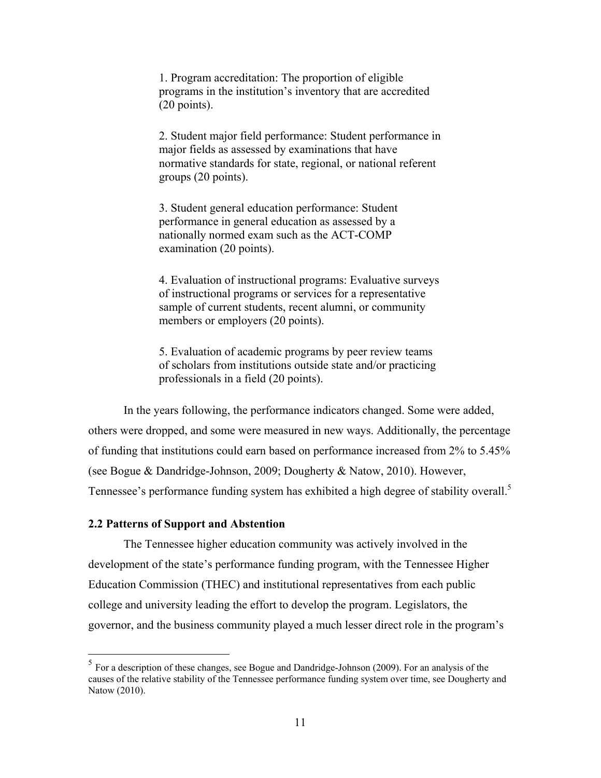1. Program accreditation: The proportion of eligible programs in the institution's inventory that are accredited (20 points).

2. Student major field performance: Student performance in major fields as assessed by examinations that have normative standards for state, regional, or national referent groups (20 points).

3. Student general education performance: Student performance in general education as assessed by a nationally normed exam such as the ACT-COMP examination (20 points).

4. Evaluation of instructional programs: Evaluative surveys of instructional programs or services for a representative sample of current students, recent alumni, or community members or employers (20 points).

5. Evaluation of academic programs by peer review teams of scholars from institutions outside state and/or practicing professionals in a field (20 points).

In the years following, the performance indicators changed. Some were added, others were dropped, and some were measured in new ways. Additionally, the percentage of funding that institutions could earn based on performance increased from 2% to 5.45% (see Bogue & Dandridge-Johnson, 2009; Dougherty & Natow, 2010). However, Tennessee's performance funding system has exhibited a high degree of stability overall.<sup>5</sup>

# **2.2 Patterns of Support and Abstention**

<u>.</u>

The Tennessee higher education community was actively involved in the development of the state's performance funding program, with the Tennessee Higher Education Commission (THEC) and institutional representatives from each public college and university leading the effort to develop the program. Legislators, the governor, and the business community played a much lesser direct role in the program's

 $<sup>5</sup>$  For a description of these changes, see Bogue and Dandridge-Johnson (2009). For an analysis of the</sup> causes of the relative stability of the Tennessee performance funding system over time, see Dougherty and Natow (2010).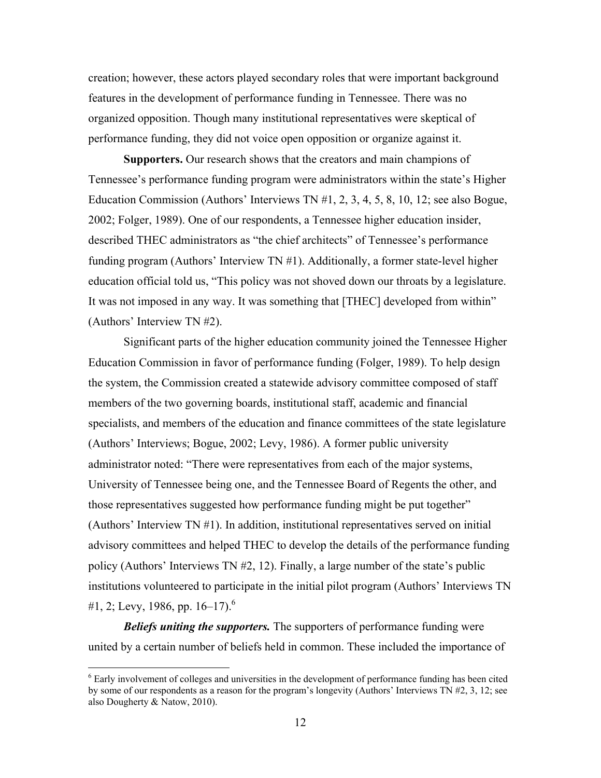creation; however, these actors played secondary roles that were important background features in the development of performance funding in Tennessee. There was no organized opposition. Though many institutional representatives were skeptical of performance funding, they did not voice open opposition or organize against it.

**Supporters.** Our research shows that the creators and main champions of Tennessee's performance funding program were administrators within the state's Higher Education Commission (Authors' Interviews TN #1, 2, 3, 4, 5, 8, 10, 12; see also Bogue, 2002; Folger, 1989). One of our respondents, a Tennessee higher education insider, described THEC administrators as "the chief architects" of Tennessee's performance funding program (Authors' Interview TN #1). Additionally, a former state-level higher education official told us, "This policy was not shoved down our throats by a legislature. It was not imposed in any way. It was something that [THEC] developed from within" (Authors' Interview TN #2).

Significant parts of the higher education community joined the Tennessee Higher Education Commission in favor of performance funding (Folger, 1989). To help design the system, the Commission created a statewide advisory committee composed of staff members of the two governing boards, institutional staff, academic and financial specialists, and members of the education and finance committees of the state legislature (Authors' Interviews; Bogue, 2002; Levy, 1986). A former public university administrator noted: "There were representatives from each of the major systems, University of Tennessee being one, and the Tennessee Board of Regents the other, and those representatives suggested how performance funding might be put together" (Authors' Interview TN #1). In addition, institutional representatives served on initial advisory committees and helped THEC to develop the details of the performance funding policy (Authors' Interviews TN #2, 12). Finally, a large number of the state's public institutions volunteered to participate in the initial pilot program (Authors' Interviews TN #1, 2; Levy, 1986, pp. 16–17).<sup>6</sup>

*Beliefs uniting the supporters.* The supporters of performance funding were united by a certain number of beliefs held in common. These included the importance of

 $\overline{a}$ 

<sup>&</sup>lt;sup>6</sup> Early involvement of colleges and universities in the development of performance funding has been cited by some of our respondents as a reason for the program's longevity (Authors' Interviews TN #2, 3, 12; see also Dougherty & Natow, 2010).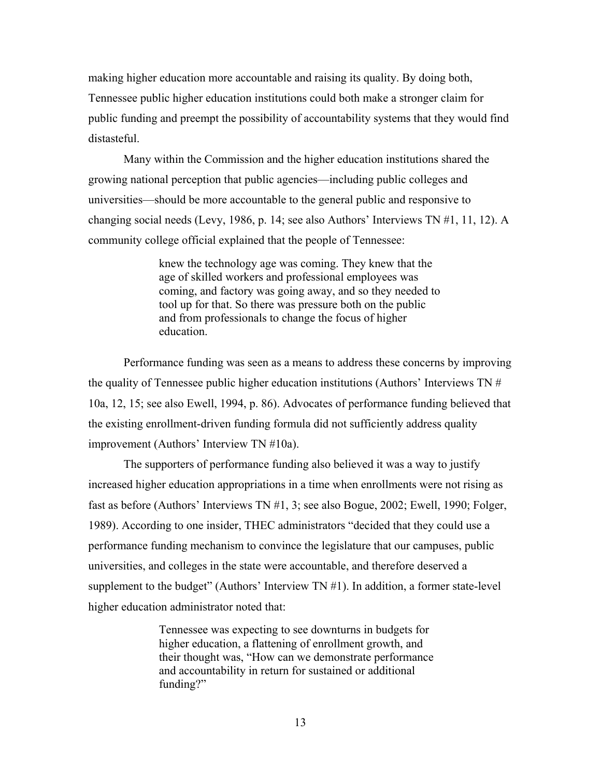making higher education more accountable and raising its quality. By doing both, Tennessee public higher education institutions could both make a stronger claim for public funding and preempt the possibility of accountability systems that they would find distasteful.

Many within the Commission and the higher education institutions shared the growing national perception that public agencies—including public colleges and universities—should be more accountable to the general public and responsive to changing social needs (Levy, 1986, p. 14; see also Authors' Interviews TN #1, 11, 12). A community college official explained that the people of Tennessee:

> knew the technology age was coming. They knew that the age of skilled workers and professional employees was coming, and factory was going away, and so they needed to tool up for that. So there was pressure both on the public and from professionals to change the focus of higher education.

Performance funding was seen as a means to address these concerns by improving the quality of Tennessee public higher education institutions (Authors' Interviews TN # 10a, 12, 15; see also Ewell, 1994, p. 86). Advocates of performance funding believed that the existing enrollment-driven funding formula did not sufficiently address quality improvement (Authors' Interview TN #10a).

The supporters of performance funding also believed it was a way to justify increased higher education appropriations in a time when enrollments were not rising as fast as before (Authors' Interviews TN #1, 3; see also Bogue, 2002; Ewell, 1990; Folger, 1989). According to one insider, THEC administrators "decided that they could use a performance funding mechanism to convince the legislature that our campuses, public universities, and colleges in the state were accountable, and therefore deserved a supplement to the budget" (Authors' Interview  $TN #1$ ). In addition, a former state-level higher education administrator noted that:

> Tennessee was expecting to see downturns in budgets for higher education, a flattening of enrollment growth, and their thought was, "How can we demonstrate performance and accountability in return for sustained or additional funding?"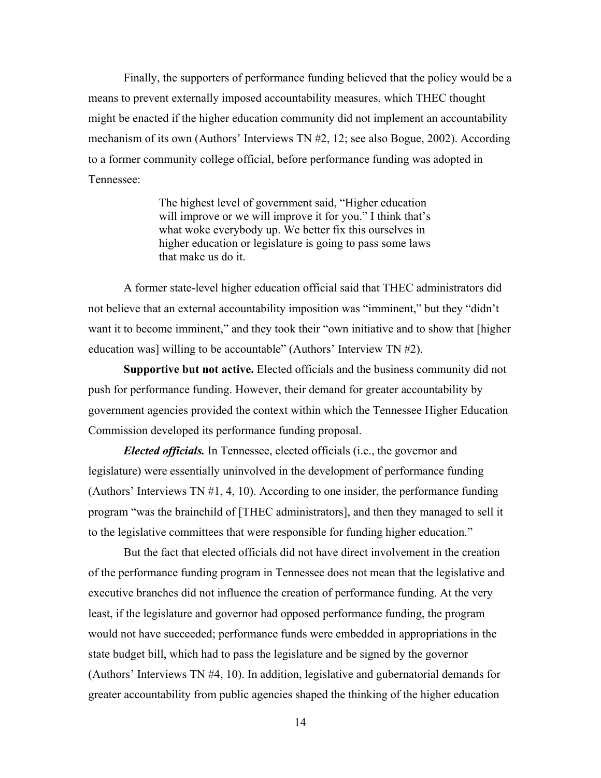Finally, the supporters of performance funding believed that the policy would be a means to prevent externally imposed accountability measures, which THEC thought might be enacted if the higher education community did not implement an accountability mechanism of its own (Authors' Interviews TN #2, 12; see also Bogue, 2002). According to a former community college official, before performance funding was adopted in Tennessee:

> The highest level of government said, "Higher education will improve or we will improve it for you." I think that's what woke everybody up. We better fix this ourselves in higher education or legislature is going to pass some laws that make us do it.

A former state-level higher education official said that THEC administrators did not believe that an external accountability imposition was "imminent," but they "didn't want it to become imminent," and they took their "own initiative and to show that [higher education was] willing to be accountable" (Authors' Interview TN #2).

**Supportive but not active.** Elected officials and the business community did not push for performance funding. However, their demand for greater accountability by government agencies provided the context within which the Tennessee Higher Education Commission developed its performance funding proposal.

*Elected officials.* In Tennessee, elected officials (i.e., the governor and legislature) were essentially uninvolved in the development of performance funding (Authors' Interviews TN #1, 4, 10). According to one insider, the performance funding program "was the brainchild of [THEC administrators], and then they managed to sell it to the legislative committees that were responsible for funding higher education."

But the fact that elected officials did not have direct involvement in the creation of the performance funding program in Tennessee does not mean that the legislative and executive branches did not influence the creation of performance funding. At the very least, if the legislature and governor had opposed performance funding, the program would not have succeeded; performance funds were embedded in appropriations in the state budget bill, which had to pass the legislature and be signed by the governor (Authors' Interviews TN #4, 10). In addition, legislative and gubernatorial demands for greater accountability from public agencies shaped the thinking of the higher education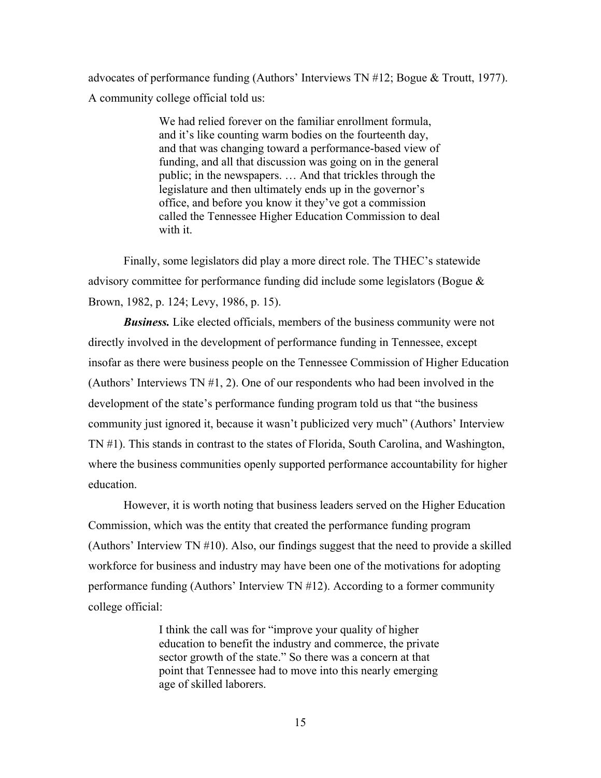advocates of performance funding (Authors' Interviews TN #12; Bogue & Troutt, 1977). A community college official told us:

> We had relied forever on the familiar enrollment formula, and it's like counting warm bodies on the fourteenth day, and that was changing toward a performance-based view of funding, and all that discussion was going on in the general public; in the newspapers. … And that trickles through the legislature and then ultimately ends up in the governor's office, and before you know it they've got a commission called the Tennessee Higher Education Commission to deal with it.

Finally, some legislators did play a more direct role. The THEC's statewide advisory committee for performance funding did include some legislators (Bogue & Brown, 1982, p. 124; Levy, 1986, p. 15).

*Business.* Like elected officials, members of the business community were not directly involved in the development of performance funding in Tennessee, except insofar as there were business people on the Tennessee Commission of Higher Education (Authors' Interviews TN #1, 2). One of our respondents who had been involved in the development of the state's performance funding program told us that "the business community just ignored it, because it wasn't publicized very much" (Authors' Interview TN #1). This stands in contrast to the states of Florida, South Carolina, and Washington, where the business communities openly supported performance accountability for higher education.

However, it is worth noting that business leaders served on the Higher Education Commission, which was the entity that created the performance funding program (Authors' Interview TN #10). Also, our findings suggest that the need to provide a skilled workforce for business and industry may have been one of the motivations for adopting performance funding (Authors' Interview TN #12). According to a former community college official:

> I think the call was for "improve your quality of higher education to benefit the industry and commerce, the private sector growth of the state." So there was a concern at that point that Tennessee had to move into this nearly emerging age of skilled laborers.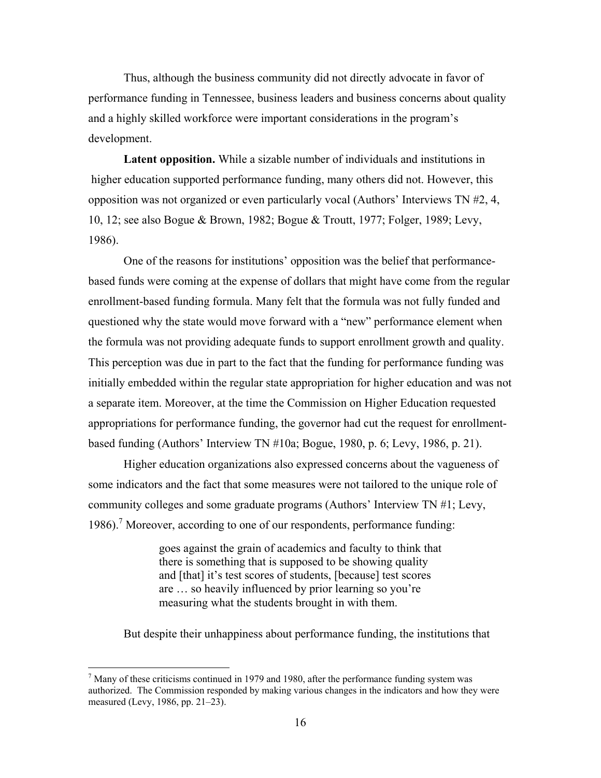Thus, although the business community did not directly advocate in favor of performance funding in Tennessee, business leaders and business concerns about quality and a highly skilled workforce were important considerations in the program's development.

**Latent opposition.** While a sizable number of individuals and institutions in higher education supported performance funding, many others did not. However, this opposition was not organized or even particularly vocal (Authors' Interviews TN #2, 4, 10, 12; see also Bogue & Brown, 1982; Bogue & Troutt, 1977; Folger, 1989; Levy, 1986).

One of the reasons for institutions' opposition was the belief that performancebased funds were coming at the expense of dollars that might have come from the regular enrollment-based funding formula. Many felt that the formula was not fully funded and questioned why the state would move forward with a "new" performance element when the formula was not providing adequate funds to support enrollment growth and quality. This perception was due in part to the fact that the funding for performance funding was initially embedded within the regular state appropriation for higher education and was not a separate item. Moreover, at the time the Commission on Higher Education requested appropriations for performance funding, the governor had cut the request for enrollmentbased funding (Authors' Interview TN #10a; Bogue, 1980, p. 6; Levy, 1986, p. 21).

Higher education organizations also expressed concerns about the vagueness of some indicators and the fact that some measures were not tailored to the unique role of community colleges and some graduate programs (Authors' Interview TN #1; Levy, 1986).<sup>7</sup> Moreover, according to one of our respondents, performance funding:

> goes against the grain of academics and faculty to think that there is something that is supposed to be showing quality and [that] it's test scores of students, [because] test scores are … so heavily influenced by prior learning so you're measuring what the students brought in with them.

But despite their unhappiness about performance funding, the institutions that

 $\overline{a}$ 

 $<sup>7</sup>$  Many of these criticisms continued in 1979 and 1980, after the performance funding system was</sup> authorized. The Commission responded by making various changes in the indicators and how they were measured (Levy, 1986, pp. 21–23).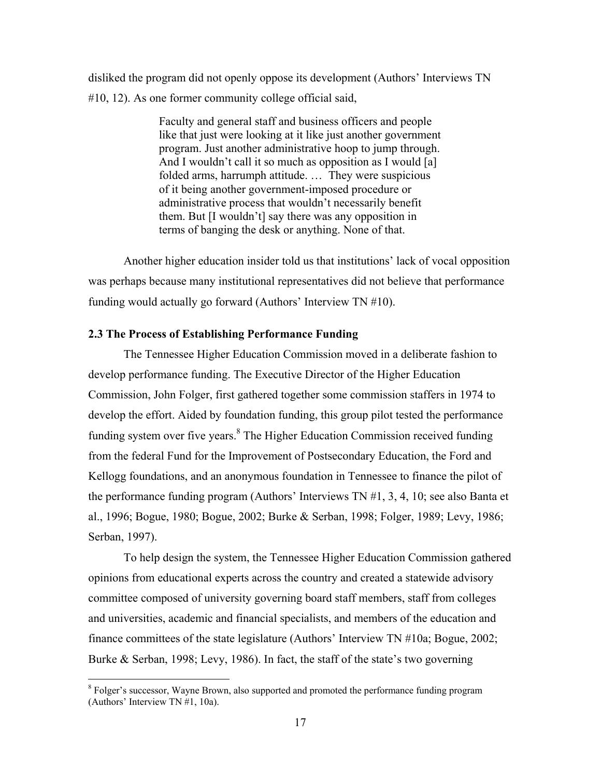disliked the program did not openly oppose its development (Authors' Interviews TN #10, 12). As one former community college official said,

> Faculty and general staff and business officers and people like that just were looking at it like just another government program. Just another administrative hoop to jump through. And I wouldn't call it so much as opposition as I would [a] folded arms, harrumph attitude. … They were suspicious of it being another government-imposed procedure or administrative process that wouldn't necessarily benefit them. But [I wouldn't] say there was any opposition in terms of banging the desk or anything. None of that.

Another higher education insider told us that institutions' lack of vocal opposition was perhaps because many institutional representatives did not believe that performance funding would actually go forward (Authors' Interview TN #10).

### **2.3 The Process of Establishing Performance Funding**

The Tennessee Higher Education Commission moved in a deliberate fashion to develop performance funding. The Executive Director of the Higher Education Commission, John Folger, first gathered together some commission staffers in 1974 to develop the effort. Aided by foundation funding, this group pilot tested the performance funding system over five years.<sup>8</sup> The Higher Education Commission received funding from the federal Fund for the Improvement of Postsecondary Education, the Ford and Kellogg foundations, and an anonymous foundation in Tennessee to finance the pilot of the performance funding program (Authors' Interviews TN #1, 3, 4, 10; see also Banta et al., 1996; Bogue, 1980; Bogue, 2002; Burke & Serban, 1998; Folger, 1989; Levy, 1986; Serban, 1997).

To help design the system, the Tennessee Higher Education Commission gathered opinions from educational experts across the country and created a statewide advisory committee composed of university governing board staff members, staff from colleges and universities, academic and financial specialists, and members of the education and finance committees of the state legislature (Authors' Interview TN #10a; Bogue, 2002; Burke & Serban, 1998; Levy, 1986). In fact, the staff of the state's two governing

<sup>&</sup>lt;sup>8</sup> Folger's successor, Wayne Brown, also supported and promoted the performance funding program (Authors' Interview TN #1, 10a).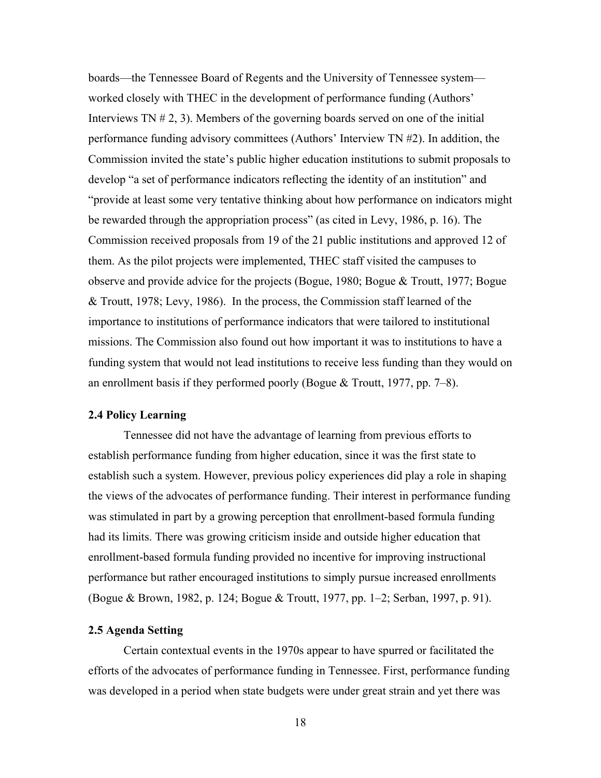boards—the Tennessee Board of Regents and the University of Tennessee system worked closely with THEC in the development of performance funding (Authors' Interviews TN # 2, 3). Members of the governing boards served on one of the initial performance funding advisory committees (Authors' Interview TN #2). In addition, the Commission invited the state's public higher education institutions to submit proposals to develop "a set of performance indicators reflecting the identity of an institution" and "provide at least some very tentative thinking about how performance on indicators might be rewarded through the appropriation process" (as cited in Levy, 1986, p. 16). The Commission received proposals from 19 of the 21 public institutions and approved 12 of them. As the pilot projects were implemented, THEC staff visited the campuses to observe and provide advice for the projects (Bogue, 1980; Bogue & Troutt, 1977; Bogue & Troutt, 1978; Levy, 1986). In the process, the Commission staff learned of the importance to institutions of performance indicators that were tailored to institutional missions. The Commission also found out how important it was to institutions to have a funding system that would not lead institutions to receive less funding than they would on an enrollment basis if they performed poorly (Bogue & Troutt, 1977, pp. 7–8).

#### **2.4 Policy Learning**

Tennessee did not have the advantage of learning from previous efforts to establish performance funding from higher education, since it was the first state to establish such a system. However, previous policy experiences did play a role in shaping the views of the advocates of performance funding. Their interest in performance funding was stimulated in part by a growing perception that enrollment-based formula funding had its limits. There was growing criticism inside and outside higher education that enrollment-based formula funding provided no incentive for improving instructional performance but rather encouraged institutions to simply pursue increased enrollments (Bogue & Brown, 1982, p. 124; Bogue & Troutt, 1977, pp. 1–2; Serban, 1997, p. 91).

# **2.5 Agenda Setting**

Certain contextual events in the 1970s appear to have spurred or facilitated the efforts of the advocates of performance funding in Tennessee. First, performance funding was developed in a period when state budgets were under great strain and yet there was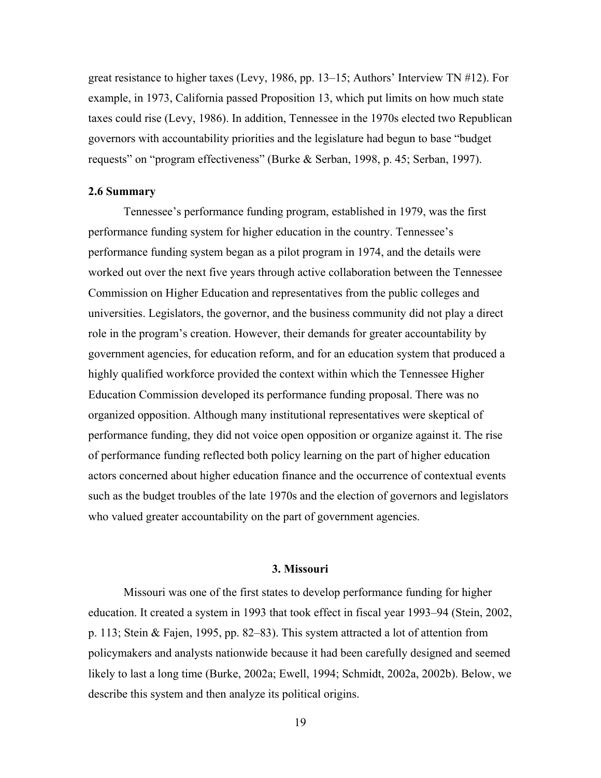great resistance to higher taxes (Levy, 1986, pp. 13–15; Authors' Interview TN #12). For example, in 1973, California passed Proposition 13, which put limits on how much state taxes could rise (Levy, 1986). In addition, Tennessee in the 1970s elected two Republican governors with accountability priorities and the legislature had begun to base "budget requests" on "program effectiveness" (Burke & Serban, 1998, p. 45; Serban, 1997).

#### **2.6 Summary**

Tennessee's performance funding program, established in 1979, was the first performance funding system for higher education in the country. Tennessee's performance funding system began as a pilot program in 1974, and the details were worked out over the next five years through active collaboration between the Tennessee Commission on Higher Education and representatives from the public colleges and universities. Legislators, the governor, and the business community did not play a direct role in the program's creation. However, their demands for greater accountability by government agencies, for education reform, and for an education system that produced a highly qualified workforce provided the context within which the Tennessee Higher Education Commission developed its performance funding proposal. There was no organized opposition. Although many institutional representatives were skeptical of performance funding, they did not voice open opposition or organize against it. The rise of performance funding reflected both policy learning on the part of higher education actors concerned about higher education finance and the occurrence of contextual events such as the budget troubles of the late 1970s and the election of governors and legislators who valued greater accountability on the part of government agencies.

# **3. Missouri**

Missouri was one of the first states to develop performance funding for higher education. It created a system in 1993 that took effect in fiscal year 1993–94 (Stein, 2002, p. 113; Stein & Fajen, 1995, pp. 82–83). This system attracted a lot of attention from policymakers and analysts nationwide because it had been carefully designed and seemed likely to last a long time (Burke, 2002a; Ewell, 1994; Schmidt, 2002a, 2002b). Below, we describe this system and then analyze its political origins.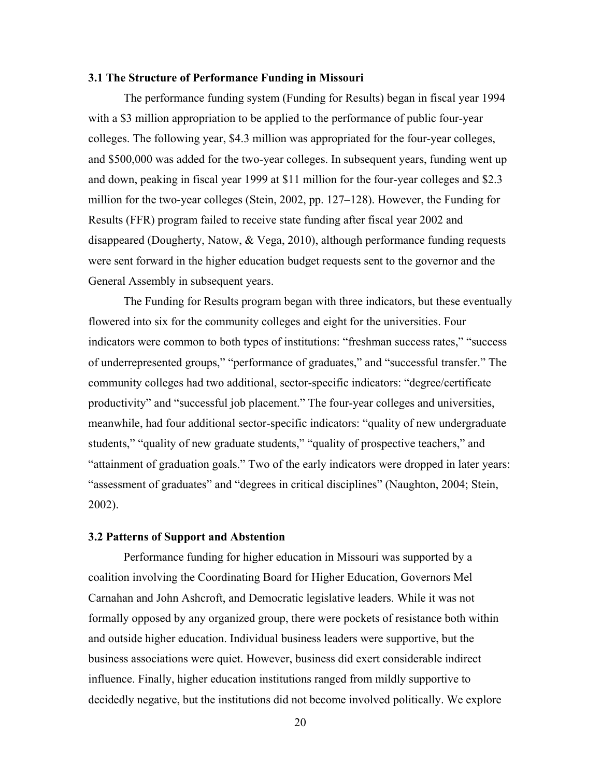## **3.1 The Structure of Performance Funding in Missouri**

The performance funding system (Funding for Results) began in fiscal year 1994 with a \$3 million appropriation to be applied to the performance of public four-year colleges. The following year, \$4.3 million was appropriated for the four-year colleges, and \$500,000 was added for the two-year colleges. In subsequent years, funding went up and down, peaking in fiscal year 1999 at \$11 million for the four-year colleges and \$2.3 million for the two-year colleges (Stein, 2002, pp. 127–128). However, the Funding for Results (FFR) program failed to receive state funding after fiscal year 2002 and disappeared (Dougherty, Natow, & Vega, 2010), although performance funding requests were sent forward in the higher education budget requests sent to the governor and the General Assembly in subsequent years.

 The Funding for Results program began with three indicators, but these eventually flowered into six for the community colleges and eight for the universities. Four indicators were common to both types of institutions: "freshman success rates," "success of underrepresented groups," "performance of graduates," and "successful transfer." The community colleges had two additional, sector-specific indicators: "degree/certificate productivity" and "successful job placement." The four-year colleges and universities, meanwhile, had four additional sector-specific indicators: "quality of new undergraduate students," "quality of new graduate students," "quality of prospective teachers," and "attainment of graduation goals." Two of the early indicators were dropped in later years: "assessment of graduates" and "degrees in critical disciplines" (Naughton, 2004; Stein, 2002).

# **3.2 Patterns of Support and Abstention**

Performance funding for higher education in Missouri was supported by a coalition involving the Coordinating Board for Higher Education, Governors Mel Carnahan and John Ashcroft, and Democratic legislative leaders. While it was not formally opposed by any organized group, there were pockets of resistance both within and outside higher education. Individual business leaders were supportive, but the business associations were quiet. However, business did exert considerable indirect influence. Finally, higher education institutions ranged from mildly supportive to decidedly negative, but the institutions did not become involved politically. We explore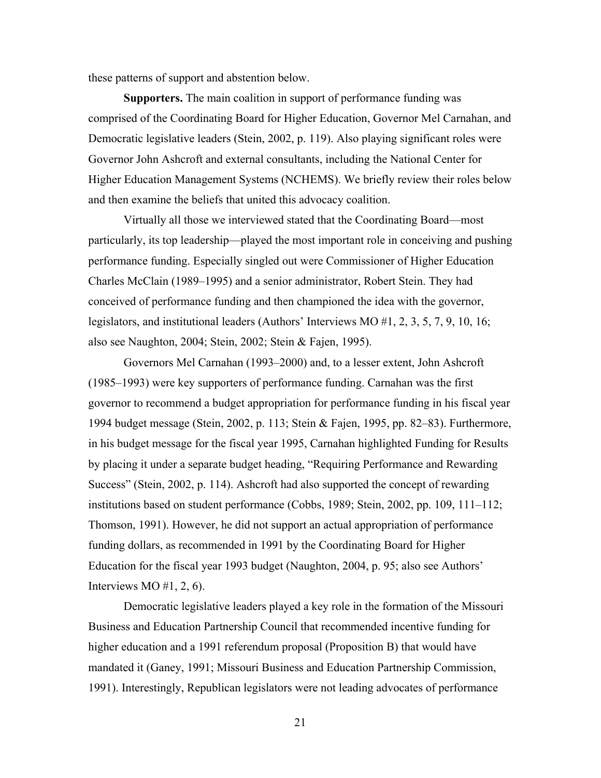these patterns of support and abstention below.

**Supporters.** The main coalition in support of performance funding was comprised of the Coordinating Board for Higher Education, Governor Mel Carnahan, and Democratic legislative leaders (Stein, 2002, p. 119). Also playing significant roles were Governor John Ashcroft and external consultants, including the National Center for Higher Education Management Systems (NCHEMS). We briefly review their roles below and then examine the beliefs that united this advocacy coalition.

 Virtually all those we interviewed stated that the Coordinating Board—most particularly, its top leadership—played the most important role in conceiving and pushing performance funding. Especially singled out were Commissioner of Higher Education Charles McClain (1989–1995) and a senior administrator, Robert Stein. They had conceived of performance funding and then championed the idea with the governor, legislators, and institutional leaders (Authors' Interviews MO #1, 2, 3, 5, 7, 9, 10, 16; also see Naughton, 2004; Stein, 2002; Stein & Fajen, 1995).

Governors Mel Carnahan (1993–2000) and, to a lesser extent, John Ashcroft (1985–1993) were key supporters of performance funding. Carnahan was the first governor to recommend a budget appropriation for performance funding in his fiscal year 1994 budget message (Stein, 2002, p. 113; Stein & Fajen, 1995, pp. 82–83). Furthermore, in his budget message for the fiscal year 1995, Carnahan highlighted Funding for Results by placing it under a separate budget heading, "Requiring Performance and Rewarding Success" (Stein, 2002, p. 114). Ashcroft had also supported the concept of rewarding institutions based on student performance (Cobbs, 1989; Stein, 2002, pp. 109, 111–112; Thomson, 1991). However, he did not support an actual appropriation of performance funding dollars, as recommended in 1991 by the Coordinating Board for Higher Education for the fiscal year 1993 budget (Naughton, 2004, p. 95; also see Authors' Interviews MO  $#1, 2, 6$ ).

 Democratic legislative leaders played a key role in the formation of the Missouri Business and Education Partnership Council that recommended incentive funding for higher education and a 1991 referendum proposal (Proposition B) that would have mandated it (Ganey, 1991; Missouri Business and Education Partnership Commission, 1991). Interestingly, Republican legislators were not leading advocates of performance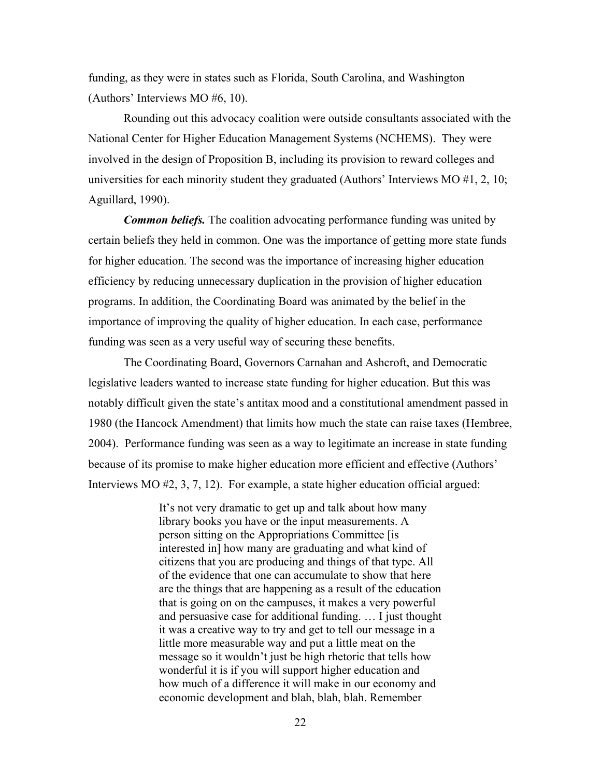funding, as they were in states such as Florida, South Carolina, and Washington (Authors' Interviews MO #6, 10).

 Rounding out this advocacy coalition were outside consultants associated with the National Center for Higher Education Management Systems (NCHEMS). They were involved in the design of Proposition B, including its provision to reward colleges and universities for each minority student they graduated (Authors' Interviews MO #1, 2, 10; Aguillard, 1990).

*Common beliefs.* The coalition advocating performance funding was united by certain beliefs they held in common. One was the importance of getting more state funds for higher education. The second was the importance of increasing higher education efficiency by reducing unnecessary duplication in the provision of higher education programs. In addition, the Coordinating Board was animated by the belief in the importance of improving the quality of higher education. In each case, performance funding was seen as a very useful way of securing these benefits.

 The Coordinating Board, Governors Carnahan and Ashcroft, and Democratic legislative leaders wanted to increase state funding for higher education. But this was notably difficult given the state's antitax mood and a constitutional amendment passed in 1980 (the Hancock Amendment) that limits how much the state can raise taxes (Hembree, 2004). Performance funding was seen as a way to legitimate an increase in state funding because of its promise to make higher education more efficient and effective (Authors' Interviews MO #2, 3, 7, 12). For example, a state higher education official argued:

> It's not very dramatic to get up and talk about how many library books you have or the input measurements. A person sitting on the Appropriations Committee [is interested in] how many are graduating and what kind of citizens that you are producing and things of that type. All of the evidence that one can accumulate to show that here are the things that are happening as a result of the education that is going on on the campuses, it makes a very powerful and persuasive case for additional funding. … I just thought it was a creative way to try and get to tell our message in a little more measurable way and put a little meat on the message so it wouldn't just be high rhetoric that tells how wonderful it is if you will support higher education and how much of a difference it will make in our economy and economic development and blah, blah, blah. Remember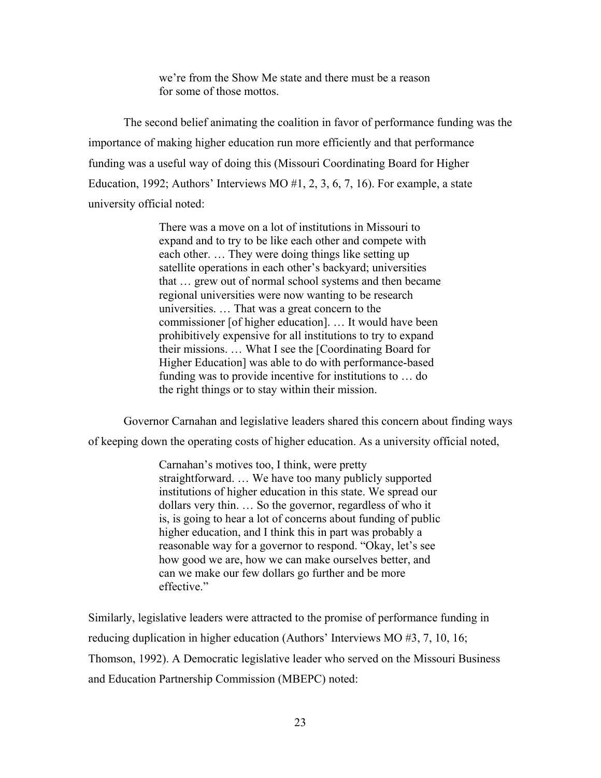we're from the Show Me state and there must be a reason for some of those mottos.

The second belief animating the coalition in favor of performance funding was the importance of making higher education run more efficiently and that performance funding was a useful way of doing this (Missouri Coordinating Board for Higher Education, 1992; Authors' Interviews MO  $#1, 2, 3, 6, 7, 16$ ). For example, a state university official noted:

> There was a move on a lot of institutions in Missouri to expand and to try to be like each other and compete with each other. … They were doing things like setting up satellite operations in each other's backyard; universities that … grew out of normal school systems and then became regional universities were now wanting to be research universities. … That was a great concern to the commissioner [of higher education]. … It would have been prohibitively expensive for all institutions to try to expand their missions. … What I see the [Coordinating Board for Higher Education] was able to do with performance-based funding was to provide incentive for institutions to … do the right things or to stay within their mission.

 Governor Carnahan and legislative leaders shared this concern about finding ways of keeping down the operating costs of higher education. As a university official noted,

> Carnahan's motives too, I think, were pretty straightforward. … We have too many publicly supported institutions of higher education in this state. We spread our dollars very thin. … So the governor, regardless of who it is, is going to hear a lot of concerns about funding of public higher education, and I think this in part was probably a reasonable way for a governor to respond. "Okay, let's see how good we are, how we can make ourselves better, and can we make our few dollars go further and be more effective."

Similarly, legislative leaders were attracted to the promise of performance funding in reducing duplication in higher education (Authors' Interviews MO #3, 7, 10, 16; Thomson, 1992). A Democratic legislative leader who served on the Missouri Business and Education Partnership Commission (MBEPC) noted: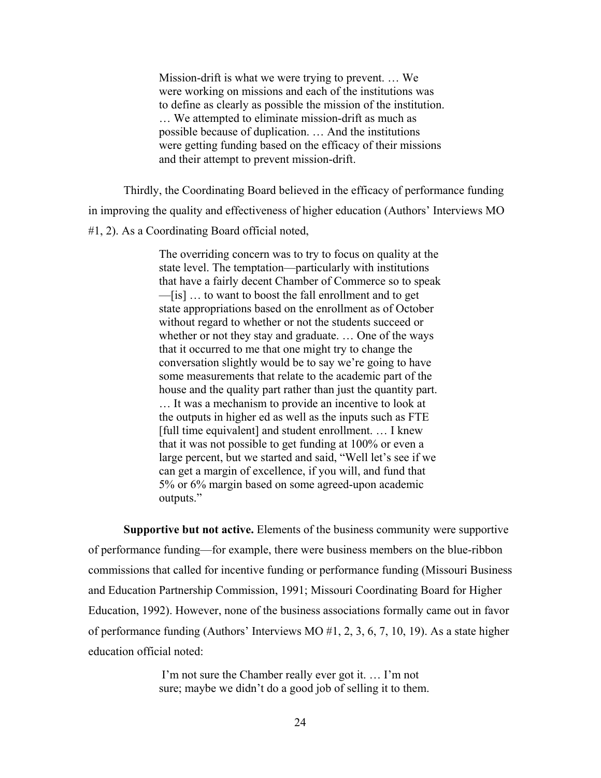Mission-drift is what we were trying to prevent. … We were working on missions and each of the institutions was to define as clearly as possible the mission of the institution. … We attempted to eliminate mission-drift as much as possible because of duplication. … And the institutions were getting funding based on the efficacy of their missions and their attempt to prevent mission-drift.

 Thirdly, the Coordinating Board believed in the efficacy of performance funding in improving the quality and effectiveness of higher education (Authors' Interviews MO #1, 2). As a Coordinating Board official noted,

> The overriding concern was to try to focus on quality at the state level. The temptation—particularly with institutions that have a fairly decent Chamber of Commerce so to speak —[is] … to want to boost the fall enrollment and to get state appropriations based on the enrollment as of October without regard to whether or not the students succeed or whether or not they stay and graduate. … One of the ways that it occurred to me that one might try to change the conversation slightly would be to say we're going to have some measurements that relate to the academic part of the house and the quality part rather than just the quantity part. … It was a mechanism to provide an incentive to look at the outputs in higher ed as well as the inputs such as FTE [full time equivalent] and student enrollment. ... I knew that it was not possible to get funding at 100% or even a large percent, but we started and said, "Well let's see if we can get a margin of excellence, if you will, and fund that 5% or 6% margin based on some agreed-upon academic outputs."

**Supportive but not active.** Elements of the business community were supportive of performance funding—for example, there were business members on the blue-ribbon commissions that called for incentive funding or performance funding (Missouri Business and Education Partnership Commission, 1991; Missouri Coordinating Board for Higher Education, 1992). However, none of the business associations formally came out in favor of performance funding (Authors' Interviews MO #1, 2, 3, 6, 7, 10, 19). As a state higher education official noted:

> I'm not sure the Chamber really ever got it. … I'm not sure; maybe we didn't do a good job of selling it to them.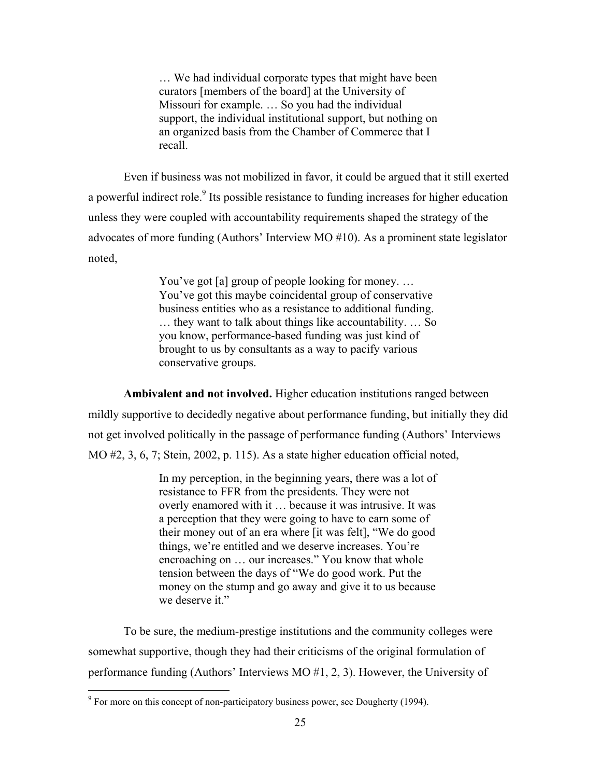… We had individual corporate types that might have been curators [members of the board] at the University of Missouri for example. … So you had the individual support, the individual institutional support, but nothing on an organized basis from the Chamber of Commerce that I recall.

 Even if business was not mobilized in favor, it could be argued that it still exerted a powerful indirect role.<sup>9</sup> Its possible resistance to funding increases for higher education unless they were coupled with accountability requirements shaped the strategy of the advocates of more funding (Authors' Interview MO #10). As a prominent state legislator noted,

> You've got [a] group of people looking for money. … You've got this maybe coincidental group of conservative business entities who as a resistance to additional funding. … they want to talk about things like accountability. … So you know, performance-based funding was just kind of brought to us by consultants as a way to pacify various conservative groups.

**Ambivalent and not involved.** Higher education institutions ranged between mildly supportive to decidedly negative about performance funding, but initially they did not get involved politically in the passage of performance funding (Authors' Interviews MO #2, 3, 6, 7; Stein, 2002, p. 115). As a state higher education official noted,

> In my perception, in the beginning years, there was a lot of resistance to FFR from the presidents. They were not overly enamored with it … because it was intrusive. It was a perception that they were going to have to earn some of their money out of an era where [it was felt], "We do good things, we're entitled and we deserve increases. You're encroaching on … our increases." You know that whole tension between the days of "We do good work. Put the money on the stump and go away and give it to us because we deserve it."

 To be sure, the medium-prestige institutions and the community colleges were somewhat supportive, though they had their criticisms of the original formulation of performance funding (Authors' Interviews MO #1, 2, 3). However, the University of

<sup>&</sup>lt;sup>9</sup> For more on this concept of non-participatory business power, see Dougherty (1994).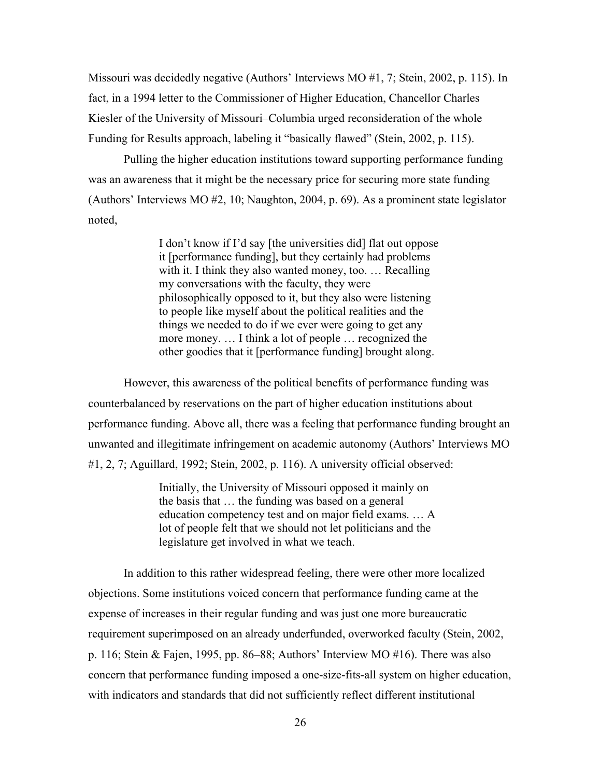Missouri was decidedly negative (Authors' Interviews MO #1, 7; Stein, 2002, p. 115). In fact, in a 1994 letter to the Commissioner of Higher Education, Chancellor Charles Kiesler of the University of Missouri–Columbia urged reconsideration of the whole Funding for Results approach, labeling it "basically flawed" (Stein, 2002, p. 115).

 Pulling the higher education institutions toward supporting performance funding was an awareness that it might be the necessary price for securing more state funding (Authors' Interviews MO #2, 10; Naughton, 2004, p. 69). As a prominent state legislator noted,

> I don't know if I'd say [the universities did] flat out oppose it [performance funding], but they certainly had problems with it. I think they also wanted money, too. … Recalling my conversations with the faculty, they were philosophically opposed to it, but they also were listening to people like myself about the political realities and the things we needed to do if we ever were going to get any more money. … I think a lot of people … recognized the other goodies that it [performance funding] brought along.

 However, this awareness of the political benefits of performance funding was counterbalanced by reservations on the part of higher education institutions about performance funding. Above all, there was a feeling that performance funding brought an unwanted and illegitimate infringement on academic autonomy (Authors' Interviews MO #1, 2, 7; Aguillard, 1992; Stein, 2002, p. 116). A university official observed:

> Initially, the University of Missouri opposed it mainly on the basis that … the funding was based on a general education competency test and on major field exams. … A lot of people felt that we should not let politicians and the legislature get involved in what we teach.

 In addition to this rather widespread feeling, there were other more localized objections. Some institutions voiced concern that performance funding came at the expense of increases in their regular funding and was just one more bureaucratic requirement superimposed on an already underfunded, overworked faculty (Stein, 2002, p. 116; Stein & Fajen, 1995, pp. 86–88; Authors' Interview MO #16). There was also concern that performance funding imposed a one-size-fits-all system on higher education, with indicators and standards that did not sufficiently reflect different institutional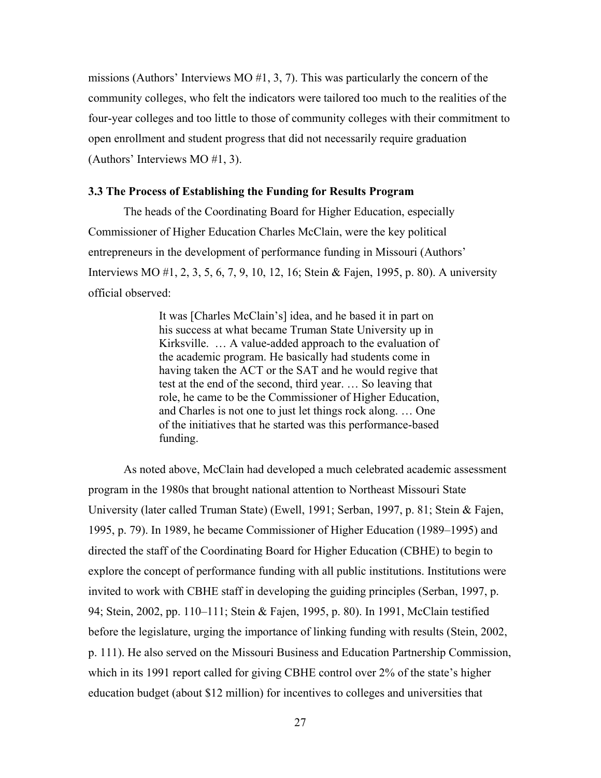missions (Authors' Interviews MO  $#1, 3, 7$ ). This was particularly the concern of the community colleges, who felt the indicators were tailored too much to the realities of the four-year colleges and too little to those of community colleges with their commitment to open enrollment and student progress that did not necessarily require graduation (Authors' Interviews MO #1, 3).

# **3.3 The Process of Establishing the Funding for Results Program**

The heads of the Coordinating Board for Higher Education, especially Commissioner of Higher Education Charles McClain, were the key political entrepreneurs in the development of performance funding in Missouri (Authors' Interviews MO #1, 2, 3, 5, 6, 7, 9, 10, 12, 16; Stein & Fajen, 1995, p. 80). A university official observed:

> It was [Charles McClain's] idea, and he based it in part on his success at what became Truman State University up in Kirksville. … A value-added approach to the evaluation of the academic program. He basically had students come in having taken the ACT or the SAT and he would regive that test at the end of the second, third year. … So leaving that role, he came to be the Commissioner of Higher Education, and Charles is not one to just let things rock along. … One of the initiatives that he started was this performance-based funding.

 As noted above, McClain had developed a much celebrated academic assessment program in the 1980s that brought national attention to Northeast Missouri State University (later called Truman State) (Ewell, 1991; Serban, 1997, p. 81; Stein & Fajen, 1995, p. 79). In 1989, he became Commissioner of Higher Education (1989–1995) and directed the staff of the Coordinating Board for Higher Education (CBHE) to begin to explore the concept of performance funding with all public institutions. Institutions were invited to work with CBHE staff in developing the guiding principles (Serban, 1997, p. 94; Stein, 2002, pp. 110–111; Stein & Fajen, 1995, p. 80). In 1991, McClain testified before the legislature, urging the importance of linking funding with results (Stein, 2002, p. 111). He also served on the Missouri Business and Education Partnership Commission, which in its 1991 report called for giving CBHE control over 2% of the state's higher education budget (about \$12 million) for incentives to colleges and universities that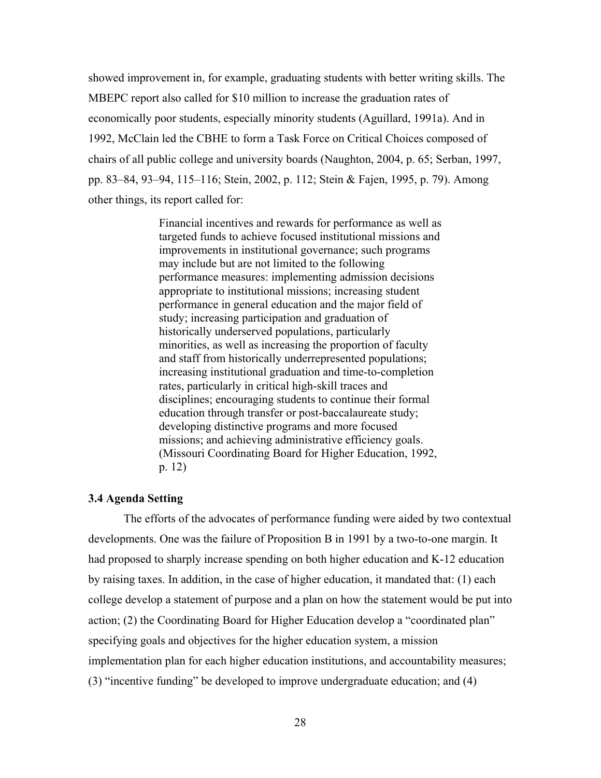showed improvement in, for example, graduating students with better writing skills. The MBEPC report also called for \$10 million to increase the graduation rates of economically poor students, especially minority students (Aguillard, 1991a). And in 1992, McClain led the CBHE to form a Task Force on Critical Choices composed of chairs of all public college and university boards (Naughton, 2004, p. 65; Serban, 1997, pp. 83–84, 93–94, 115–116; Stein, 2002, p. 112; Stein & Fajen, 1995, p. 79). Among other things, its report called for:

> Financial incentives and rewards for performance as well as targeted funds to achieve focused institutional missions and improvements in institutional governance; such programs may include but are not limited to the following performance measures: implementing admission decisions appropriate to institutional missions; increasing student performance in general education and the major field of study; increasing participation and graduation of historically underserved populations, particularly minorities, as well as increasing the proportion of faculty and staff from historically underrepresented populations; increasing institutional graduation and time-to-completion rates, particularly in critical high-skill traces and disciplines; encouraging students to continue their formal education through transfer or post-baccalaureate study; developing distinctive programs and more focused missions; and achieving administrative efficiency goals. (Missouri Coordinating Board for Higher Education, 1992, p. 12)

# **3.4 Agenda Setting**

 The efforts of the advocates of performance funding were aided by two contextual developments. One was the failure of Proposition B in 1991 by a two-to-one margin. It had proposed to sharply increase spending on both higher education and K-12 education by raising taxes. In addition, in the case of higher education, it mandated that: (1) each college develop a statement of purpose and a plan on how the statement would be put into action; (2) the Coordinating Board for Higher Education develop a "coordinated plan" specifying goals and objectives for the higher education system, a mission implementation plan for each higher education institutions, and accountability measures; (3) "incentive funding" be developed to improve undergraduate education; and (4)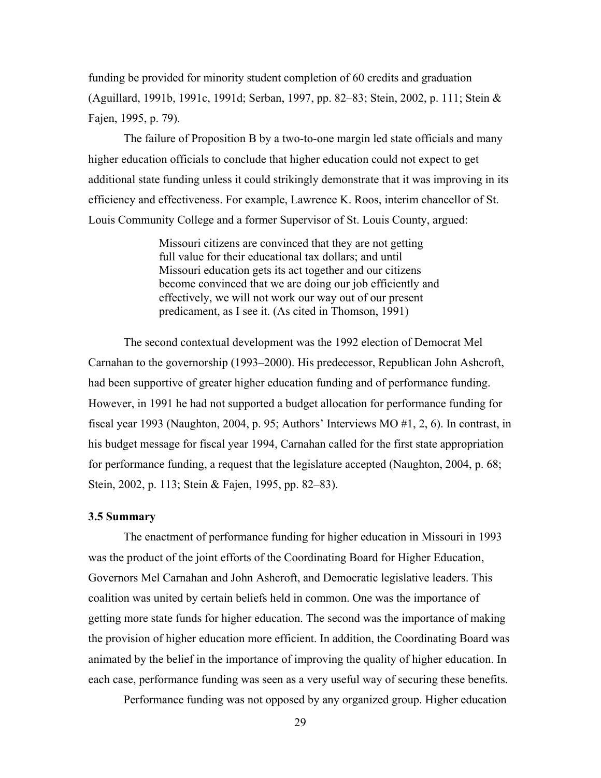funding be provided for minority student completion of 60 credits and graduation (Aguillard, 1991b, 1991c, 1991d; Serban, 1997, pp. 82–83; Stein, 2002, p. 111; Stein & Fajen, 1995, p. 79).

 The failure of Proposition B by a two-to-one margin led state officials and many higher education officials to conclude that higher education could not expect to get additional state funding unless it could strikingly demonstrate that it was improving in its efficiency and effectiveness. For example, Lawrence K. Roos, interim chancellor of St. Louis Community College and a former Supervisor of St. Louis County, argued:

> Missouri citizens are convinced that they are not getting full value for their educational tax dollars; and until Missouri education gets its act together and our citizens become convinced that we are doing our job efficiently and effectively, we will not work our way out of our present predicament, as I see it. (As cited in Thomson, 1991)

 The second contextual development was the 1992 election of Democrat Mel Carnahan to the governorship (1993–2000). His predecessor, Republican John Ashcroft, had been supportive of greater higher education funding and of performance funding. However, in 1991 he had not supported a budget allocation for performance funding for fiscal year 1993 (Naughton, 2004, p. 95; Authors' Interviews MO #1, 2, 6). In contrast, in his budget message for fiscal year 1994, Carnahan called for the first state appropriation for performance funding, a request that the legislature accepted (Naughton, 2004, p. 68; Stein, 2002, p. 113; Stein & Fajen, 1995, pp. 82–83).

#### **3.5 Summary**

The enactment of performance funding for higher education in Missouri in 1993 was the product of the joint efforts of the Coordinating Board for Higher Education, Governors Mel Carnahan and John Ashcroft, and Democratic legislative leaders. This coalition was united by certain beliefs held in common. One was the importance of getting more state funds for higher education. The second was the importance of making the provision of higher education more efficient. In addition, the Coordinating Board was animated by the belief in the importance of improving the quality of higher education. In each case, performance funding was seen as a very useful way of securing these benefits.

Performance funding was not opposed by any organized group. Higher education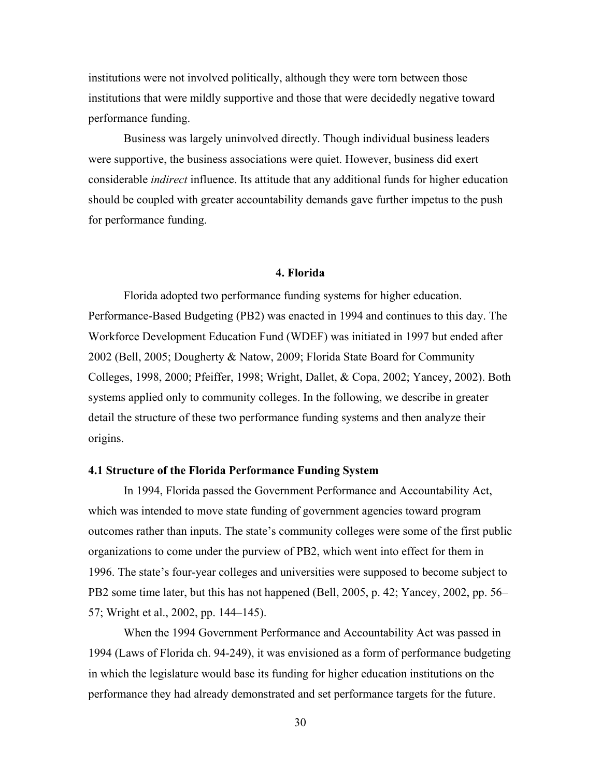institutions were not involved politically, although they were torn between those institutions that were mildly supportive and those that were decidedly negative toward performance funding.

 Business was largely uninvolved directly. Though individual business leaders were supportive, the business associations were quiet. However, business did exert considerable *indirect* influence. Its attitude that any additional funds for higher education should be coupled with greater accountability demands gave further impetus to the push for performance funding.

### **4. Florida**

Florida adopted two performance funding systems for higher education. Performance-Based Budgeting (PB2) was enacted in 1994 and continues to this day. The Workforce Development Education Fund (WDEF) was initiated in 1997 but ended after 2002 (Bell, 2005; Dougherty & Natow, 2009; Florida State Board for Community Colleges, 1998, 2000; Pfeiffer, 1998; Wright, Dallet, & Copa, 2002; Yancey, 2002). Both systems applied only to community colleges. In the following, we describe in greater detail the structure of these two performance funding systems and then analyze their origins.

### **4.1 Structure of the Florida Performance Funding System**

In 1994, Florida passed the Government Performance and Accountability Act, which was intended to move state funding of government agencies toward program outcomes rather than inputs. The state's community colleges were some of the first public organizations to come under the purview of PB2, which went into effect for them in 1996. The state's four-year colleges and universities were supposed to become subject to PB2 some time later, but this has not happened (Bell, 2005, p. 42; Yancey, 2002, pp. 56– 57; Wright et al., 2002, pp. 144–145).

When the 1994 Government Performance and Accountability Act was passed in 1994 (Laws of Florida ch. 94-249), it was envisioned as a form of performance budgeting in which the legislature would base its funding for higher education institutions on the performance they had already demonstrated and set performance targets for the future.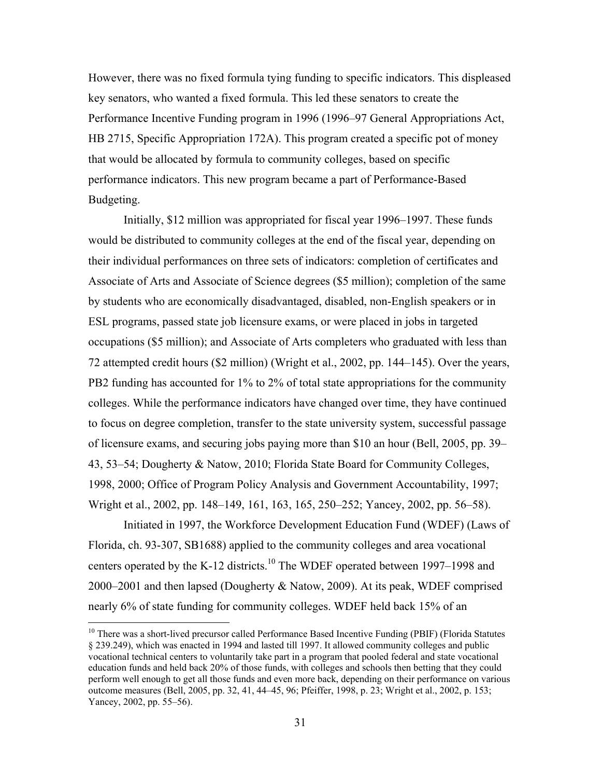However, there was no fixed formula tying funding to specific indicators. This displeased key senators, who wanted a fixed formula. This led these senators to create the Performance Incentive Funding program in 1996 (1996–97 General Appropriations Act, HB 2715, Specific Appropriation 172A). This program created a specific pot of money that would be allocated by formula to community colleges, based on specific performance indicators. This new program became a part of Performance-Based Budgeting.

 Initially, \$12 million was appropriated for fiscal year 1996–1997. These funds would be distributed to community colleges at the end of the fiscal year, depending on their individual performances on three sets of indicators: completion of certificates and Associate of Arts and Associate of Science degrees (\$5 million); completion of the same by students who are economically disadvantaged, disabled, non-English speakers or in ESL programs, passed state job licensure exams, or were placed in jobs in targeted occupations (\$5 million); and Associate of Arts completers who graduated with less than 72 attempted credit hours (\$2 million) (Wright et al., 2002, pp. 144–145). Over the years, PB2 funding has accounted for 1% to 2% of total state appropriations for the community colleges. While the performance indicators have changed over time, they have continued to focus on degree completion, transfer to the state university system, successful passage of licensure exams, and securing jobs paying more than \$10 an hour (Bell, 2005, pp. 39– 43, 53–54; Dougherty & Natow, 2010; Florida State Board for Community Colleges, 1998, 2000; Office of Program Policy Analysis and Government Accountability, 1997; Wright et al., 2002, pp. 148–149, 161, 163, 165, 250–252; Yancey, 2002, pp. 56–58).

Initiated in 1997, the Workforce Development Education Fund (WDEF) (Laws of Florida, ch. 93-307, SB1688) applied to the community colleges and area vocational centers operated by the K-12 districts.<sup>10</sup> The WDEF operated between 1997–1998 and 2000–2001 and then lapsed (Dougherty & Natow, 2009). At its peak, WDEF comprised nearly 6% of state funding for community colleges. WDEF held back 15% of an

 $\overline{a}$ 

<sup>&</sup>lt;sup>10</sup> There was a short-lived precursor called Performance Based Incentive Funding (PBIF) (Florida Statutes § 239.249), which was enacted in 1994 and lasted till 1997. It allowed community colleges and public vocational technical centers to voluntarily take part in a program that pooled federal and state vocational education funds and held back 20% of those funds, with colleges and schools then betting that they could perform well enough to get all those funds and even more back, depending on their performance on various outcome measures (Bell, 2005, pp. 32, 41, 44–45, 96; Pfeiffer, 1998, p. 23; Wright et al., 2002, p. 153; Yancey, 2002, pp. 55–56).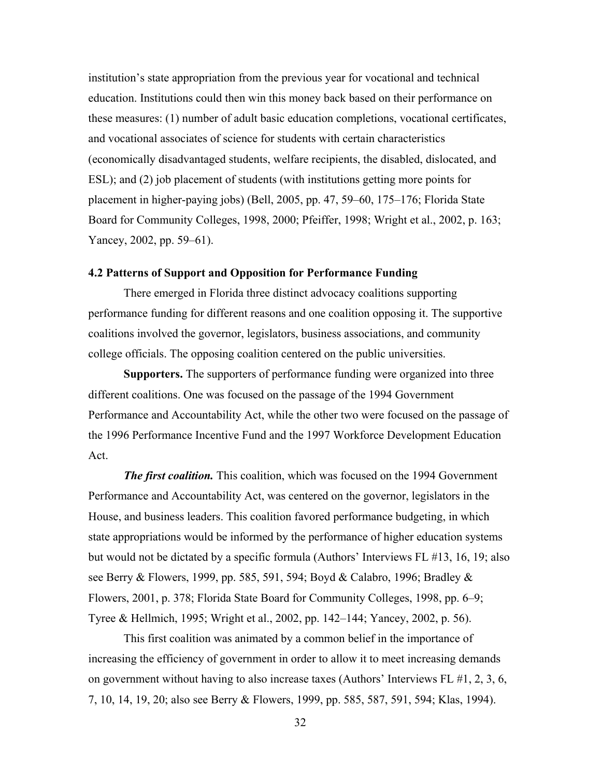institution's state appropriation from the previous year for vocational and technical education. Institutions could then win this money back based on their performance on these measures: (1) number of adult basic education completions, vocational certificates, and vocational associates of science for students with certain characteristics (economically disadvantaged students, welfare recipients, the disabled, dislocated, and ESL); and (2) job placement of students (with institutions getting more points for placement in higher-paying jobs) (Bell, 2005, pp. 47, 59–60, 175–176; Florida State Board for Community Colleges, 1998, 2000; Pfeiffer, 1998; Wright et al., 2002, p. 163; Yancey, 2002, pp. 59–61).

## **4.2 Patterns of Support and Opposition for Performance Funding**

 There emerged in Florida three distinct advocacy coalitions supporting performance funding for different reasons and one coalition opposing it. The supportive coalitions involved the governor, legislators, business associations, and community college officials. The opposing coalition centered on the public universities.

**Supporters.** The supporters of performance funding were organized into three different coalitions. One was focused on the passage of the 1994 Government Performance and Accountability Act, while the other two were focused on the passage of the 1996 Performance Incentive Fund and the 1997 Workforce Development Education Act.

*The first coalition.* This coalition, which was focused on the 1994 Government Performance and Accountability Act, was centered on the governor, legislators in the House, and business leaders. This coalition favored performance budgeting, in which state appropriations would be informed by the performance of higher education systems but would not be dictated by a specific formula (Authors' Interviews FL #13, 16, 19; also see Berry & Flowers, 1999, pp. 585, 591, 594; Boyd & Calabro, 1996; Bradley & Flowers, 2001, p. 378; Florida State Board for Community Colleges, 1998, pp. 6–9; Tyree & Hellmich, 1995; Wright et al., 2002, pp. 142–144; Yancey, 2002, p. 56).

 This first coalition was animated by a common belief in the importance of increasing the efficiency of government in order to allow it to meet increasing demands on government without having to also increase taxes (Authors' Interviews FL #1, 2, 3, 6, 7, 10, 14, 19, 20; also see Berry & Flowers, 1999, pp. 585, 587, 591, 594; Klas, 1994).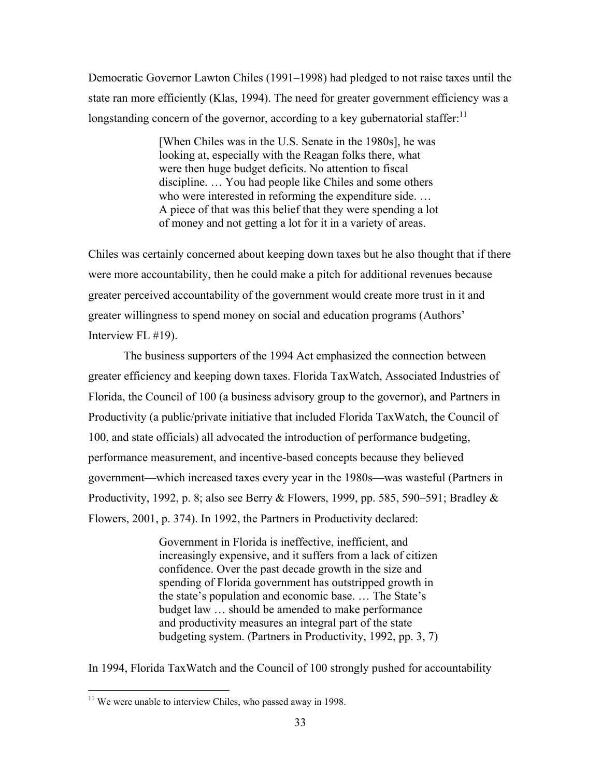Democratic Governor Lawton Chiles (1991–1998) had pledged to not raise taxes until the state ran more efficiently (Klas, 1994). The need for greater government efficiency was a longstanding concern of the governor, according to a key gubernatorial staffer: $11$ 

> [When Chiles was in the U.S. Senate in the 1980s], he was looking at, especially with the Reagan folks there, what were then huge budget deficits. No attention to fiscal discipline. … You had people like Chiles and some others who were interested in reforming the expenditure side. … A piece of that was this belief that they were spending a lot of money and not getting a lot for it in a variety of areas.

Chiles was certainly concerned about keeping down taxes but he also thought that if there were more accountability, then he could make a pitch for additional revenues because greater perceived accountability of the government would create more trust in it and greater willingness to spend money on social and education programs (Authors' Interview FL #19).

 The business supporters of the 1994 Act emphasized the connection between greater efficiency and keeping down taxes. Florida TaxWatch, Associated Industries of Florida, the Council of 100 (a business advisory group to the governor), and Partners in Productivity (a public/private initiative that included Florida TaxWatch, the Council of 100, and state officials) all advocated the introduction of performance budgeting, performance measurement, and incentive-based concepts because they believed government—which increased taxes every year in the 1980s—was wasteful (Partners in Productivity, 1992, p. 8; also see Berry & Flowers, 1999, pp. 585, 590–591; Bradley  $\&$ Flowers, 2001, p. 374). In 1992, the Partners in Productivity declared:

> Government in Florida is ineffective, inefficient, and increasingly expensive, and it suffers from a lack of citizen confidence. Over the past decade growth in the size and spending of Florida government has outstripped growth in the state's population and economic base. … The State's budget law … should be amended to make performance and productivity measures an integral part of the state budgeting system. (Partners in Productivity, 1992, pp. 3, 7)

In 1994, Florida TaxWatch and the Council of 100 strongly pushed for accountability

 $\overline{a}$ 

 $11$  We were unable to interview Chiles, who passed away in 1998.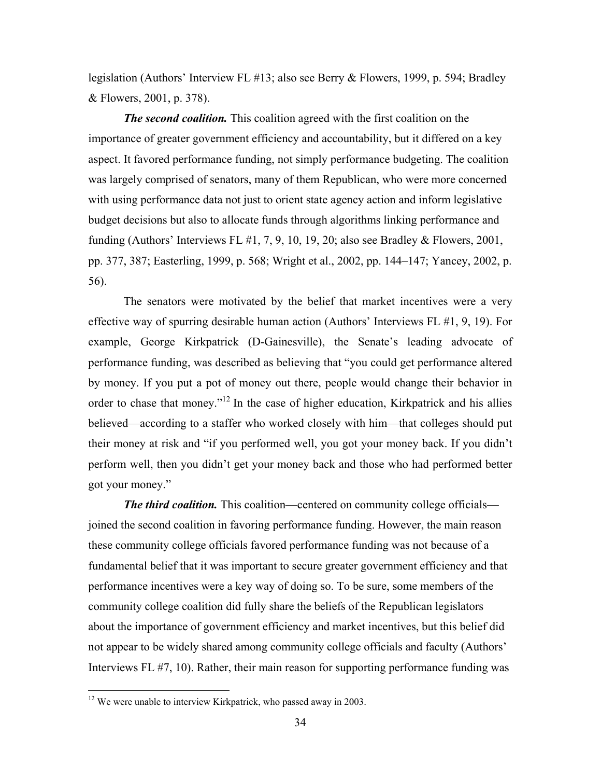legislation (Authors' Interview FL #13; also see Berry & Flowers, 1999, p. 594; Bradley & Flowers, 2001, p. 378).

*The second coalition.* This coalition agreed with the first coalition on the importance of greater government efficiency and accountability, but it differed on a key aspect. It favored performance funding, not simply performance budgeting. The coalition was largely comprised of senators, many of them Republican, who were more concerned with using performance data not just to orient state agency action and inform legislative budget decisions but also to allocate funds through algorithms linking performance and funding (Authors' Interviews FL  $\#1, 7, 9, 10, 19, 20$ ; also see Bradley & Flowers, 2001, pp. 377, 387; Easterling, 1999, p. 568; Wright et al., 2002, pp. 144–147; Yancey, 2002, p. 56).

 The senators were motivated by the belief that market incentives were a very effective way of spurring desirable human action (Authors' Interviews FL #1, 9, 19). For example, George Kirkpatrick (D-Gainesville), the Senate's leading advocate of performance funding, was described as believing that "you could get performance altered by money. If you put a pot of money out there, people would change their behavior in order to chase that money."<sup>12</sup> In the case of higher education, Kirkpatrick and his allies believed—according to a staffer who worked closely with him—that colleges should put their money at risk and "if you performed well, you got your money back. If you didn't perform well, then you didn't get your money back and those who had performed better got your money."

*The third coalition.* This coalition—centered on community college officials joined the second coalition in favoring performance funding. However, the main reason these community college officials favored performance funding was not because of a fundamental belief that it was important to secure greater government efficiency and that performance incentives were a key way of doing so. To be sure, some members of the community college coalition did fully share the beliefs of the Republican legislators about the importance of government efficiency and market incentives, but this belief did not appear to be widely shared among community college officials and faculty (Authors' Interviews FL #7, 10). Rather, their main reason for supporting performance funding was

 $\overline{a}$ 

 $12$  We were unable to interview Kirkpatrick, who passed away in 2003.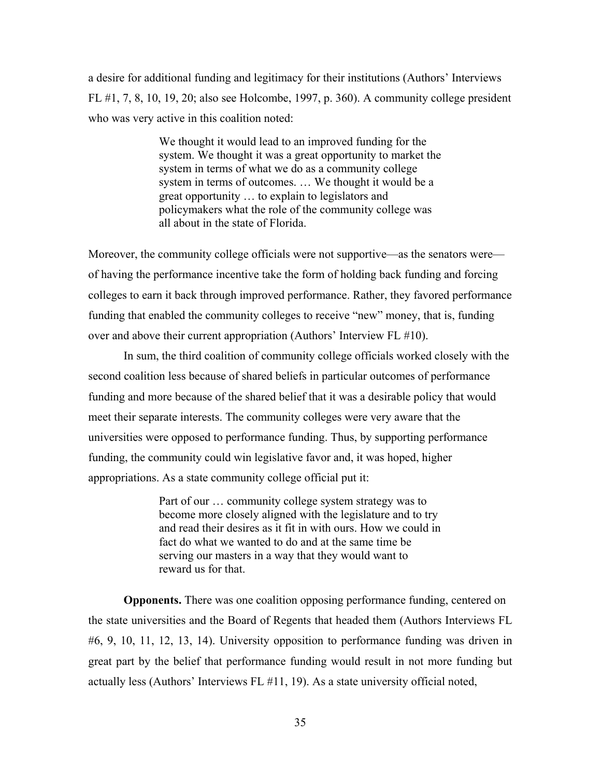a desire for additional funding and legitimacy for their institutions (Authors' Interviews FL #1, 7, 8, 10, 19, 20; also see Holcombe, 1997, p. 360). A community college president who was very active in this coalition noted:

> We thought it would lead to an improved funding for the system. We thought it was a great opportunity to market the system in terms of what we do as a community college system in terms of outcomes. … We thought it would be a great opportunity … to explain to legislators and policymakers what the role of the community college was all about in the state of Florida.

Moreover, the community college officials were not supportive—as the senators were of having the performance incentive take the form of holding back funding and forcing colleges to earn it back through improved performance. Rather, they favored performance funding that enabled the community colleges to receive "new" money, that is, funding over and above their current appropriation (Authors' Interview FL #10).

 In sum, the third coalition of community college officials worked closely with the second coalition less because of shared beliefs in particular outcomes of performance funding and more because of the shared belief that it was a desirable policy that would meet their separate interests. The community colleges were very aware that the universities were opposed to performance funding. Thus, by supporting performance funding, the community could win legislative favor and, it was hoped, higher appropriations. As a state community college official put it:

> Part of our … community college system strategy was to become more closely aligned with the legislature and to try and read their desires as it fit in with ours. How we could in fact do what we wanted to do and at the same time be serving our masters in a way that they would want to reward us for that.

**Opponents.** There was one coalition opposing performance funding, centered on the state universities and the Board of Regents that headed them (Authors Interviews FL #6, 9, 10, 11, 12, 13, 14). University opposition to performance funding was driven in great part by the belief that performance funding would result in not more funding but actually less (Authors' Interviews FL #11, 19). As a state university official noted,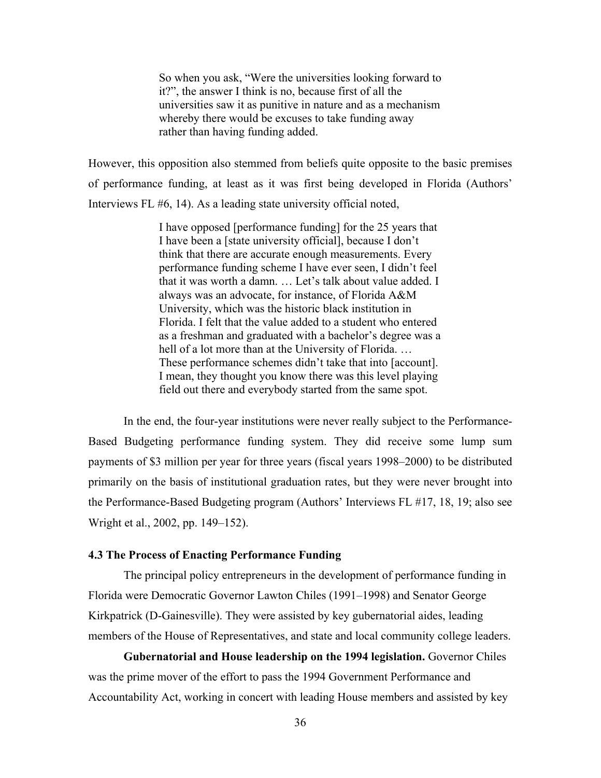So when you ask, "Were the universities looking forward to it?", the answer I think is no, because first of all the universities saw it as punitive in nature and as a mechanism whereby there would be excuses to take funding away rather than having funding added.

However, this opposition also stemmed from beliefs quite opposite to the basic premises of performance funding, at least as it was first being developed in Florida (Authors' Interviews FL #6, 14). As a leading state university official noted,

> I have opposed [performance funding] for the 25 years that I have been a [state university official], because I don't think that there are accurate enough measurements. Every performance funding scheme I have ever seen, I didn't feel that it was worth a damn. … Let's talk about value added. I always was an advocate, for instance, of Florida A&M University, which was the historic black institution in Florida. I felt that the value added to a student who entered as a freshman and graduated with a bachelor's degree was a hell of a lot more than at the University of Florida... These performance schemes didn't take that into [account]. I mean, they thought you know there was this level playing field out there and everybody started from the same spot.

 In the end, the four-year institutions were never really subject to the Performance-Based Budgeting performance funding system. They did receive some lump sum payments of \$3 million per year for three years (fiscal years 1998–2000) to be distributed primarily on the basis of institutional graduation rates, but they were never brought into the Performance-Based Budgeting program (Authors' Interviews FL #17, 18, 19; also see Wright et al., 2002, pp. 149–152).

#### **4.3 The Process of Enacting Performance Funding**

 The principal policy entrepreneurs in the development of performance funding in Florida were Democratic Governor Lawton Chiles (1991–1998) and Senator George Kirkpatrick (D-Gainesville). They were assisted by key gubernatorial aides, leading members of the House of Representatives, and state and local community college leaders.

**Gubernatorial and House leadership on the 1994 legislation.** Governor Chiles was the prime mover of the effort to pass the 1994 Government Performance and Accountability Act, working in concert with leading House members and assisted by key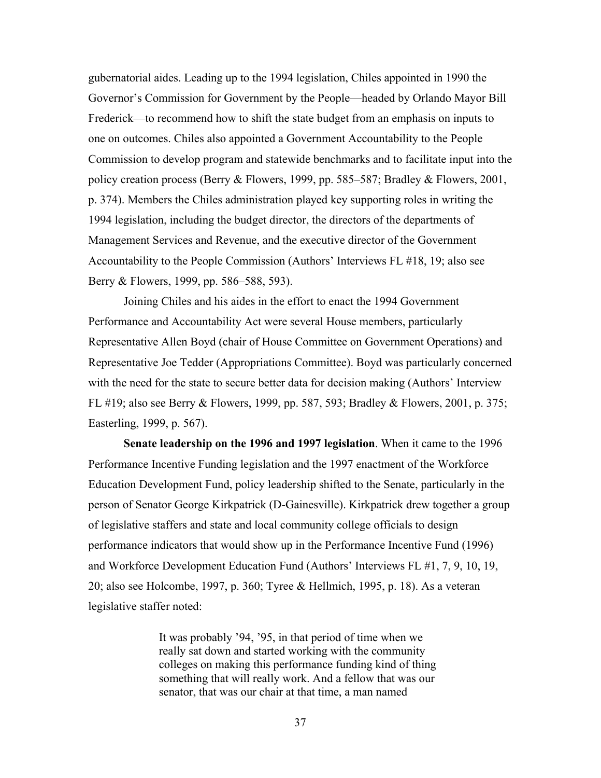gubernatorial aides. Leading up to the 1994 legislation, Chiles appointed in 1990 the Governor's Commission for Government by the People—headed by Orlando Mayor Bill Frederick—to recommend how to shift the state budget from an emphasis on inputs to one on outcomes. Chiles also appointed a Government Accountability to the People Commission to develop program and statewide benchmarks and to facilitate input into the policy creation process (Berry & Flowers, 1999, pp. 585–587; Bradley & Flowers, 2001, p. 374). Members the Chiles administration played key supporting roles in writing the 1994 legislation, including the budget director, the directors of the departments of Management Services and Revenue, and the executive director of the Government Accountability to the People Commission (Authors' Interviews FL #18, 19; also see Berry & Flowers, 1999, pp. 586–588, 593).

 Joining Chiles and his aides in the effort to enact the 1994 Government Performance and Accountability Act were several House members, particularly Representative Allen Boyd (chair of House Committee on Government Operations) and Representative Joe Tedder (Appropriations Committee). Boyd was particularly concerned with the need for the state to secure better data for decision making (Authors' Interview FL #19; also see Berry & Flowers, 1999, pp. 587, 593; Bradley & Flowers, 2001, p. 375; Easterling, 1999, p. 567).

**Senate leadership on the 1996 and 1997 legislation**. When it came to the 1996 Performance Incentive Funding legislation and the 1997 enactment of the Workforce Education Development Fund, policy leadership shifted to the Senate, particularly in the person of Senator George Kirkpatrick (D-Gainesville). Kirkpatrick drew together a group of legislative staffers and state and local community college officials to design performance indicators that would show up in the Performance Incentive Fund (1996) and Workforce Development Education Fund (Authors' Interviews FL #1, 7, 9, 10, 19, 20; also see Holcombe, 1997, p. 360; Tyree & Hellmich, 1995, p. 18). As a veteran legislative staffer noted:

> It was probably '94, '95, in that period of time when we really sat down and started working with the community colleges on making this performance funding kind of thing something that will really work. And a fellow that was our senator, that was our chair at that time, a man named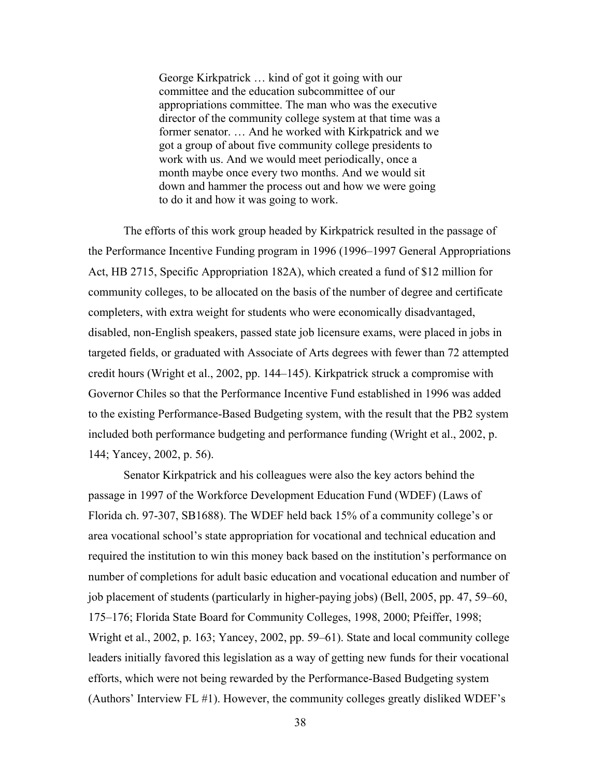George Kirkpatrick … kind of got it going with our committee and the education subcommittee of our appropriations committee. The man who was the executive director of the community college system at that time was a former senator. … And he worked with Kirkpatrick and we got a group of about five community college presidents to work with us. And we would meet periodically, once a month maybe once every two months. And we would sit down and hammer the process out and how we were going to do it and how it was going to work.

 The efforts of this work group headed by Kirkpatrick resulted in the passage of the Performance Incentive Funding program in 1996 (1996–1997 General Appropriations Act, HB 2715, Specific Appropriation 182A), which created a fund of \$12 million for community colleges, to be allocated on the basis of the number of degree and certificate completers, with extra weight for students who were economically disadvantaged, disabled, non-English speakers, passed state job licensure exams, were placed in jobs in targeted fields, or graduated with Associate of Arts degrees with fewer than 72 attempted credit hours (Wright et al., 2002, pp. 144–145). Kirkpatrick struck a compromise with Governor Chiles so that the Performance Incentive Fund established in 1996 was added to the existing Performance-Based Budgeting system, with the result that the PB2 system included both performance budgeting and performance funding (Wright et al., 2002, p. 144; Yancey, 2002, p. 56).

Senator Kirkpatrick and his colleagues were also the key actors behind the passage in 1997 of the Workforce Development Education Fund (WDEF) (Laws of Florida ch. 97-307, SB1688). The WDEF held back 15% of a community college's or area vocational school's state appropriation for vocational and technical education and required the institution to win this money back based on the institution's performance on number of completions for adult basic education and vocational education and number of job placement of students (particularly in higher-paying jobs) (Bell, 2005, pp. 47, 59–60, 175–176; Florida State Board for Community Colleges, 1998, 2000; Pfeiffer, 1998; Wright et al., 2002, p. 163; Yancey, 2002, pp. 59–61). State and local community college leaders initially favored this legislation as a way of getting new funds for their vocational efforts, which were not being rewarded by the Performance-Based Budgeting system (Authors' Interview FL #1). However, the community colleges greatly disliked WDEF's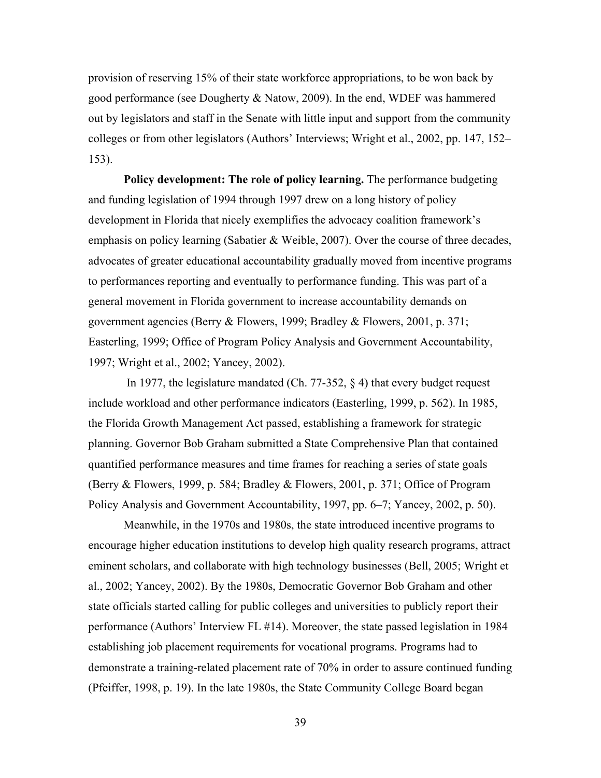provision of reserving 15% of their state workforce appropriations, to be won back by good performance (see Dougherty & Natow, 2009). In the end, WDEF was hammered out by legislators and staff in the Senate with little input and support from the community colleges or from other legislators (Authors' Interviews; Wright et al., 2002, pp. 147, 152– 153).

**Policy development: The role of policy learning.** The performance budgeting and funding legislation of 1994 through 1997 drew on a long history of policy development in Florida that nicely exemplifies the advocacy coalition framework's emphasis on policy learning (Sabatier & Weible, 2007). Over the course of three decades, advocates of greater educational accountability gradually moved from incentive programs to performances reporting and eventually to performance funding. This was part of a general movement in Florida government to increase accountability demands on government agencies (Berry & Flowers, 1999; Bradley & Flowers, 2001, p. 371; Easterling, 1999; Office of Program Policy Analysis and Government Accountability, 1997; Wright et al., 2002; Yancey, 2002).

 In 1977, the legislature mandated (Ch. 77-352, § 4) that every budget request include workload and other performance indicators (Easterling, 1999, p. 562). In 1985, the Florida Growth Management Act passed, establishing a framework for strategic planning. Governor Bob Graham submitted a State Comprehensive Plan that contained quantified performance measures and time frames for reaching a series of state goals (Berry & Flowers, 1999, p. 584; Bradley & Flowers, 2001, p. 371; Office of Program Policy Analysis and Government Accountability, 1997, pp. 6–7; Yancey, 2002, p. 50).

 Meanwhile, in the 1970s and 1980s, the state introduced incentive programs to encourage higher education institutions to develop high quality research programs, attract eminent scholars, and collaborate with high technology businesses (Bell, 2005; Wright et al., 2002; Yancey, 2002). By the 1980s, Democratic Governor Bob Graham and other state officials started calling for public colleges and universities to publicly report their performance (Authors' Interview FL #14). Moreover, the state passed legislation in 1984 establishing job placement requirements for vocational programs. Programs had to demonstrate a training-related placement rate of 70% in order to assure continued funding (Pfeiffer, 1998, p. 19). In the late 1980s, the State Community College Board began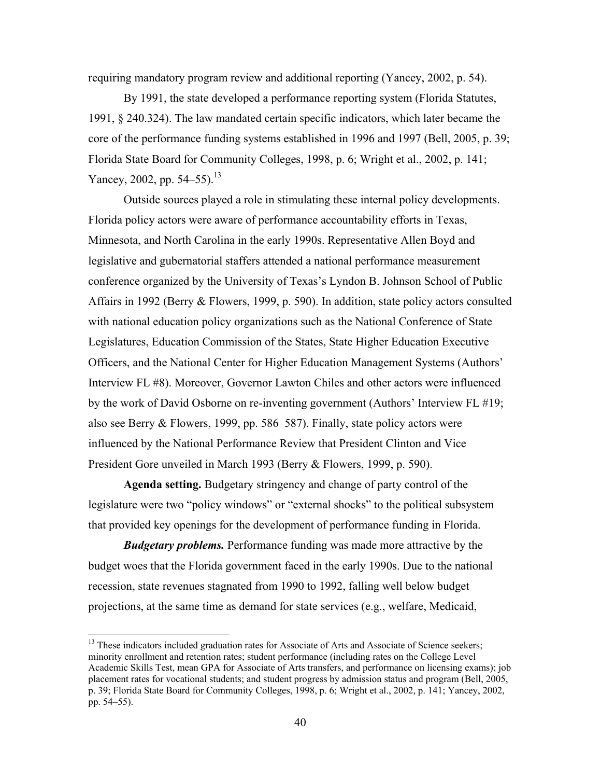requiring mandatory program review and additional reporting (Yancey, 2002, p. 54).

By 1991, the state developed a performance reporting system (Florida Statutes, 1991, § 240.324). The law mandated certain specific indicators, which later became the core of the performance funding systems established in 1996 and 1997 (Bell, 2005, p. 39; Florida State Board for Community Colleges, 1998, p. 6; Wright et al., 2002, p. 141; Yancey, 2002, pp.  $54-55$ ).<sup>13</sup>

Outside sources played a role in stimulating these internal policy developments. Florida policy actors were aware of performance accountability efforts in Texas, Minnesota, and North Carolina in the early 1990s. Representative Allen Boyd and legislative and gubernatorial staffers attended a national performance measurement conference organized by the University of Texas's Lyndon B. Johnson School of Public Affairs in 1992 (Berry & Flowers, 1999, p. 590). In addition, state policy actors consulted with national education policy organizations such as the National Conference of State Legislatures, Education Commission of the States, State Higher Education Executive Officers, and the National Center for Higher Education Management Systems (Authors' Interview FL #8). Moreover, Governor Lawton Chiles and other actors were influenced by the work of David Osborne on re-inventing government (Authors' Interview FL #19; also see Berry & Flowers, 1999, pp. 586–587). Finally, state policy actors were influenced by the National Performance Review that President Clinton and Vice President Gore unveiled in March 1993 (Berry & Flowers, 1999, p. 590).

**Agenda setting.** Budgetary stringency and change of party control of the legislature were two "policy windows" or "external shocks" to the political subsystem that provided key openings for the development of performance funding in Florida.

*Budgetary problems.* Performance funding was made more attractive by the budget woes that the Florida government faced in the early 1990s. Due to the national recession, state revenues stagnated from 1990 to 1992, falling well below budget projections, at the same time as demand for state services (e.g., welfare, Medicaid,

<sup>&</sup>lt;sup>13</sup> These indicators included graduation rates for Associate of Arts and Associate of Science seekers; minority enrollment and retention rates; student performance (including rates on the College Level Academic Skills Test, mean GPA for Associate of Arts transfers, and performance on licensing exams); job placement rates for vocational students; and student progress by admission status and program (Bell, 2005, p. 39; Florida State Board for Community Colleges, 1998, p. 6; Wright et al., 2002, p. 141; Yancey, 2002, pp. 54–55).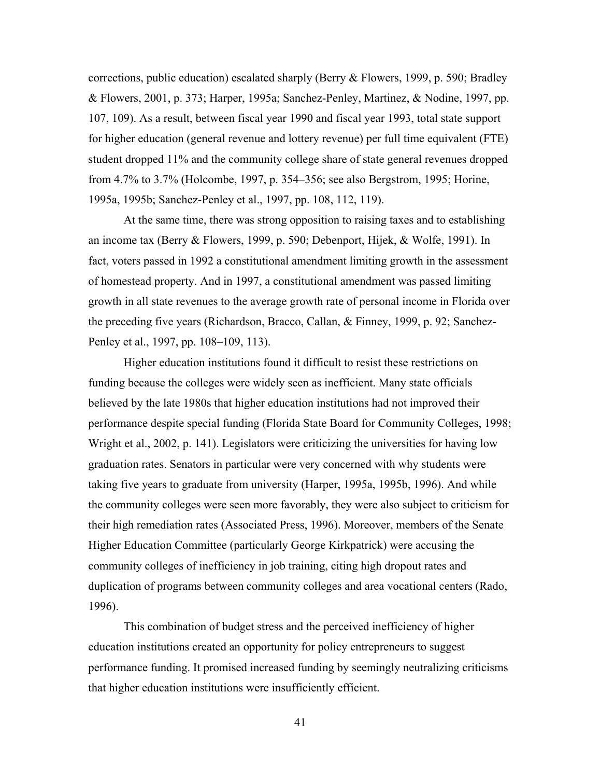corrections, public education) escalated sharply (Berry  $\&$  Flowers, 1999, p. 590; Bradley & Flowers, 2001, p. 373; Harper, 1995a; Sanchez-Penley, Martinez, & Nodine, 1997, pp. 107, 109). As a result, between fiscal year 1990 and fiscal year 1993, total state support for higher education (general revenue and lottery revenue) per full time equivalent (FTE) student dropped 11% and the community college share of state general revenues dropped from 4.7% to 3.7% (Holcombe, 1997, p. 354–356; see also Bergstrom, 1995; Horine, 1995a, 1995b; Sanchez-Penley et al., 1997, pp. 108, 112, 119).

 At the same time, there was strong opposition to raising taxes and to establishing an income tax (Berry & Flowers, 1999, p. 590; Debenport, Hijek, & Wolfe, 1991). In fact, voters passed in 1992 a constitutional amendment limiting growth in the assessment of homestead property. And in 1997, a constitutional amendment was passed limiting growth in all state revenues to the average growth rate of personal income in Florida over the preceding five years (Richardson, Bracco, Callan, & Finney, 1999, p. 92; Sanchez-Penley et al., 1997, pp. 108–109, 113).

 Higher education institutions found it difficult to resist these restrictions on funding because the colleges were widely seen as inefficient. Many state officials believed by the late 1980s that higher education institutions had not improved their performance despite special funding (Florida State Board for Community Colleges, 1998; Wright et al., 2002, p. 141). Legislators were criticizing the universities for having low graduation rates. Senators in particular were very concerned with why students were taking five years to graduate from university (Harper, 1995a, 1995b, 1996). And while the community colleges were seen more favorably, they were also subject to criticism for their high remediation rates (Associated Press, 1996). Moreover, members of the Senate Higher Education Committee (particularly George Kirkpatrick) were accusing the community colleges of inefficiency in job training, citing high dropout rates and duplication of programs between community colleges and area vocational centers (Rado, 1996).

 This combination of budget stress and the perceived inefficiency of higher education institutions created an opportunity for policy entrepreneurs to suggest performance funding. It promised increased funding by seemingly neutralizing criticisms that higher education institutions were insufficiently efficient.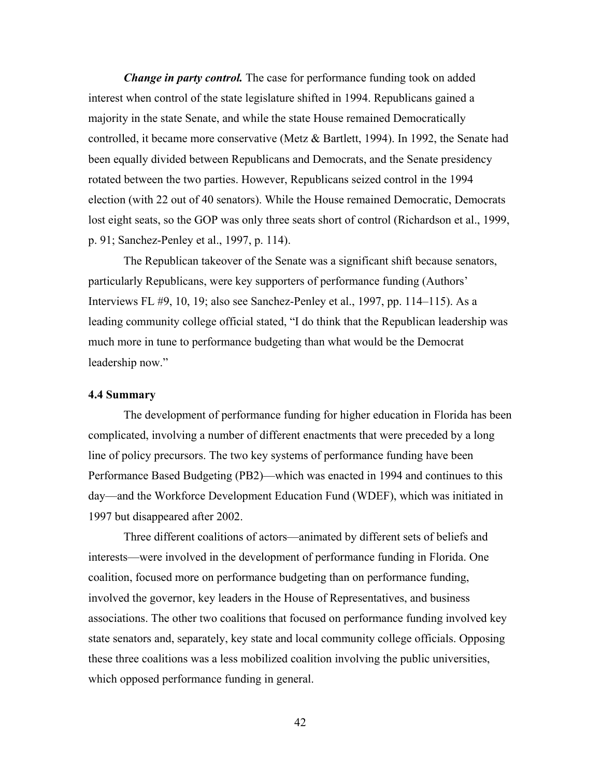*Change in party control.* The case for performance funding took on added interest when control of the state legislature shifted in 1994. Republicans gained a majority in the state Senate, and while the state House remained Democratically controlled, it became more conservative (Metz & Bartlett, 1994). In 1992, the Senate had been equally divided between Republicans and Democrats, and the Senate presidency rotated between the two parties. However, Republicans seized control in the 1994 election (with 22 out of 40 senators). While the House remained Democratic, Democrats lost eight seats, so the GOP was only three seats short of control (Richardson et al., 1999, p. 91; Sanchez-Penley et al., 1997, p. 114).

The Republican takeover of the Senate was a significant shift because senators, particularly Republicans, were key supporters of performance funding (Authors' Interviews FL #9, 10, 19; also see Sanchez-Penley et al., 1997, pp. 114–115). As a leading community college official stated, "I do think that the Republican leadership was much more in tune to performance budgeting than what would be the Democrat leadership now."

#### **4.4 Summary**

 The development of performance funding for higher education in Florida has been complicated, involving a number of different enactments that were preceded by a long line of policy precursors. The two key systems of performance funding have been Performance Based Budgeting (PB2)—which was enacted in 1994 and continues to this day—and the Workforce Development Education Fund (WDEF), which was initiated in 1997 but disappeared after 2002.

 Three different coalitions of actors—animated by different sets of beliefs and interests—were involved in the development of performance funding in Florida. One coalition, focused more on performance budgeting than on performance funding, involved the governor, key leaders in the House of Representatives, and business associations. The other two coalitions that focused on performance funding involved key state senators and, separately, key state and local community college officials. Opposing these three coalitions was a less mobilized coalition involving the public universities, which opposed performance funding in general.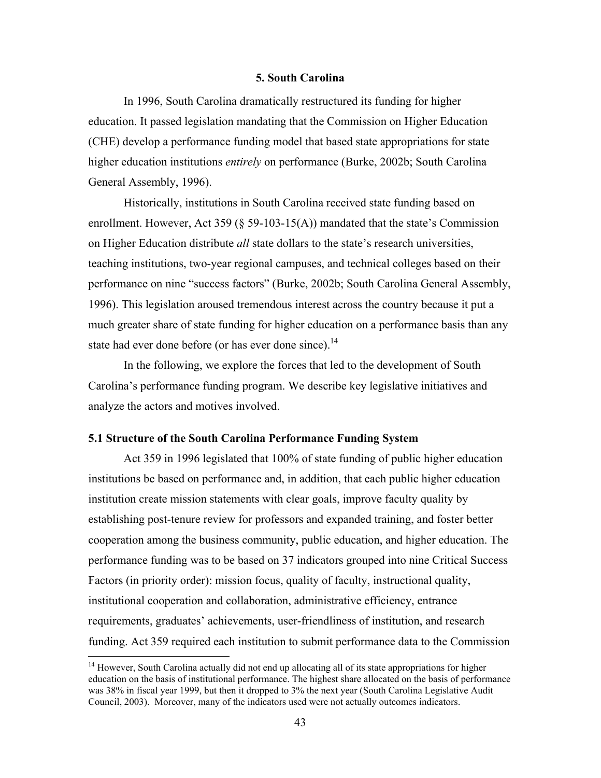## **5. South Carolina**

In 1996, South Carolina dramatically restructured its funding for higher education. It passed legislation mandating that the Commission on Higher Education (CHE) develop a performance funding model that based state appropriations for state higher education institutions *entirely* on performance (Burke, 2002b; South Carolina General Assembly, 1996).

Historically, institutions in South Carolina received state funding based on enrollment. However, Act 359 ( $\S$  59-103-15(A)) mandated that the state's Commission on Higher Education distribute *all* state dollars to the state's research universities, teaching institutions, two-year regional campuses, and technical colleges based on their performance on nine "success factors" (Burke, 2002b; South Carolina General Assembly, 1996). This legislation aroused tremendous interest across the country because it put a much greater share of state funding for higher education on a performance basis than any state had ever done before (or has ever done since).<sup>14</sup>

In the following, we explore the forces that led to the development of South Carolina's performance funding program. We describe key legislative initiatives and analyze the actors and motives involved.

## **5.1 Structure of the South Carolina Performance Funding System**

 $\overline{a}$ 

 Act 359 in 1996 legislated that 100% of state funding of public higher education institutions be based on performance and, in addition, that each public higher education institution create mission statements with clear goals, improve faculty quality by establishing post-tenure review for professors and expanded training, and foster better cooperation among the business community, public education, and higher education. The performance funding was to be based on 37 indicators grouped into nine Critical Success Factors (in priority order): mission focus, quality of faculty, instructional quality, institutional cooperation and collaboration, administrative efficiency, entrance requirements, graduates' achievements, user-friendliness of institution, and research funding. Act 359 required each institution to submit performance data to the Commission

<sup>&</sup>lt;sup>14</sup> However, South Carolina actually did not end up allocating all of its state appropriations for higher education on the basis of institutional performance. The highest share allocated on the basis of performance was 38% in fiscal year 1999, but then it dropped to 3% the next year (South Carolina Legislative Audit Council, 2003). Moreover, many of the indicators used were not actually outcomes indicators.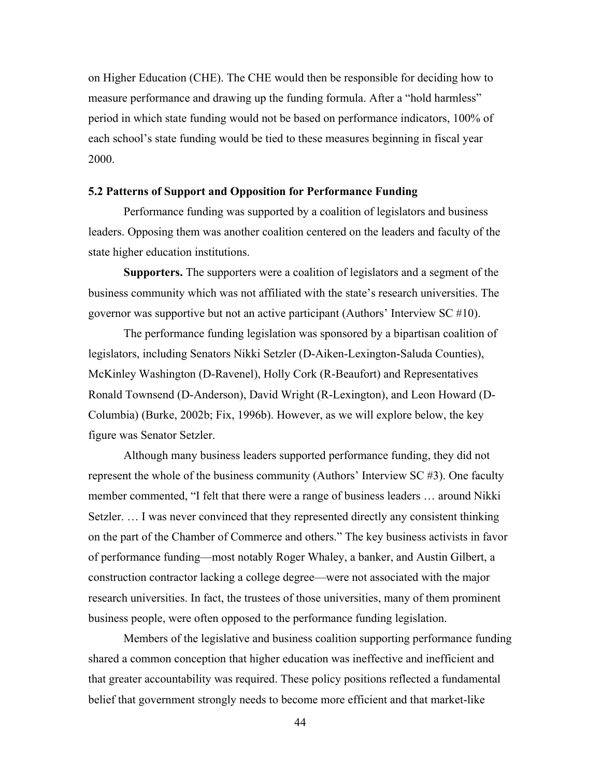on Higher Education (CHE). The CHE would then be responsible for deciding how to measure performance and drawing up the funding formula. After a "hold harmless" period in which state funding would not be based on performance indicators, 100% of each school's state funding would be tied to these measures beginning in fiscal year 2000.

## **5.2 Patterns of Support and Opposition for Performance Funding**

Performance funding was supported by a coalition of legislators and business leaders. Opposing them was another coalition centered on the leaders and faculty of the state higher education institutions.

**Supporters.** The supporters were a coalition of legislators and a segment of the business community which was not affiliated with the state's research universities. The governor was supportive but not an active participant (Authors' Interview SC #10).

The performance funding legislation was sponsored by a bipartisan coalition of legislators, including Senators Nikki Setzler (D-Aiken-Lexington-Saluda Counties), McKinley Washington (D-Ravenel), Holly Cork (R-Beaufort) and Representatives Ronald Townsend (D-Anderson), David Wright (R-Lexington), and Leon Howard (D-Columbia) (Burke, 2002b; Fix, 1996b). However, as we will explore below, the key figure was Senator Setzler.

Although many business leaders supported performance funding, they did not represent the whole of the business community (Authors' Interview SC #3). One faculty member commented, "I felt that there were a range of business leaders … around Nikki Setzler. … I was never convinced that they represented directly any consistent thinking on the part of the Chamber of Commerce and others." The key business activists in favor of performance funding—most notably Roger Whaley, a banker, and Austin Gilbert, a construction contractor lacking a college degree—were not associated with the major research universities. In fact, the trustees of those universities, many of them prominent business people, were often opposed to the performance funding legislation.

Members of the legislative and business coalition supporting performance funding shared a common conception that higher education was ineffective and inefficient and that greater accountability was required. These policy positions reflected a fundamental belief that government strongly needs to become more efficient and that market-like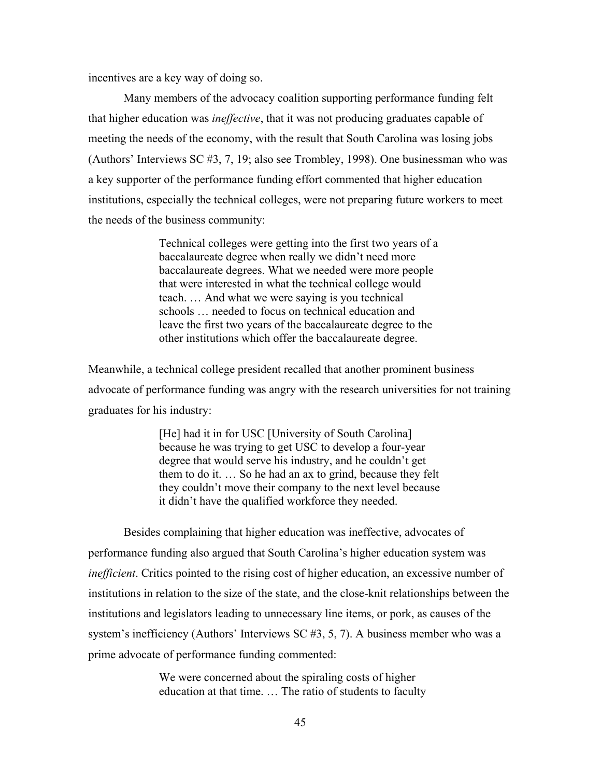incentives are a key way of doing so.

Many members of the advocacy coalition supporting performance funding felt that higher education was *ineffective*, that it was not producing graduates capable of meeting the needs of the economy, with the result that South Carolina was losing jobs (Authors' Interviews SC #3, 7, 19; also see Trombley, 1998). One businessman who was a key supporter of the performance funding effort commented that higher education institutions, especially the technical colleges, were not preparing future workers to meet the needs of the business community:

> Technical colleges were getting into the first two years of a baccalaureate degree when really we didn't need more baccalaureate degrees. What we needed were more people that were interested in what the technical college would teach. … And what we were saying is you technical schools … needed to focus on technical education and leave the first two years of the baccalaureate degree to the other institutions which offer the baccalaureate degree.

Meanwhile, a technical college president recalled that another prominent business advocate of performance funding was angry with the research universities for not training graduates for his industry:

> [He] had it in for USC [University of South Carolina] because he was trying to get USC to develop a four-year degree that would serve his industry, and he couldn't get them to do it. … So he had an ax to grind, because they felt they couldn't move their company to the next level because it didn't have the qualified workforce they needed.

Besides complaining that higher education was ineffective, advocates of performance funding also argued that South Carolina's higher education system was *inefficient*. Critics pointed to the rising cost of higher education, an excessive number of institutions in relation to the size of the state, and the close-knit relationships between the institutions and legislators leading to unnecessary line items, or pork, as causes of the system's inefficiency (Authors' Interviews SC #3, 5, 7). A business member who was a prime advocate of performance funding commented:

> We were concerned about the spiraling costs of higher education at that time. … The ratio of students to faculty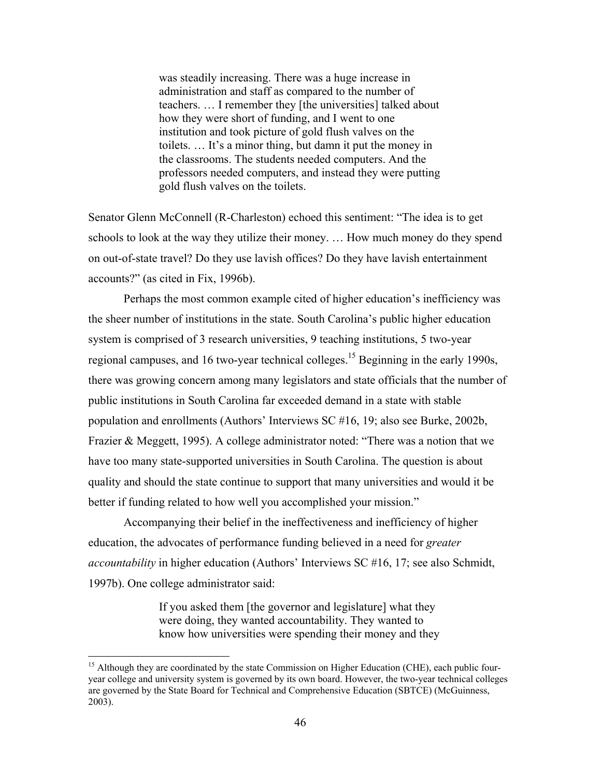was steadily increasing. There was a huge increase in administration and staff as compared to the number of teachers. … I remember they [the universities] talked about how they were short of funding, and I went to one institution and took picture of gold flush valves on the toilets. … It's a minor thing, but damn it put the money in the classrooms. The students needed computers. And the professors needed computers, and instead they were putting gold flush valves on the toilets.

Senator Glenn McConnell (R-Charleston) echoed this sentiment: "The idea is to get schools to look at the way they utilize their money. … How much money do they spend on out-of-state travel? Do they use lavish offices? Do they have lavish entertainment accounts?" (as cited in Fix, 1996b).

Perhaps the most common example cited of higher education's inefficiency was the sheer number of institutions in the state. South Carolina's public higher education system is comprised of 3 research universities, 9 teaching institutions, 5 two-year regional campuses, and 16 two-year technical colleges.<sup>15</sup> Beginning in the early 1990s, there was growing concern among many legislators and state officials that the number of public institutions in South Carolina far exceeded demand in a state with stable population and enrollments (Authors' Interviews SC #16, 19; also see Burke, 2002b, Frazier & Meggett, 1995). A college administrator noted: "There was a notion that we have too many state-supported universities in South Carolina. The question is about quality and should the state continue to support that many universities and would it be better if funding related to how well you accomplished your mission."

Accompanying their belief in the ineffectiveness and inefficiency of higher education, the advocates of performance funding believed in a need for *greater accountability* in higher education (Authors' Interviews SC #16, 17; see also Schmidt, 1997b). One college administrator said:

> If you asked them [the governor and legislature] what they were doing, they wanted accountability. They wanted to know how universities were spending their money and they

 $\overline{a}$ 

<sup>&</sup>lt;sup>15</sup> Although they are coordinated by the state Commission on Higher Education (CHE), each public fouryear college and university system is governed by its own board. However, the two-year technical colleges are governed by the State Board for Technical and Comprehensive Education (SBTCE) (McGuinness, 2003).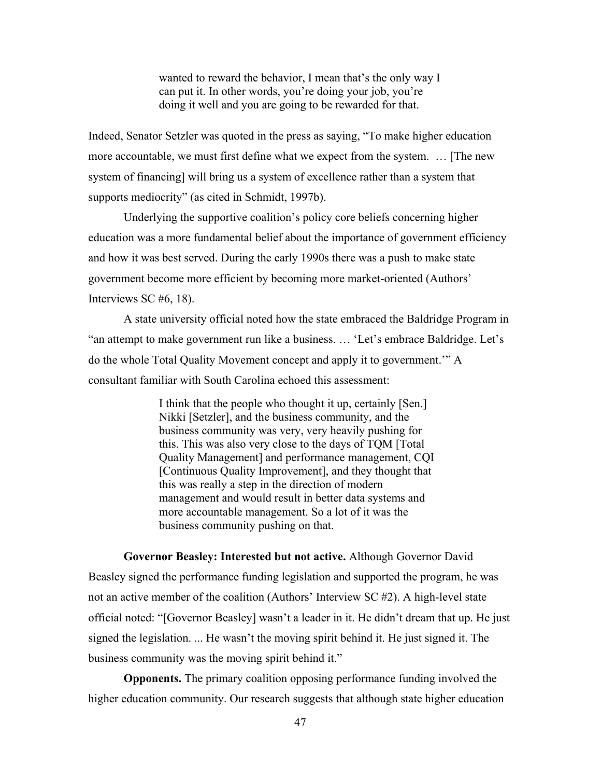wanted to reward the behavior, I mean that's the only way I can put it. In other words, you're doing your job, you're doing it well and you are going to be rewarded for that.

Indeed, Senator Setzler was quoted in the press as saying, "To make higher education more accountable, we must first define what we expect from the system. … [The new system of financing] will bring us a system of excellence rather than a system that supports mediocrity" (as cited in Schmidt, 1997b).

Underlying the supportive coalition's policy core beliefs concerning higher education was a more fundamental belief about the importance of government efficiency and how it was best served. During the early 1990s there was a push to make state government become more efficient by becoming more market-oriented (Authors' Interviews SC #6, 18).

A state university official noted how the state embraced the Baldridge Program in "an attempt to make government run like a business. … 'Let's embrace Baldridge. Let's do the whole Total Quality Movement concept and apply it to government.'" A consultant familiar with South Carolina echoed this assessment:

> I think that the people who thought it up, certainly [Sen.] Nikki [Setzler], and the business community, and the business community was very, very heavily pushing for this. This was also very close to the days of TQM [Total Quality Management] and performance management, CQI [Continuous Quality Improvement], and they thought that this was really a step in the direction of modern management and would result in better data systems and more accountable management. So a lot of it was the business community pushing on that.

**Governor Beasley: Interested but not active.** Although Governor David Beasley signed the performance funding legislation and supported the program, he was not an active member of the coalition (Authors' Interview SC #2). A high-level state official noted: "[Governor Beasley] wasn't a leader in it. He didn't dream that up. He just signed the legislation. ... He wasn't the moving spirit behind it. He just signed it. The business community was the moving spirit behind it."

**Opponents.** The primary coalition opposing performance funding involved the higher education community. Our research suggests that although state higher education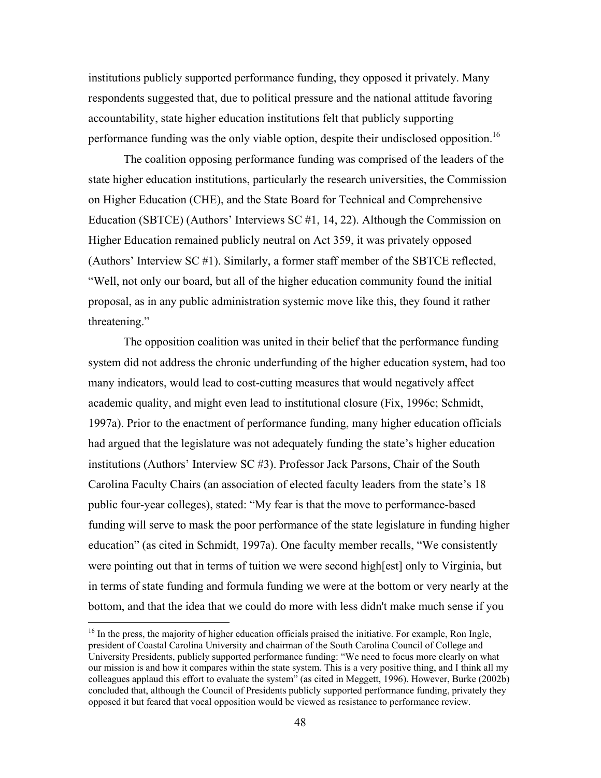institutions publicly supported performance funding, they opposed it privately. Many respondents suggested that, due to political pressure and the national attitude favoring accountability, state higher education institutions felt that publicly supporting performance funding was the only viable option, despite their undisclosed opposition.<sup>16</sup>

The coalition opposing performance funding was comprised of the leaders of the state higher education institutions, particularly the research universities, the Commission on Higher Education (CHE), and the State Board for Technical and Comprehensive Education (SBTCE) (Authors' Interviews SC #1, 14, 22). Although the Commission on Higher Education remained publicly neutral on Act 359, it was privately opposed (Authors' Interview SC #1). Similarly, a former staff member of the SBTCE reflected, "Well, not only our board, but all of the higher education community found the initial proposal, as in any public administration systemic move like this, they found it rather threatening."

 The opposition coalition was united in their belief that the performance funding system did not address the chronic underfunding of the higher education system, had too many indicators, would lead to cost-cutting measures that would negatively affect academic quality, and might even lead to institutional closure (Fix, 1996c; Schmidt, 1997a). Prior to the enactment of performance funding, many higher education officials had argued that the legislature was not adequately funding the state's higher education institutions (Authors' Interview SC #3). Professor Jack Parsons, Chair of the South Carolina Faculty Chairs (an association of elected faculty leaders from the state's 18 public four-year colleges), stated: "My fear is that the move to performance-based funding will serve to mask the poor performance of the state legislature in funding higher education" (as cited in Schmidt, 1997a). One faculty member recalls, "We consistently were pointing out that in terms of tuition we were second high[est] only to Virginia, but in terms of state funding and formula funding we were at the bottom or very nearly at the bottom, and that the idea that we could do more with less didn't make much sense if you

<u>.</u>

 $16$  In the press, the majority of higher education officials praised the initiative. For example, Ron Ingle, president of Coastal Carolina University and chairman of the South Carolina Council of College and University Presidents, publicly supported performance funding: "We need to focus more clearly on what our mission is and how it compares within the state system. This is a very positive thing, and I think all my colleagues applaud this effort to evaluate the system" (as cited in Meggett, 1996). However, Burke (2002b) concluded that, although the Council of Presidents publicly supported performance funding, privately they opposed it but feared that vocal opposition would be viewed as resistance to performance review.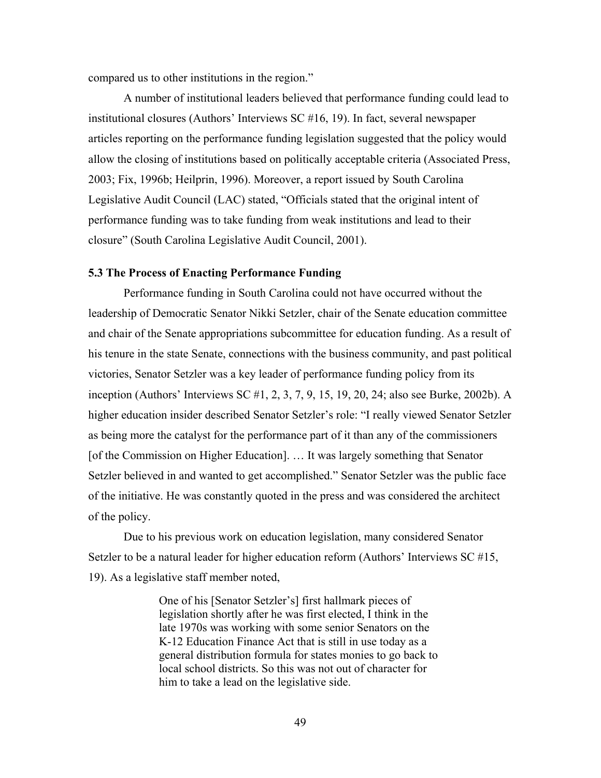compared us to other institutions in the region."

A number of institutional leaders believed that performance funding could lead to institutional closures (Authors' Interviews SC #16, 19). In fact, several newspaper articles reporting on the performance funding legislation suggested that the policy would allow the closing of institutions based on politically acceptable criteria (Associated Press, 2003; Fix, 1996b; Heilprin, 1996). Moreover, a report issued by South Carolina Legislative Audit Council (LAC) stated, "Officials stated that the original intent of performance funding was to take funding from weak institutions and lead to their closure" (South Carolina Legislative Audit Council, 2001).

# **5.3 The Process of Enacting Performance Funding**

 Performance funding in South Carolina could not have occurred without the leadership of Democratic Senator Nikki Setzler, chair of the Senate education committee and chair of the Senate appropriations subcommittee for education funding. As a result of his tenure in the state Senate, connections with the business community, and past political victories, Senator Setzler was a key leader of performance funding policy from its inception (Authors' Interviews SC #1, 2, 3, 7, 9, 15, 19, 20, 24; also see Burke, 2002b). A higher education insider described Senator Setzler's role: "I really viewed Senator Setzler as being more the catalyst for the performance part of it than any of the commissioners [of the Commission on Higher Education]. … It was largely something that Senator Setzler believed in and wanted to get accomplished." Senator Setzler was the public face of the initiative. He was constantly quoted in the press and was considered the architect of the policy.

Due to his previous work on education legislation, many considered Senator Setzler to be a natural leader for higher education reform (Authors' Interviews SC #15, 19). As a legislative staff member noted,

> One of his [Senator Setzler's] first hallmark pieces of legislation shortly after he was first elected, I think in the late 1970s was working with some senior Senators on the K-12 Education Finance Act that is still in use today as a general distribution formula for states monies to go back to local school districts. So this was not out of character for him to take a lead on the legislative side.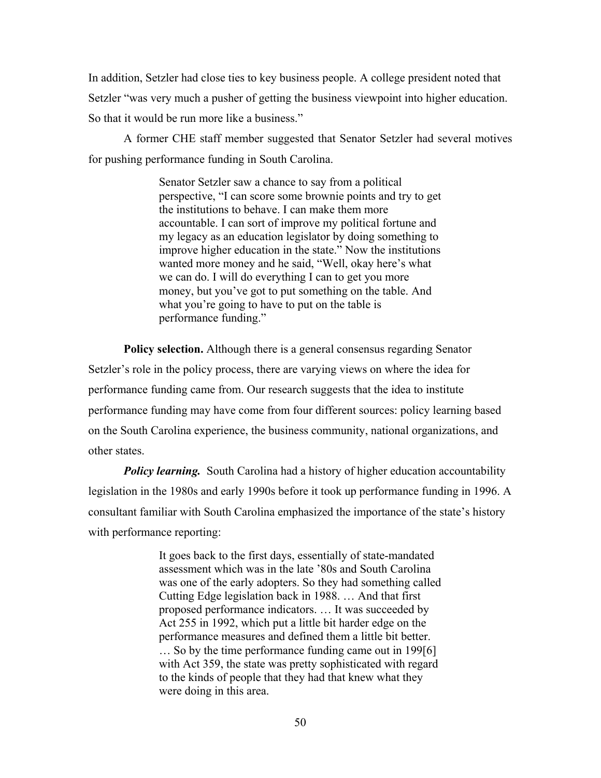In addition, Setzler had close ties to key business people. A college president noted that Setzler "was very much a pusher of getting the business viewpoint into higher education. So that it would be run more like a business."

A former CHE staff member suggested that Senator Setzler had several motives for pushing performance funding in South Carolina.

> Senator Setzler saw a chance to say from a political perspective, "I can score some brownie points and try to get the institutions to behave. I can make them more accountable. I can sort of improve my political fortune and my legacy as an education legislator by doing something to improve higher education in the state." Now the institutions wanted more money and he said, "Well, okay here's what we can do. I will do everything I can to get you more money, but you've got to put something on the table. And what you're going to have to put on the table is performance funding."

**Policy selection.** Although there is a general consensus regarding Senator Setzler's role in the policy process, there are varying views on where the idea for performance funding came from. Our research suggests that the idea to institute performance funding may have come from four different sources: policy learning based on the South Carolina experience, the business community, national organizations, and other states.

*Policy learning.* South Carolina had a history of higher education accountability legislation in the 1980s and early 1990s before it took up performance funding in 1996. A consultant familiar with South Carolina emphasized the importance of the state's history with performance reporting:

> It goes back to the first days, essentially of state-mandated assessment which was in the late '80s and South Carolina was one of the early adopters. So they had something called Cutting Edge legislation back in 1988. … And that first proposed performance indicators. … It was succeeded by Act 255 in 1992, which put a little bit harder edge on the performance measures and defined them a little bit better. … So by the time performance funding came out in 199[6] with Act 359, the state was pretty sophisticated with regard to the kinds of people that they had that knew what they were doing in this area.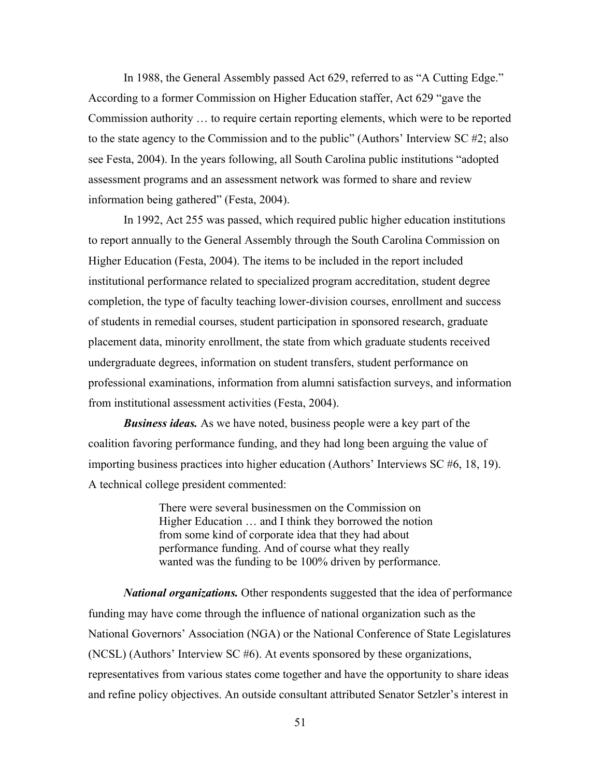In 1988, the General Assembly passed Act 629, referred to as "A Cutting Edge." According to a former Commission on Higher Education staffer, Act 629 "gave the Commission authority … to require certain reporting elements, which were to be reported to the state agency to the Commission and to the public" (Authors' Interview SC #2; also see Festa, 2004). In the years following, all South Carolina public institutions "adopted assessment programs and an assessment network was formed to share and review information being gathered" (Festa, 2004).

In 1992, Act 255 was passed, which required public higher education institutions to report annually to the General Assembly through the South Carolina Commission on Higher Education (Festa, 2004). The items to be included in the report included institutional performance related to specialized program accreditation, student degree completion, the type of faculty teaching lower-division courses, enrollment and success of students in remedial courses, student participation in sponsored research, graduate placement data, minority enrollment, the state from which graduate students received undergraduate degrees, information on student transfers, student performance on professional examinations, information from alumni satisfaction surveys, and information from institutional assessment activities (Festa, 2004).

*Business ideas.* As we have noted, business people were a key part of the coalition favoring performance funding, and they had long been arguing the value of importing business practices into higher education (Authors' Interviews SC #6, 18, 19). A technical college president commented:

> There were several businessmen on the Commission on Higher Education … and I think they borrowed the notion from some kind of corporate idea that they had about performance funding. And of course what they really wanted was the funding to be 100% driven by performance.

*National organizations.* Other respondents suggested that the idea of performance funding may have come through the influence of national organization such as the National Governors' Association (NGA) or the National Conference of State Legislatures (NCSL) (Authors' Interview SC #6). At events sponsored by these organizations, representatives from various states come together and have the opportunity to share ideas and refine policy objectives. An outside consultant attributed Senator Setzler's interest in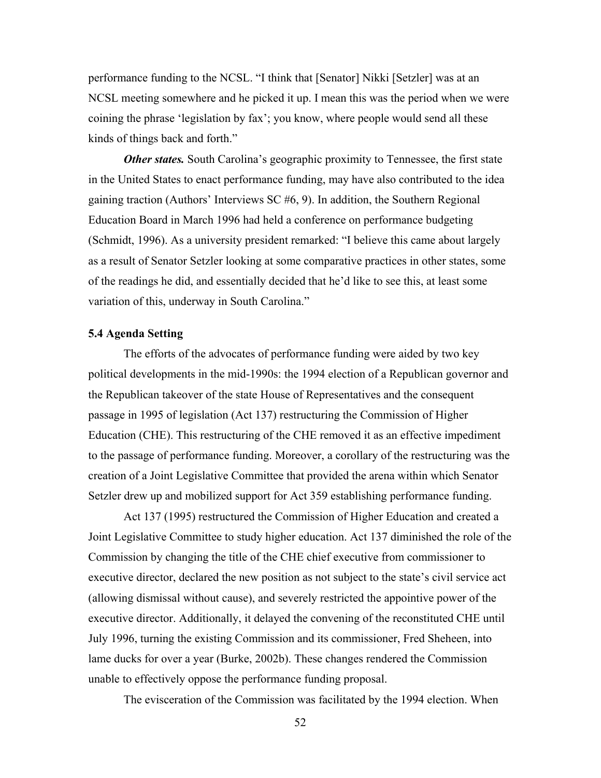performance funding to the NCSL. "I think that [Senator] Nikki [Setzler] was at an NCSL meeting somewhere and he picked it up. I mean this was the period when we were coining the phrase 'legislation by fax'; you know, where people would send all these kinds of things back and forth."

*Other states.* South Carolina's geographic proximity to Tennessee, the first state in the United States to enact performance funding, may have also contributed to the idea gaining traction (Authors' Interviews SC #6, 9). In addition, the Southern Regional Education Board in March 1996 had held a conference on performance budgeting (Schmidt, 1996). As a university president remarked: "I believe this came about largely as a result of Senator Setzler looking at some comparative practices in other states, some of the readings he did, and essentially decided that he'd like to see this, at least some variation of this, underway in South Carolina."

#### **5.4 Agenda Setting**

 The efforts of the advocates of performance funding were aided by two key political developments in the mid-1990s: the 1994 election of a Republican governor and the Republican takeover of the state House of Representatives and the consequent passage in 1995 of legislation (Act 137) restructuring the Commission of Higher Education (CHE). This restructuring of the CHE removed it as an effective impediment to the passage of performance funding. Moreover, a corollary of the restructuring was the creation of a Joint Legislative Committee that provided the arena within which Senator Setzler drew up and mobilized support for Act 359 establishing performance funding.

 Act 137 (1995) restructured the Commission of Higher Education and created a Joint Legislative Committee to study higher education. Act 137 diminished the role of the Commission by changing the title of the CHE chief executive from commissioner to executive director, declared the new position as not subject to the state's civil service act (allowing dismissal without cause), and severely restricted the appointive power of the executive director. Additionally, it delayed the convening of the reconstituted CHE until July 1996, turning the existing Commission and its commissioner, Fred Sheheen, into lame ducks for over a year (Burke, 2002b). These changes rendered the Commission unable to effectively oppose the performance funding proposal.

The evisceration of the Commission was facilitated by the 1994 election. When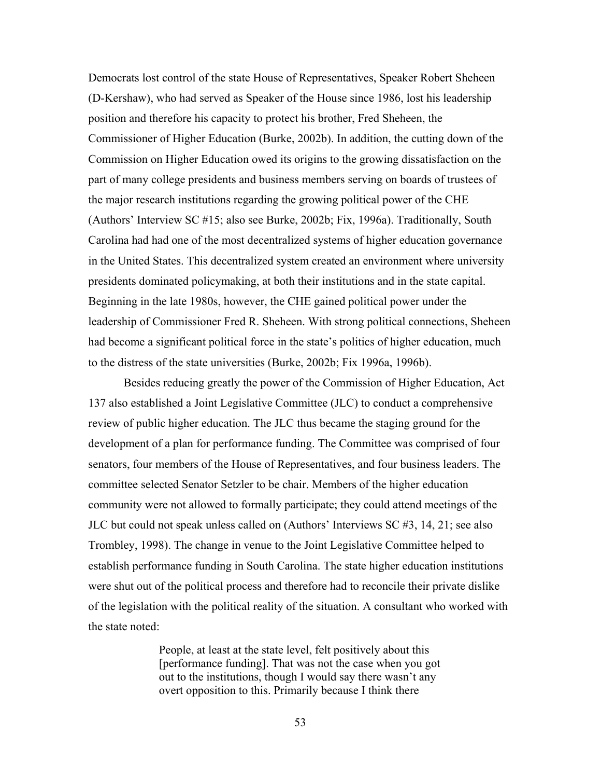Democrats lost control of the state House of Representatives, Speaker Robert Sheheen (D-Kershaw), who had served as Speaker of the House since 1986, lost his leadership position and therefore his capacity to protect his brother, Fred Sheheen, the Commissioner of Higher Education (Burke, 2002b). In addition, the cutting down of the Commission on Higher Education owed its origins to the growing dissatisfaction on the part of many college presidents and business members serving on boards of trustees of the major research institutions regarding the growing political power of the CHE (Authors' Interview SC #15; also see Burke, 2002b; Fix, 1996a). Traditionally, South Carolina had had one of the most decentralized systems of higher education governance in the United States. This decentralized system created an environment where university presidents dominated policymaking, at both their institutions and in the state capital. Beginning in the late 1980s, however, the CHE gained political power under the leadership of Commissioner Fred R. Sheheen. With strong political connections, Sheheen had become a significant political force in the state's politics of higher education, much to the distress of the state universities (Burke, 2002b; Fix 1996a, 1996b).

Besides reducing greatly the power of the Commission of Higher Education, Act 137 also established a Joint Legislative Committee (JLC) to conduct a comprehensive review of public higher education. The JLC thus became the staging ground for the development of a plan for performance funding. The Committee was comprised of four senators, four members of the House of Representatives, and four business leaders. The committee selected Senator Setzler to be chair. Members of the higher education community were not allowed to formally participate; they could attend meetings of the JLC but could not speak unless called on (Authors' Interviews SC #3, 14, 21; see also Trombley, 1998). The change in venue to the Joint Legislative Committee helped to establish performance funding in South Carolina. The state higher education institutions were shut out of the political process and therefore had to reconcile their private dislike of the legislation with the political reality of the situation. A consultant who worked with the state noted:

> People, at least at the state level, felt positively about this [performance funding]. That was not the case when you got out to the institutions, though I would say there wasn't any overt opposition to this. Primarily because I think there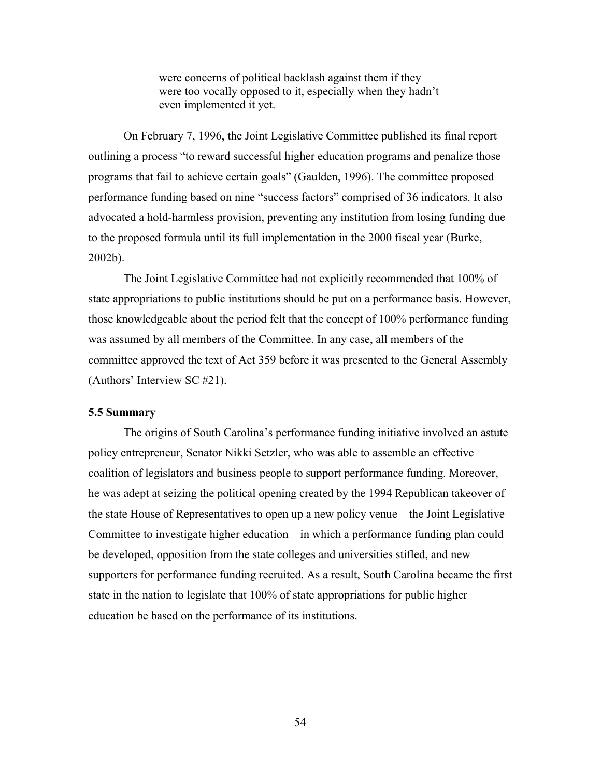were concerns of political backlash against them if they were too vocally opposed to it, especially when they hadn't even implemented it yet.

On February 7, 1996, the Joint Legislative Committee published its final report outlining a process "to reward successful higher education programs and penalize those programs that fail to achieve certain goals" (Gaulden, 1996). The committee proposed performance funding based on nine "success factors" comprised of 36 indicators. It also advocated a hold-harmless provision, preventing any institution from losing funding due to the proposed formula until its full implementation in the 2000 fiscal year (Burke, 2002b).

 The Joint Legislative Committee had not explicitly recommended that 100% of state appropriations to public institutions should be put on a performance basis. However, those knowledgeable about the period felt that the concept of 100% performance funding was assumed by all members of the Committee. In any case, all members of the committee approved the text of Act 359 before it was presented to the General Assembly (Authors' Interview SC #21).

#### **5.5 Summary**

The origins of South Carolina's performance funding initiative involved an astute policy entrepreneur, Senator Nikki Setzler, who was able to assemble an effective coalition of legislators and business people to support performance funding. Moreover, he was adept at seizing the political opening created by the 1994 Republican takeover of the state House of Representatives to open up a new policy venue—the Joint Legislative Committee to investigate higher education—in which a performance funding plan could be developed, opposition from the state colleges and universities stifled, and new supporters for performance funding recruited. As a result, South Carolina became the first state in the nation to legislate that 100% of state appropriations for public higher education be based on the performance of its institutions.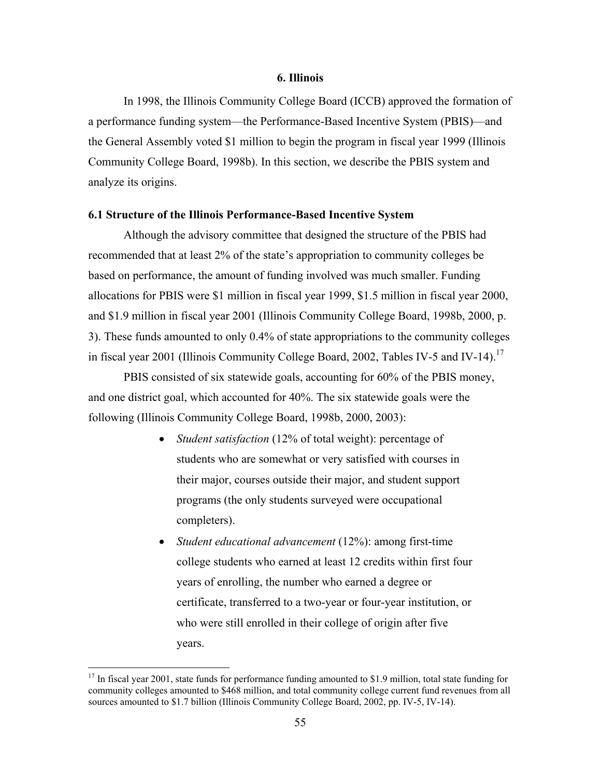## **6. Illinois**

In 1998, the Illinois Community College Board (ICCB) approved the formation of a performance funding system—the Performance-Based Incentive System (PBIS)—and the General Assembly voted \$1 million to begin the program in fiscal year 1999 (Illinois Community College Board, 1998b). In this section, we describe the PBIS system and analyze its origins.

#### **6.1 Structure of the Illinois Performance-Based Incentive System**

 Although the advisory committee that designed the structure of the PBIS had recommended that at least 2% of the state's appropriation to community colleges be based on performance, the amount of funding involved was much smaller. Funding allocations for PBIS were \$1 million in fiscal year 1999, \$1.5 million in fiscal year 2000, and \$1.9 million in fiscal year 2001 (Illinois Community College Board, 1998b, 2000, p. 3). These funds amounted to only 0.4% of state appropriations to the community colleges in fiscal year 2001 (Illinois Community College Board, 2002, Tables IV-5 and IV-14).<sup>17</sup>

 PBIS consisted of six statewide goals, accounting for 60% of the PBIS money, and one district goal, which accounted for 40%. The six statewide goals were the following (Illinois Community College Board, 1998b, 2000, 2003):

- *Student satisfaction* (12% of total weight): percentage of students who are somewhat or very satisfied with courses in their major, courses outside their major, and student support programs (the only students surveyed were occupational completers).
- *Student educational advancement* (12%): among first-time college students who earned at least 12 credits within first four years of enrolling, the number who earned a degree or certificate, transferred to a two-year or four-year institution, or who were still enrolled in their college of origin after five years.

 $\overline{a}$ 

<sup>&</sup>lt;sup>17</sup> In fiscal year 2001, state funds for performance funding amounted to \$1.9 million, total state funding for community colleges amounted to \$468 million, and total community college current fund revenues from all sources amounted to \$1.7 billion (Illinois Community College Board, 2002, pp. IV-5, IV-14).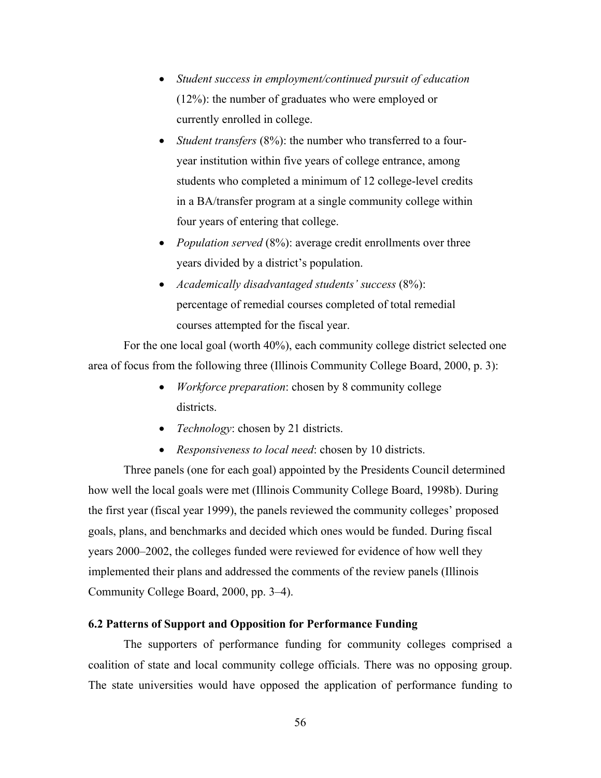- *Student success in employment/continued pursuit of education* (12%): the number of graduates who were employed or currently enrolled in college.
- *Student transfers* (8%): the number who transferred to a fouryear institution within five years of college entrance, among students who completed a minimum of 12 college-level credits in a BA/transfer program at a single community college within four years of entering that college.
- *Population served* (8%): average credit enrollments over three years divided by a district's population.
- *Academically disadvantaged students' success* (8%): percentage of remedial courses completed of total remedial courses attempted for the fiscal year.

For the one local goal (worth 40%), each community college district selected one area of focus from the following three (Illinois Community College Board, 2000, p. 3):

- *Workforce preparation*: chosen by 8 community college districts.
- *Technology*: chosen by 21 districts.
- *Responsiveness to local need*: chosen by 10 districts.

Three panels (one for each goal) appointed by the Presidents Council determined how well the local goals were met (Illinois Community College Board, 1998b). During the first year (fiscal year 1999), the panels reviewed the community colleges' proposed goals, plans, and benchmarks and decided which ones would be funded. During fiscal years 2000–2002, the colleges funded were reviewed for evidence of how well they implemented their plans and addressed the comments of the review panels (Illinois Community College Board, 2000, pp. 3–4).

# **6.2 Patterns of Support and Opposition for Performance Funding**

The supporters of performance funding for community colleges comprised a coalition of state and local community college officials. There was no opposing group. The state universities would have opposed the application of performance funding to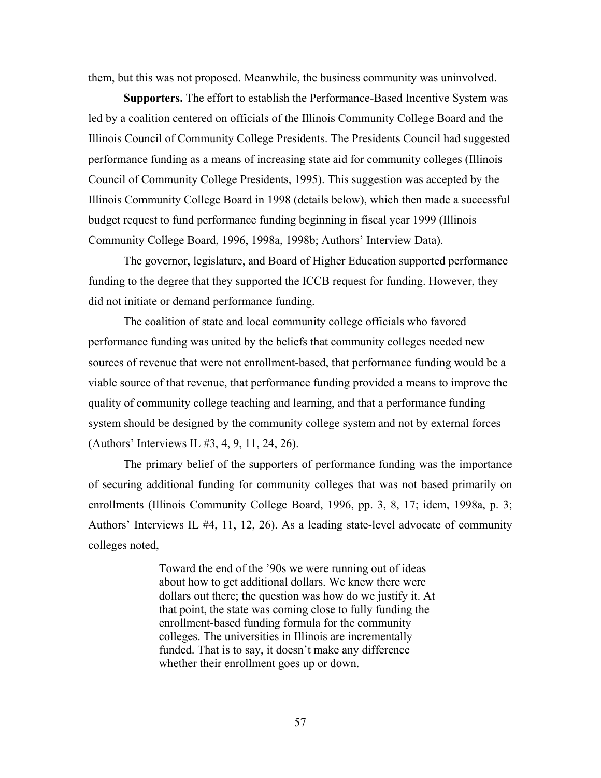them, but this was not proposed. Meanwhile, the business community was uninvolved.

**Supporters.** The effort to establish the Performance-Based Incentive System was led by a coalition centered on officials of the Illinois Community College Board and the Illinois Council of Community College Presidents. The Presidents Council had suggested performance funding as a means of increasing state aid for community colleges (Illinois Council of Community College Presidents, 1995). This suggestion was accepted by the Illinois Community College Board in 1998 (details below), which then made a successful budget request to fund performance funding beginning in fiscal year 1999 (Illinois Community College Board, 1996, 1998a, 1998b; Authors' Interview Data).

 The governor, legislature, and Board of Higher Education supported performance funding to the degree that they supported the ICCB request for funding. However, they did not initiate or demand performance funding.

 The coalition of state and local community college officials who favored performance funding was united by the beliefs that community colleges needed new sources of revenue that were not enrollment-based, that performance funding would be a viable source of that revenue, that performance funding provided a means to improve the quality of community college teaching and learning, and that a performance funding system should be designed by the community college system and not by external forces (Authors' Interviews IL #3, 4, 9, 11, 24, 26).

The primary belief of the supporters of performance funding was the importance of securing additional funding for community colleges that was not based primarily on enrollments (Illinois Community College Board, 1996, pp. 3, 8, 17; idem, 1998a, p. 3; Authors' Interviews IL #4, 11, 12, 26). As a leading state-level advocate of community colleges noted,

> Toward the end of the '90s we were running out of ideas about how to get additional dollars. We knew there were dollars out there; the question was how do we justify it. At that point, the state was coming close to fully funding the enrollment-based funding formula for the community colleges. The universities in Illinois are incrementally funded. That is to say, it doesn't make any difference whether their enrollment goes up or down.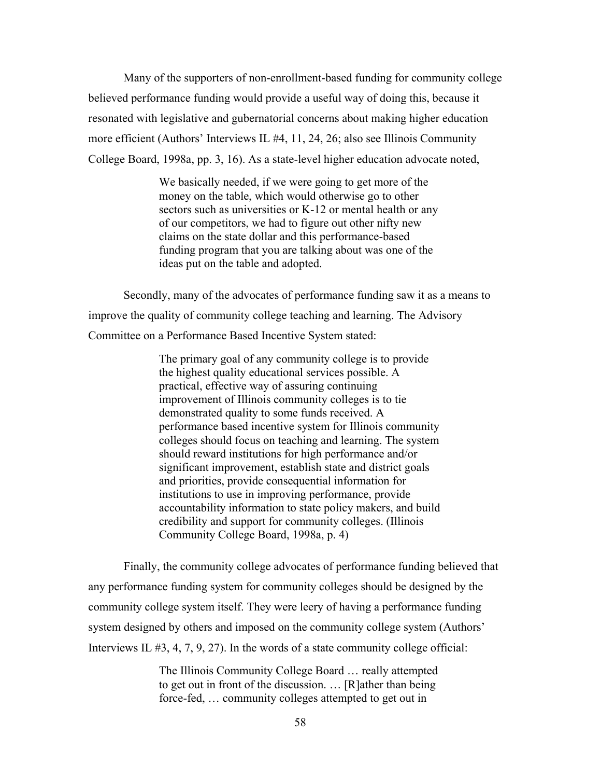Many of the supporters of non-enrollment-based funding for community college believed performance funding would provide a useful way of doing this, because it resonated with legislative and gubernatorial concerns about making higher education more efficient (Authors' Interviews IL #4, 11, 24, 26; also see Illinois Community College Board, 1998a, pp. 3, 16). As a state-level higher education advocate noted,

> We basically needed, if we were going to get more of the money on the table, which would otherwise go to other sectors such as universities or K-12 or mental health or any of our competitors, we had to figure out other nifty new claims on the state dollar and this performance-based funding program that you are talking about was one of the ideas put on the table and adopted.

 Secondly, many of the advocates of performance funding saw it as a means to improve the quality of community college teaching and learning. The Advisory Committee on a Performance Based Incentive System stated:

> The primary goal of any community college is to provide the highest quality educational services possible. A practical, effective way of assuring continuing improvement of Illinois community colleges is to tie demonstrated quality to some funds received. A performance based incentive system for Illinois community colleges should focus on teaching and learning. The system should reward institutions for high performance and/or significant improvement, establish state and district goals and priorities, provide consequential information for institutions to use in improving performance, provide accountability information to state policy makers, and build credibility and support for community colleges. (Illinois Community College Board, 1998a, p. 4)

 Finally, the community college advocates of performance funding believed that any performance funding system for community colleges should be designed by the community college system itself. They were leery of having a performance funding system designed by others and imposed on the community college system (Authors' Interviews IL #3, 4, 7, 9, 27). In the words of a state community college official:

> The Illinois Community College Board … really attempted to get out in front of the discussion. … [R]ather than being force-fed, … community colleges attempted to get out in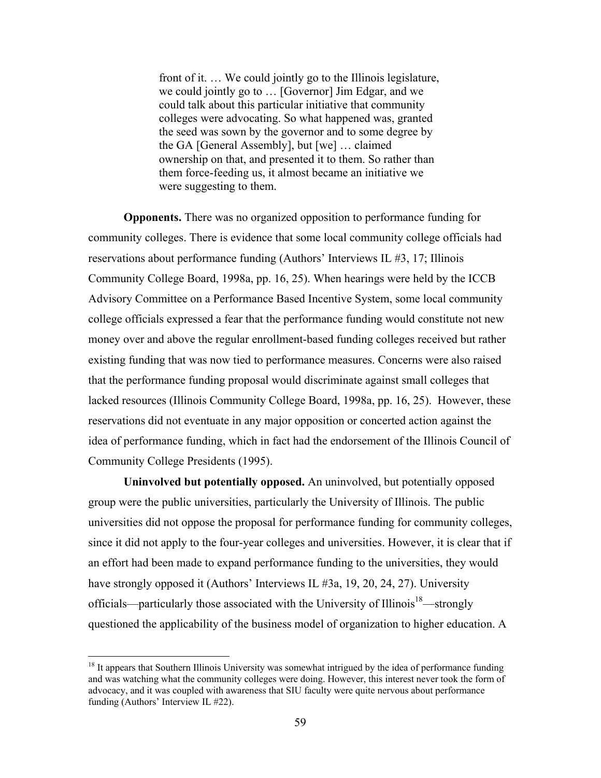front of it. … We could jointly go to the Illinois legislature, we could jointly go to … [Governor] Jim Edgar, and we could talk about this particular initiative that community colleges were advocating. So what happened was, granted the seed was sown by the governor and to some degree by the GA [General Assembly], but [we] … claimed ownership on that, and presented it to them. So rather than them force-feeding us, it almost became an initiative we were suggesting to them.

**Opponents.** There was no organized opposition to performance funding for community colleges. There is evidence that some local community college officials had reservations about performance funding (Authors' Interviews IL #3, 17; Illinois Community College Board, 1998a, pp. 16, 25). When hearings were held by the ICCB Advisory Committee on a Performance Based Incentive System, some local community college officials expressed a fear that the performance funding would constitute not new money over and above the regular enrollment-based funding colleges received but rather existing funding that was now tied to performance measures. Concerns were also raised that the performance funding proposal would discriminate against small colleges that lacked resources (Illinois Community College Board, 1998a, pp. 16, 25). However, these reservations did not eventuate in any major opposition or concerted action against the idea of performance funding, which in fact had the endorsement of the Illinois Council of Community College Presidents (1995).

**Uninvolved but potentially opposed.** An uninvolved, but potentially opposed group were the public universities, particularly the University of Illinois. The public universities did not oppose the proposal for performance funding for community colleges, since it did not apply to the four-year colleges and universities. However, it is clear that if an effort had been made to expand performance funding to the universities, they would have strongly opposed it (Authors' Interviews IL #3a, 19, 20, 24, 27). University officials—particularly those associated with the University of Illinois<sup>18</sup>—strongly questioned the applicability of the business model of organization to higher education. A

 $\overline{a}$ 

<sup>&</sup>lt;sup>18</sup> It appears that Southern Illinois University was somewhat intrigued by the idea of performance funding and was watching what the community colleges were doing. However, this interest never took the form of advocacy, and it was coupled with awareness that SIU faculty were quite nervous about performance funding (Authors' Interview IL #22).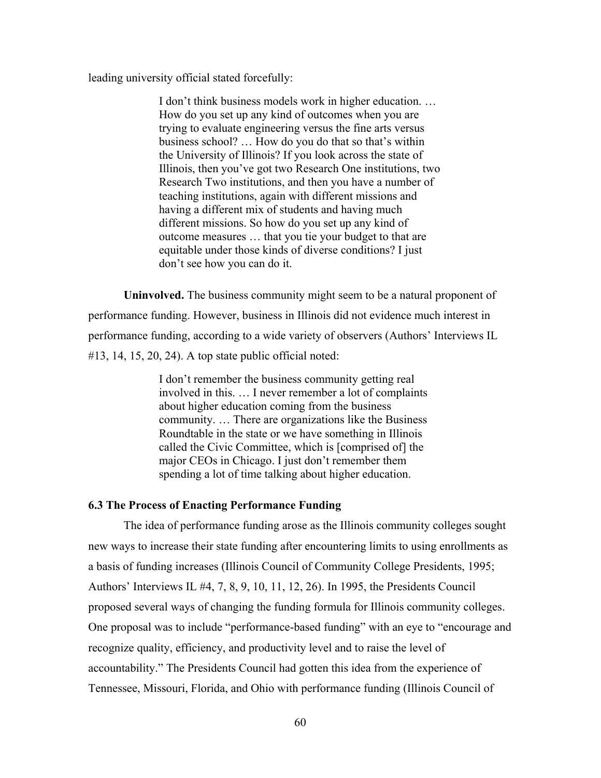leading university official stated forcefully:

I don't think business models work in higher education. … How do you set up any kind of outcomes when you are trying to evaluate engineering versus the fine arts versus business school? … How do you do that so that's within the University of Illinois? If you look across the state of Illinois, then you've got two Research One institutions, two Research Two institutions, and then you have a number of teaching institutions, again with different missions and having a different mix of students and having much different missions. So how do you set up any kind of outcome measures … that you tie your budget to that are equitable under those kinds of diverse conditions? I just don't see how you can do it.

**Uninvolved.** The business community might seem to be a natural proponent of performance funding. However, business in Illinois did not evidence much interest in performance funding, according to a wide variety of observers (Authors' Interviews IL  $\#13$ , 14, 15, 20, 24). A top state public official noted:

> I don't remember the business community getting real involved in this. … I never remember a lot of complaints about higher education coming from the business community. … There are organizations like the Business Roundtable in the state or we have something in Illinois called the Civic Committee, which is [comprised of] the major CEOs in Chicago. I just don't remember them spending a lot of time talking about higher education.

# **6.3 The Process of Enacting Performance Funding**

The idea of performance funding arose as the Illinois community colleges sought new ways to increase their state funding after encountering limits to using enrollments as a basis of funding increases (Illinois Council of Community College Presidents, 1995; Authors' Interviews IL #4, 7, 8, 9, 10, 11, 12, 26). In 1995, the Presidents Council proposed several ways of changing the funding formula for Illinois community colleges. One proposal was to include "performance-based funding" with an eye to "encourage and recognize quality, efficiency, and productivity level and to raise the level of accountability." The Presidents Council had gotten this idea from the experience of Tennessee, Missouri, Florida, and Ohio with performance funding (Illinois Council of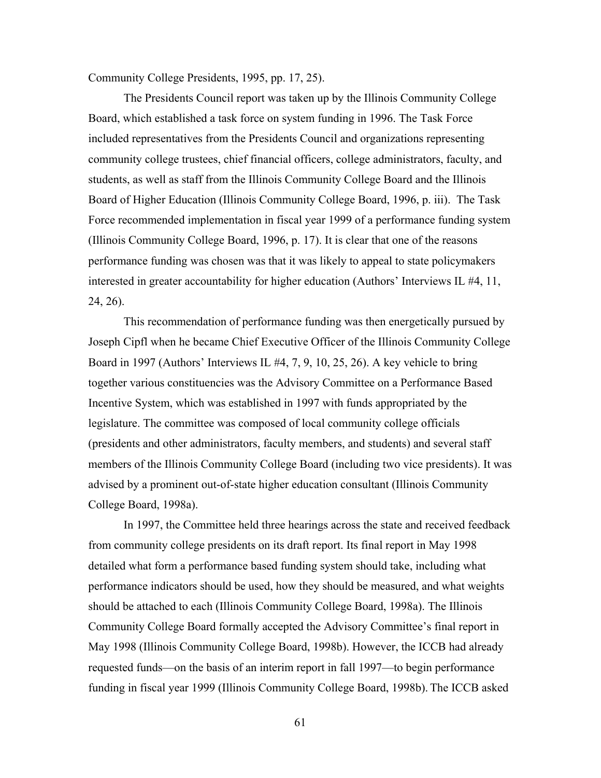Community College Presidents, 1995, pp. 17, 25).

 The Presidents Council report was taken up by the Illinois Community College Board, which established a task force on system funding in 1996. The Task Force included representatives from the Presidents Council and organizations representing community college trustees, chief financial officers, college administrators, faculty, and students, as well as staff from the Illinois Community College Board and the Illinois Board of Higher Education (Illinois Community College Board, 1996, p. iii). The Task Force recommended implementation in fiscal year 1999 of a performance funding system (Illinois Community College Board, 1996, p. 17). It is clear that one of the reasons performance funding was chosen was that it was likely to appeal to state policymakers interested in greater accountability for higher education (Authors' Interviews IL #4, 11, 24, 26).

This recommendation of performance funding was then energetically pursued by Joseph Cipfl when he became Chief Executive Officer of the Illinois Community College Board in 1997 (Authors' Interviews IL #4, 7, 9, 10, 25, 26). A key vehicle to bring together various constituencies was the Advisory Committee on a Performance Based Incentive System, which was established in 1997 with funds appropriated by the legislature. The committee was composed of local community college officials (presidents and other administrators, faculty members, and students) and several staff members of the Illinois Community College Board (including two vice presidents). It was advised by a prominent out-of-state higher education consultant (Illinois Community College Board, 1998a).

In 1997, the Committee held three hearings across the state and received feedback from community college presidents on its draft report. Its final report in May 1998 detailed what form a performance based funding system should take, including what performance indicators should be used, how they should be measured, and what weights should be attached to each (Illinois Community College Board, 1998a). The Illinois Community College Board formally accepted the Advisory Committee's final report in May 1998 (Illinois Community College Board, 1998b). However, the ICCB had already requested funds—on the basis of an interim report in fall 1997—to begin performance funding in fiscal year 1999 (Illinois Community College Board, 1998b). The ICCB asked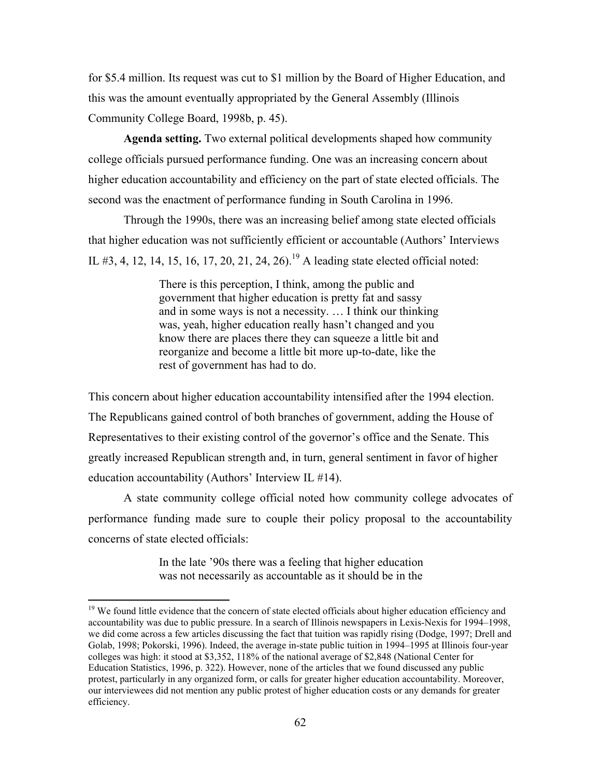for \$5.4 million. Its request was cut to \$1 million by the Board of Higher Education, and this was the amount eventually appropriated by the General Assembly (Illinois Community College Board, 1998b, p. 45).

**Agenda setting.** Two external political developments shaped how community college officials pursued performance funding. One was an increasing concern about higher education accountability and efficiency on the part of state elected officials. The second was the enactment of performance funding in South Carolina in 1996.

Through the 1990s, there was an increasing belief among state elected officials that higher education was not sufficiently efficient or accountable (Authors' Interviews IL #3, 4, 12, 14, 15, 16, 17, 20, 21, 24, 26).<sup>19</sup> A leading state elected official noted:

> There is this perception, I think, among the public and government that higher education is pretty fat and sassy and in some ways is not a necessity. … I think our thinking was, yeah, higher education really hasn't changed and you know there are places there they can squeeze a little bit and reorganize and become a little bit more up-to-date, like the rest of government has had to do.

This concern about higher education accountability intensified after the 1994 election. The Republicans gained control of both branches of government, adding the House of Representatives to their existing control of the governor's office and the Senate. This greatly increased Republican strength and, in turn, general sentiment in favor of higher education accountability (Authors' Interview IL #14).

A state community college official noted how community college advocates of performance funding made sure to couple their policy proposal to the accountability concerns of state elected officials:

> In the late '90s there was a feeling that higher education was not necessarily as accountable as it should be in the

<sup>&</sup>lt;sup>19</sup> We found little evidence that the concern of state elected officials about higher education efficiency and accountability was due to public pressure. In a search of Illinois newspapers in Lexis-Nexis for 1994–1998, we did come across a few articles discussing the fact that tuition was rapidly rising (Dodge, 1997; Drell and Golab, 1998; Pokorski, 1996). Indeed, the average in-state public tuition in 1994–1995 at Illinois four-year colleges was high: it stood at \$3,352, 118% of the national average of \$2,848 (National Center for Education Statistics, 1996, p. 322). However, none of the articles that we found discussed any public protest, particularly in any organized form, or calls for greater higher education accountability. Moreover, our interviewees did not mention any public protest of higher education costs or any demands for greater efficiency.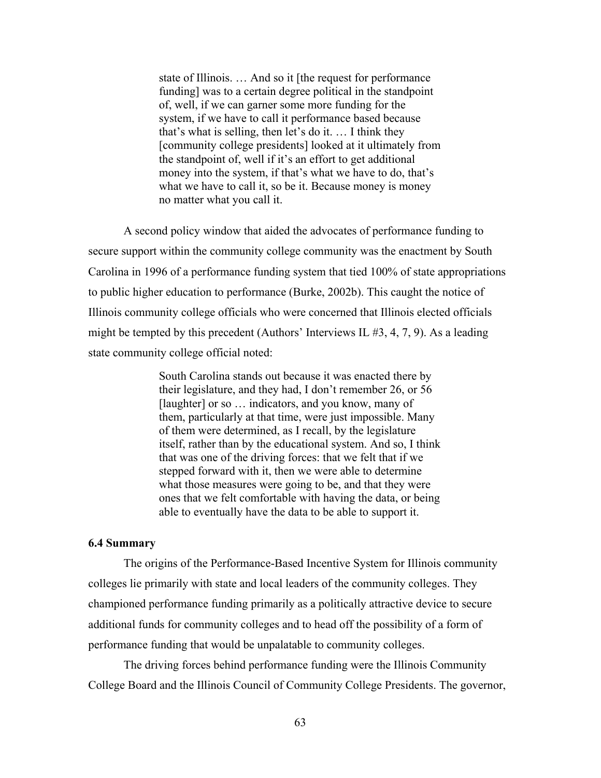state of Illinois. … And so it [the request for performance funding] was to a certain degree political in the standpoint of, well, if we can garner some more funding for the system, if we have to call it performance based because that's what is selling, then let's do it. … I think they [community college presidents] looked at it ultimately from the standpoint of, well if it's an effort to get additional money into the system, if that's what we have to do, that's what we have to call it, so be it. Because money is money no matter what you call it.

 A second policy window that aided the advocates of performance funding to secure support within the community college community was the enactment by South Carolina in 1996 of a performance funding system that tied 100% of state appropriations to public higher education to performance (Burke, 2002b). This caught the notice of Illinois community college officials who were concerned that Illinois elected officials might be tempted by this precedent (Authors' Interviews IL #3, 4, 7, 9). As a leading state community college official noted:

> South Carolina stands out because it was enacted there by their legislature, and they had, I don't remember 26, or 56 [laughter] or so ... indicators, and you know, many of them, particularly at that time, were just impossible. Many of them were determined, as I recall, by the legislature itself, rather than by the educational system. And so, I think that was one of the driving forces: that we felt that if we stepped forward with it, then we were able to determine what those measures were going to be, and that they were ones that we felt comfortable with having the data, or being able to eventually have the data to be able to support it.

# **6.4 Summary**

 The origins of the Performance-Based Incentive System for Illinois community colleges lie primarily with state and local leaders of the community colleges. They championed performance funding primarily as a politically attractive device to secure additional funds for community colleges and to head off the possibility of a form of performance funding that would be unpalatable to community colleges.

 The driving forces behind performance funding were the Illinois Community College Board and the Illinois Council of Community College Presidents. The governor,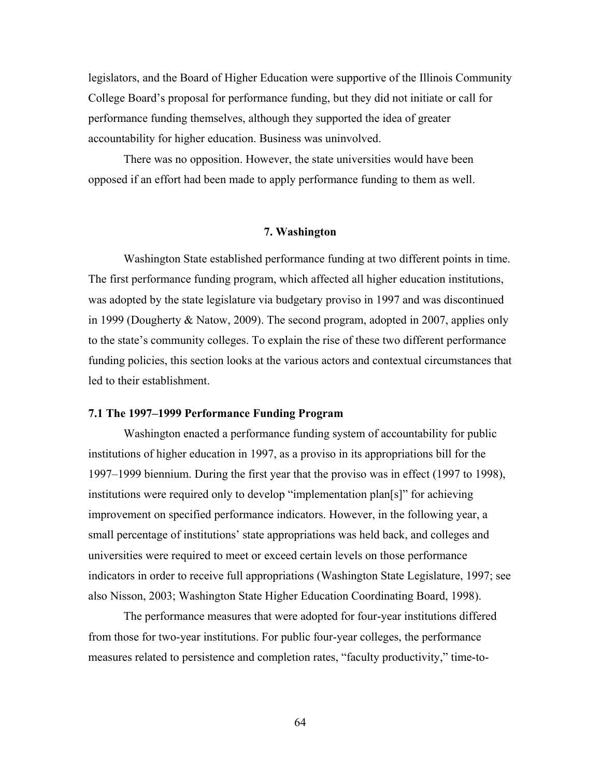legislators, and the Board of Higher Education were supportive of the Illinois Community College Board's proposal for performance funding, but they did not initiate or call for performance funding themselves, although they supported the idea of greater accountability for higher education. Business was uninvolved.

 There was no opposition. However, the state universities would have been opposed if an effort had been made to apply performance funding to them as well.

#### **7. Washington**

 Washington State established performance funding at two different points in time. The first performance funding program, which affected all higher education institutions, was adopted by the state legislature via budgetary proviso in 1997 and was discontinued in 1999 (Dougherty & Natow, 2009). The second program, adopted in 2007, applies only to the state's community colleges. To explain the rise of these two different performance funding policies, this section looks at the various actors and contextual circumstances that led to their establishment.

## **7.1 The 1997–1999 Performance Funding Program**

 Washington enacted a performance funding system of accountability for public institutions of higher education in 1997, as a proviso in its appropriations bill for the 1997–1999 biennium. During the first year that the proviso was in effect (1997 to 1998), institutions were required only to develop "implementation plan[s]" for achieving improvement on specified performance indicators. However, in the following year, a small percentage of institutions' state appropriations was held back, and colleges and universities were required to meet or exceed certain levels on those performance indicators in order to receive full appropriations (Washington State Legislature, 1997; see also Nisson, 2003; Washington State Higher Education Coordinating Board, 1998).

The performance measures that were adopted for four-year institutions differed from those for two-year institutions. For public four-year colleges, the performance measures related to persistence and completion rates, "faculty productivity," time-to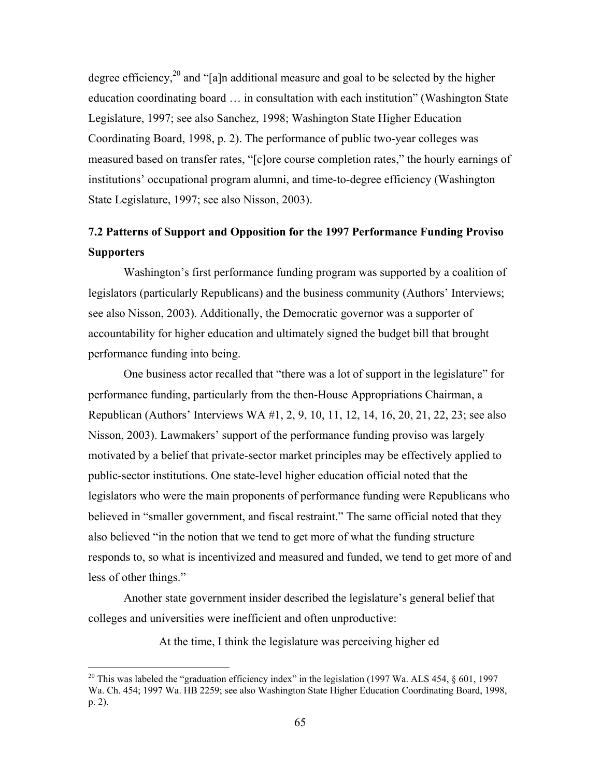degree efficiency,<sup>20</sup> and "[a]n additional measure and goal to be selected by the higher education coordinating board … in consultation with each institution" (Washington State Legislature, 1997; see also Sanchez, 1998; Washington State Higher Education Coordinating Board, 1998, p. 2). The performance of public two-year colleges was measured based on transfer rates, "[c]ore course completion rates," the hourly earnings of institutions' occupational program alumni, and time-to-degree efficiency (Washington State Legislature, 1997; see also Nisson, 2003).

# **7.2 Patterns of Support and Opposition for the 1997 Performance Funding Proviso Supporters**

Washington's first performance funding program was supported by a coalition of legislators (particularly Republicans) and the business community (Authors' Interviews; see also Nisson, 2003). Additionally, the Democratic governor was a supporter of accountability for higher education and ultimately signed the budget bill that brought performance funding into being.

One business actor recalled that "there was a lot of support in the legislature" for performance funding, particularly from the then-House Appropriations Chairman, a Republican (Authors' Interviews WA #1, 2, 9, 10, 11, 12, 14, 16, 20, 21, 22, 23; see also Nisson, 2003). Lawmakers' support of the performance funding proviso was largely motivated by a belief that private-sector market principles may be effectively applied to public-sector institutions. One state-level higher education official noted that the legislators who were the main proponents of performance funding were Republicans who believed in "smaller government, and fiscal restraint." The same official noted that they also believed "in the notion that we tend to get more of what the funding structure responds to, so what is incentivized and measured and funded, we tend to get more of and less of other things."

Another state government insider described the legislature's general belief that colleges and universities were inefficient and often unproductive:

At the time, I think the legislature was perceiving higher ed

 $\overline{a}$ 

<sup>&</sup>lt;sup>20</sup> This was labeled the "graduation efficiency index" in the legislation (1997 Wa. ALS 454,  $\S$  601, 1997 Wa. Ch. 454; 1997 Wa. HB 2259; see also Washington State Higher Education Coordinating Board, 1998, p. 2).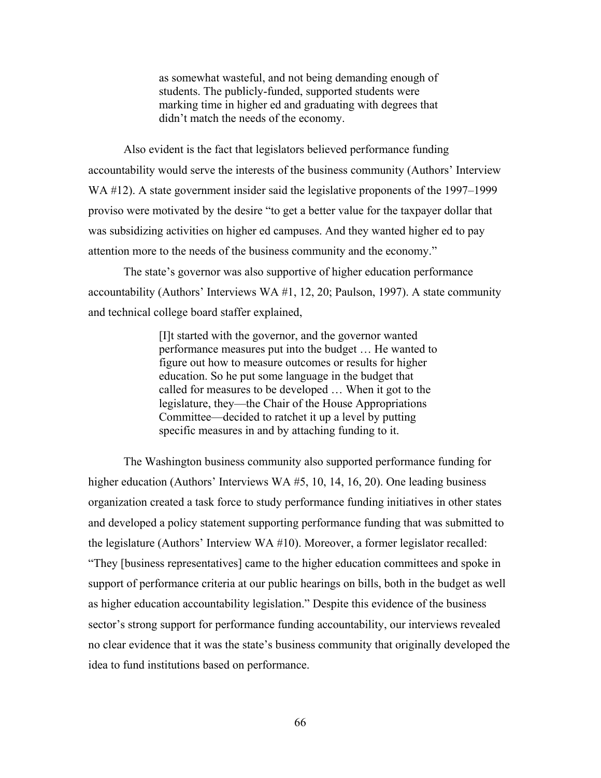as somewhat wasteful, and not being demanding enough of students. The publicly-funded, supported students were marking time in higher ed and graduating with degrees that didn't match the needs of the economy.

 Also evident is the fact that legislators believed performance funding accountability would serve the interests of the business community (Authors' Interview WA #12). A state government insider said the legislative proponents of the 1997–1999 proviso were motivated by the desire "to get a better value for the taxpayer dollar that was subsidizing activities on higher ed campuses. And they wanted higher ed to pay attention more to the needs of the business community and the economy."

The state's governor was also supportive of higher education performance accountability (Authors' Interviews WA #1, 12, 20; Paulson, 1997). A state community and technical college board staffer explained,

> [I]t started with the governor, and the governor wanted performance measures put into the budget … He wanted to figure out how to measure outcomes or results for higher education. So he put some language in the budget that called for measures to be developed … When it got to the legislature, they—the Chair of the House Appropriations Committee—decided to ratchet it up a level by putting specific measures in and by attaching funding to it.

The Washington business community also supported performance funding for higher education (Authors' Interviews WA #5, 10, 14, 16, 20). One leading business organization created a task force to study performance funding initiatives in other states and developed a policy statement supporting performance funding that was submitted to the legislature (Authors' Interview WA #10). Moreover, a former legislator recalled: "They [business representatives] came to the higher education committees and spoke in support of performance criteria at our public hearings on bills, both in the budget as well as higher education accountability legislation." Despite this evidence of the business sector's strong support for performance funding accountability, our interviews revealed no clear evidence that it was the state's business community that originally developed the idea to fund institutions based on performance.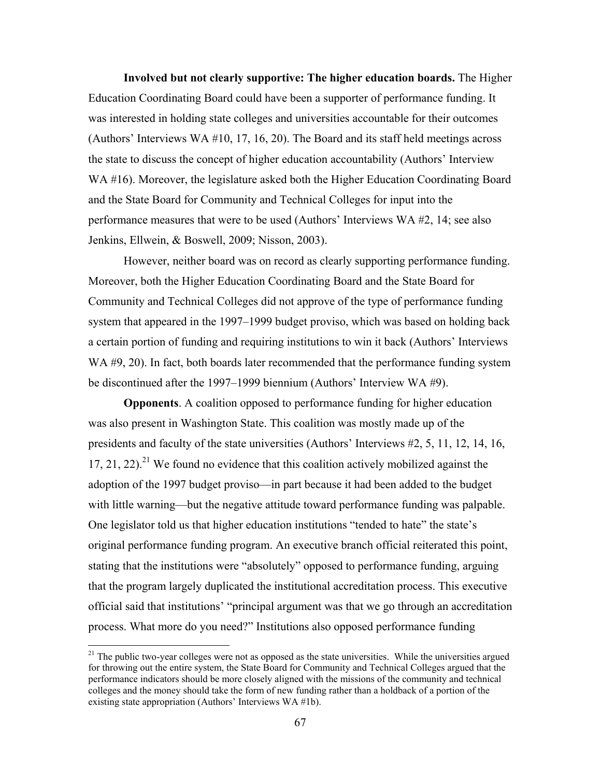**Involved but not clearly supportive: The higher education boards.** The Higher Education Coordinating Board could have been a supporter of performance funding. It was interested in holding state colleges and universities accountable for their outcomes (Authors' Interviews WA #10, 17, 16, 20). The Board and its staff held meetings across the state to discuss the concept of higher education accountability (Authors' Interview WA #16). Moreover, the legislature asked both the Higher Education Coordinating Board and the State Board for Community and Technical Colleges for input into the performance measures that were to be used (Authors' Interviews WA #2, 14; see also Jenkins, Ellwein, & Boswell, 2009; Nisson, 2003).

 However, neither board was on record as clearly supporting performance funding. Moreover, both the Higher Education Coordinating Board and the State Board for Community and Technical Colleges did not approve of the type of performance funding system that appeared in the 1997–1999 budget proviso, which was based on holding back a certain portion of funding and requiring institutions to win it back (Authors' Interviews WA #9, 20). In fact, both boards later recommended that the performance funding system be discontinued after the 1997–1999 biennium (Authors' Interview WA #9).

**Opponents**. A coalition opposed to performance funding for higher education was also present in Washington State. This coalition was mostly made up of the presidents and faculty of the state universities (Authors' Interviews #2, 5, 11, 12, 14, 16, 17, 21, 22).<sup>21</sup> We found no evidence that this coalition actively mobilized against the adoption of the 1997 budget proviso—in part because it had been added to the budget with little warning—but the negative attitude toward performance funding was palpable. One legislator told us that higher education institutions "tended to hate" the state's original performance funding program. An executive branch official reiterated this point, stating that the institutions were "absolutely" opposed to performance funding, arguing that the program largely duplicated the institutional accreditation process. This executive official said that institutions' "principal argument was that we go through an accreditation process. What more do you need?" Institutions also opposed performance funding

<sup>&</sup>lt;sup>21</sup> The public two-year colleges were not as opposed as the state universities. While the universities argued for throwing out the entire system, the State Board for Community and Technical Colleges argued that the performance indicators should be more closely aligned with the missions of the community and technical colleges and the money should take the form of new funding rather than a holdback of a portion of the existing state appropriation (Authors' Interviews WA #1b).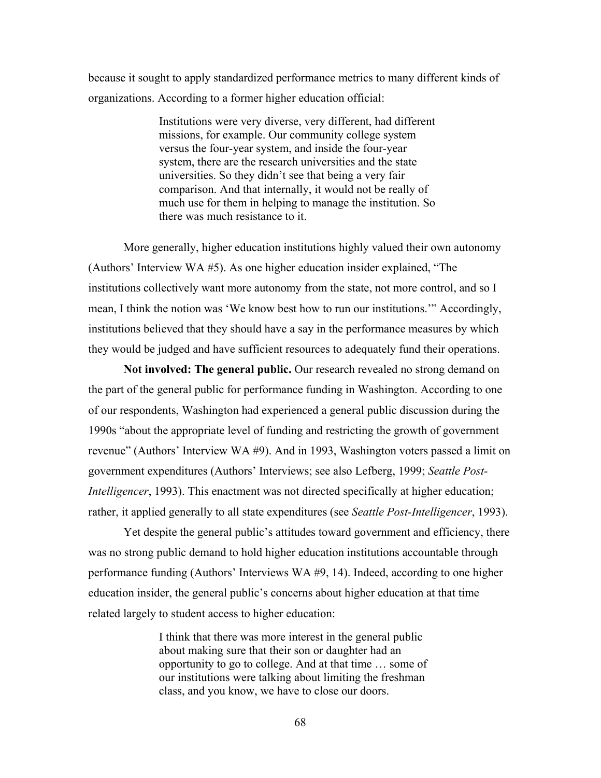because it sought to apply standardized performance metrics to many different kinds of organizations. According to a former higher education official:

> Institutions were very diverse, very different, had different missions, for example. Our community college system versus the four-year system, and inside the four-year system, there are the research universities and the state universities. So they didn't see that being a very fair comparison. And that internally, it would not be really of much use for them in helping to manage the institution. So there was much resistance to it.

More generally, higher education institutions highly valued their own autonomy (Authors' Interview WA #5). As one higher education insider explained, "The institutions collectively want more autonomy from the state, not more control, and so I mean, I think the notion was 'We know best how to run our institutions.'" Accordingly, institutions believed that they should have a say in the performance measures by which they would be judged and have sufficient resources to adequately fund their operations.

**Not involved: The general public.** Our research revealed no strong demand on the part of the general public for performance funding in Washington. According to one of our respondents, Washington had experienced a general public discussion during the 1990s "about the appropriate level of funding and restricting the growth of government revenue" (Authors' Interview WA #9). And in 1993, Washington voters passed a limit on government expenditures (Authors' Interviews; see also Lefberg, 1999; *Seattle Post-Intelligencer*, 1993). This enactment was not directed specifically at higher education; rather, it applied generally to all state expenditures (see *Seattle Post-Intelligencer*, 1993).

 Yet despite the general public's attitudes toward government and efficiency, there was no strong public demand to hold higher education institutions accountable through performance funding (Authors' Interviews WA #9, 14). Indeed, according to one higher education insider, the general public's concerns about higher education at that time related largely to student access to higher education:

> I think that there was more interest in the general public about making sure that their son or daughter had an opportunity to go to college. And at that time … some of our institutions were talking about limiting the freshman class, and you know, we have to close our doors.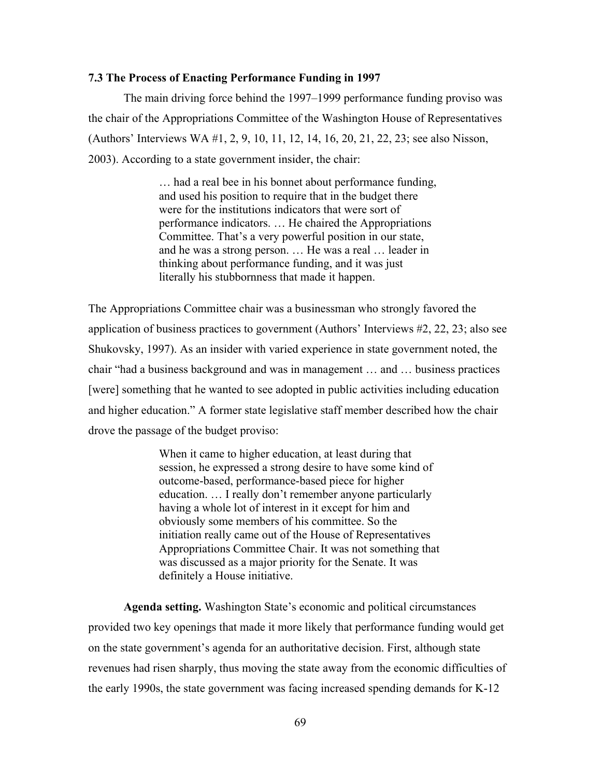# **7.3 The Process of Enacting Performance Funding in 1997**

The main driving force behind the 1997–1999 performance funding proviso was the chair of the Appropriations Committee of the Washington House of Representatives (Authors' Interviews WA #1, 2, 9, 10, 11, 12, 14, 16, 20, 21, 22, 23; see also Nisson, 2003). According to a state government insider, the chair:

> … had a real bee in his bonnet about performance funding, and used his position to require that in the budget there were for the institutions indicators that were sort of performance indicators. … He chaired the Appropriations Committee. That's a very powerful position in our state, and he was a strong person. … He was a real … leader in thinking about performance funding, and it was just literally his stubbornness that made it happen.

The Appropriations Committee chair was a businessman who strongly favored the application of business practices to government (Authors' Interviews #2, 22, 23; also see Shukovsky, 1997). As an insider with varied experience in state government noted, the chair "had a business background and was in management … and … business practices [were] something that he wanted to see adopted in public activities including education and higher education." A former state legislative staff member described how the chair drove the passage of the budget proviso:

> When it came to higher education, at least during that session, he expressed a strong desire to have some kind of outcome-based, performance-based piece for higher education. … I really don't remember anyone particularly having a whole lot of interest in it except for him and obviously some members of his committee. So the initiation really came out of the House of Representatives Appropriations Committee Chair. It was not something that was discussed as a major priority for the Senate. It was definitely a House initiative.

**Agenda setting.** Washington State's economic and political circumstances provided two key openings that made it more likely that performance funding would get on the state government's agenda for an authoritative decision. First, although state revenues had risen sharply, thus moving the state away from the economic difficulties of the early 1990s, the state government was facing increased spending demands for K-12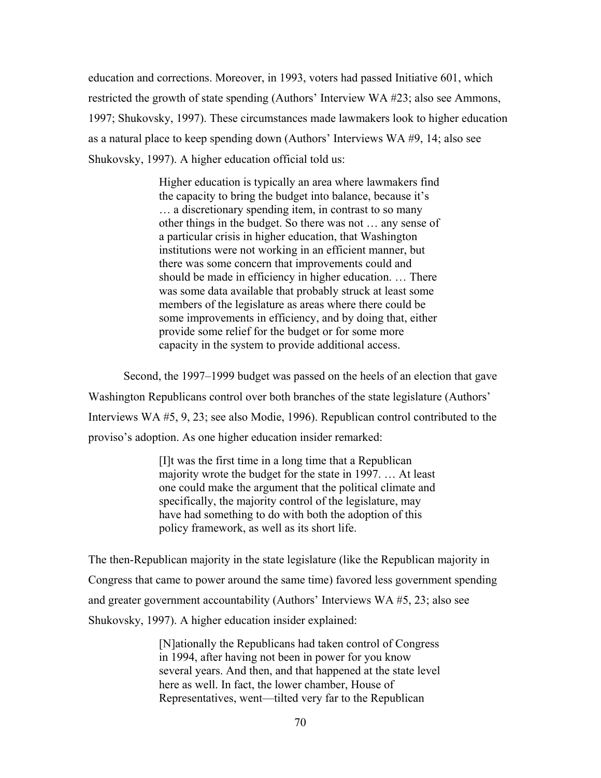education and corrections. Moreover, in 1993, voters had passed Initiative 601, which restricted the growth of state spending (Authors' Interview WA #23; also see Ammons, 1997; Shukovsky, 1997). These circumstances made lawmakers look to higher education as a natural place to keep spending down (Authors' Interviews WA #9, 14; also see Shukovsky, 1997). A higher education official told us:

> Higher education is typically an area where lawmakers find the capacity to bring the budget into balance, because it's … a discretionary spending item, in contrast to so many other things in the budget. So there was not … any sense of a particular crisis in higher education, that Washington institutions were not working in an efficient manner, but there was some concern that improvements could and should be made in efficiency in higher education. … There was some data available that probably struck at least some members of the legislature as areas where there could be some improvements in efficiency, and by doing that, either provide some relief for the budget or for some more capacity in the system to provide additional access.

 Second, the 1997–1999 budget was passed on the heels of an election that gave Washington Republicans control over both branches of the state legislature (Authors' Interviews WA #5, 9, 23; see also Modie, 1996). Republican control contributed to the proviso's adoption. As one higher education insider remarked:

> [I]t was the first time in a long time that a Republican majority wrote the budget for the state in 1997. … At least one could make the argument that the political climate and specifically, the majority control of the legislature, may have had something to do with both the adoption of this policy framework, as well as its short life.

The then-Republican majority in the state legislature (like the Republican majority in Congress that came to power around the same time) favored less government spending and greater government accountability (Authors' Interviews WA #5, 23; also see Shukovsky, 1997). A higher education insider explained:

> [N]ationally the Republicans had taken control of Congress in 1994, after having not been in power for you know several years. And then, and that happened at the state level here as well. In fact, the lower chamber, House of Representatives, went—tilted very far to the Republican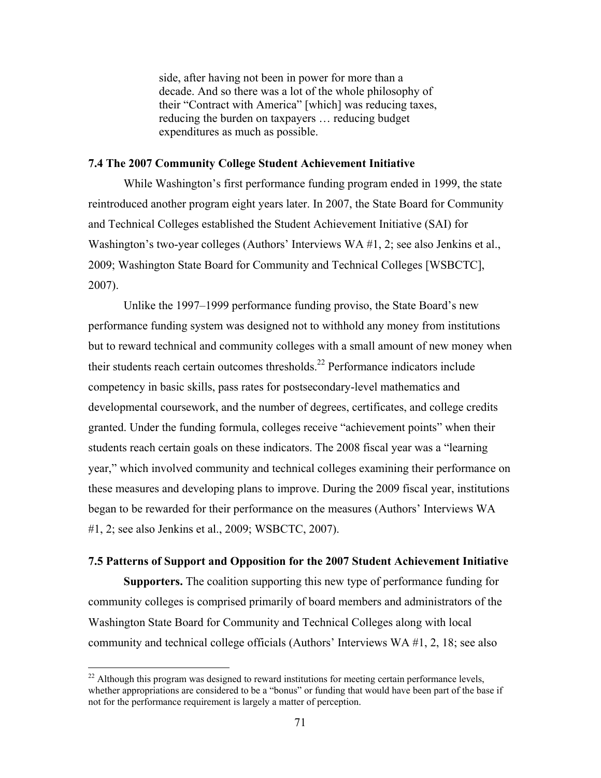side, after having not been in power for more than a decade. And so there was a lot of the whole philosophy of their "Contract with America" [which] was reducing taxes, reducing the burden on taxpayers … reducing budget expenditures as much as possible.

### **7.4 The 2007 Community College Student Achievement Initiative**

 While Washington's first performance funding program ended in 1999, the state reintroduced another program eight years later. In 2007, the State Board for Community and Technical Colleges established the Student Achievement Initiative (SAI) for Washington's two-year colleges (Authors' Interviews WA #1, 2; see also Jenkins et al., 2009; Washington State Board for Community and Technical Colleges [WSBCTC], 2007).

Unlike the 1997–1999 performance funding proviso, the State Board's new performance funding system was designed not to withhold any money from institutions but to reward technical and community colleges with a small amount of new money when their students reach certain outcomes thresholds.<sup>22</sup> Performance indicators include competency in basic skills, pass rates for postsecondary-level mathematics and developmental coursework, and the number of degrees, certificates, and college credits granted. Under the funding formula, colleges receive "achievement points" when their students reach certain goals on these indicators. The 2008 fiscal year was a "learning year," which involved community and technical colleges examining their performance on these measures and developing plans to improve. During the 2009 fiscal year, institutions began to be rewarded for their performance on the measures (Authors' Interviews WA #1, 2; see also Jenkins et al., 2009; WSBCTC, 2007).

# **7.5 Patterns of Support and Opposition for the 2007 Student Achievement Initiative**

**Supporters.** The coalition supporting this new type of performance funding for community colleges is comprised primarily of board members and administrators of the Washington State Board for Community and Technical Colleges along with local community and technical college officials (Authors' Interviews WA #1, 2, 18; see also

 $\overline{a}$ 

 $22$  Although this program was designed to reward institutions for meeting certain performance levels, whether appropriations are considered to be a "bonus" or funding that would have been part of the base if not for the performance requirement is largely a matter of perception.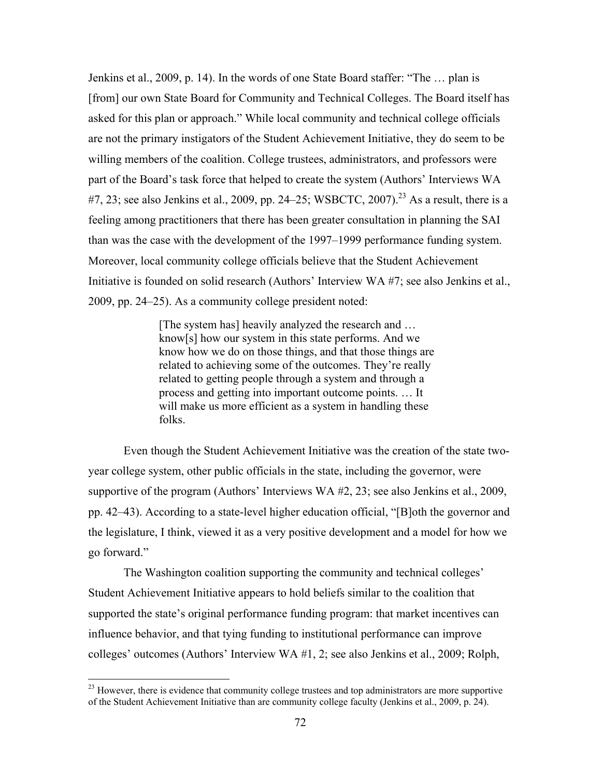Jenkins et al., 2009, p. 14). In the words of one State Board staffer: "The … plan is [from] our own State Board for Community and Technical Colleges. The Board itself has asked for this plan or approach." While local community and technical college officials are not the primary instigators of the Student Achievement Initiative, they do seem to be willing members of the coalition. College trustees, administrators, and professors were part of the Board's task force that helped to create the system (Authors' Interviews WA  $#7, 23$ ; see also Jenkins et al., 2009, pp. 24–25; WSBCTC, 2007).<sup>23</sup> As a result, there is a feeling among practitioners that there has been greater consultation in planning the SAI than was the case with the development of the 1997–1999 performance funding system. Moreover, local community college officials believe that the Student Achievement Initiative is founded on solid research (Authors' Interview WA #7; see also Jenkins et al., 2009, pp. 24–25). As a community college president noted:

> [The system has] heavily analyzed the research and … know[s] how our system in this state performs. And we know how we do on those things, and that those things are related to achieving some of the outcomes. They're really related to getting people through a system and through a process and getting into important outcome points. … It will make us more efficient as a system in handling these folks.

Even though the Student Achievement Initiative was the creation of the state twoyear college system, other public officials in the state, including the governor, were supportive of the program (Authors' Interviews WA #2, 23; see also Jenkins et al., 2009, pp. 42–43). According to a state-level higher education official, "[B]oth the governor and the legislature, I think, viewed it as a very positive development and a model for how we go forward."

The Washington coalition supporting the community and technical colleges' Student Achievement Initiative appears to hold beliefs similar to the coalition that supported the state's original performance funding program: that market incentives can influence behavior, and that tying funding to institutional performance can improve colleges' outcomes (Authors' Interview WA #1, 2; see also Jenkins et al., 2009; Rolph,

 $\overline{a}$ 

 $^{23}$  However, there is evidence that community college trustees and top administrators are more supportive of the Student Achievement Initiative than are community college faculty (Jenkins et al., 2009, p. 24).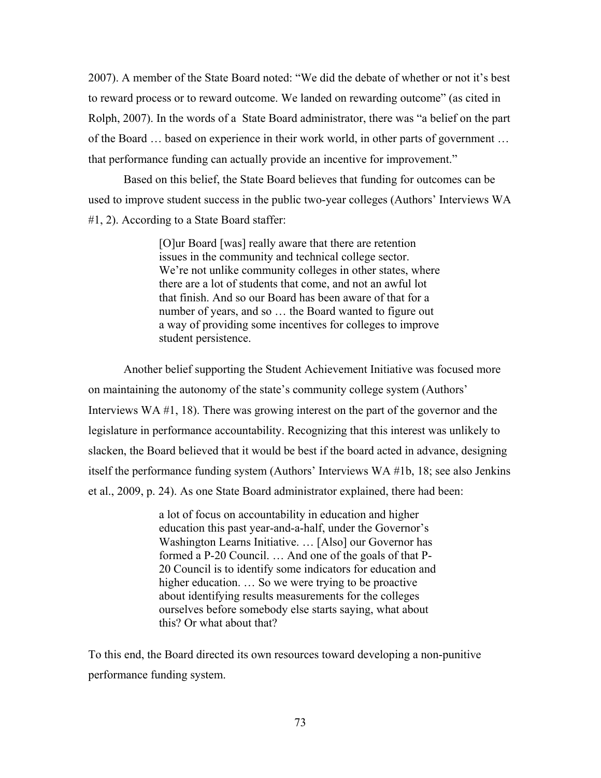2007). A member of the State Board noted: "We did the debate of whether or not it's best to reward process or to reward outcome. We landed on rewarding outcome" (as cited in Rolph, 2007). In the words of a State Board administrator, there was "a belief on the part of the Board … based on experience in their work world, in other parts of government … that performance funding can actually provide an incentive for improvement."

Based on this belief, the State Board believes that funding for outcomes can be used to improve student success in the public two-year colleges (Authors' Interviews WA #1, 2). According to a State Board staffer:

> [O]ur Board [was] really aware that there are retention issues in the community and technical college sector. We're not unlike community colleges in other states, where there are a lot of students that come, and not an awful lot that finish. And so our Board has been aware of that for a number of years, and so … the Board wanted to figure out a way of providing some incentives for colleges to improve student persistence.

Another belief supporting the Student Achievement Initiative was focused more on maintaining the autonomy of the state's community college system (Authors' Interviews WA #1, 18). There was growing interest on the part of the governor and the legislature in performance accountability. Recognizing that this interest was unlikely to slacken, the Board believed that it would be best if the board acted in advance, designing itself the performance funding system (Authors' Interviews WA #1b, 18; see also Jenkins et al., 2009, p. 24). As one State Board administrator explained, there had been:

> a lot of focus on accountability in education and higher education this past year-and-a-half, under the Governor's Washington Learns Initiative. … [Also] our Governor has formed a P-20 Council. … And one of the goals of that P-20 Council is to identify some indicators for education and higher education. ... So we were trying to be proactive about identifying results measurements for the colleges ourselves before somebody else starts saying, what about this? Or what about that?

To this end, the Board directed its own resources toward developing a non-punitive performance funding system.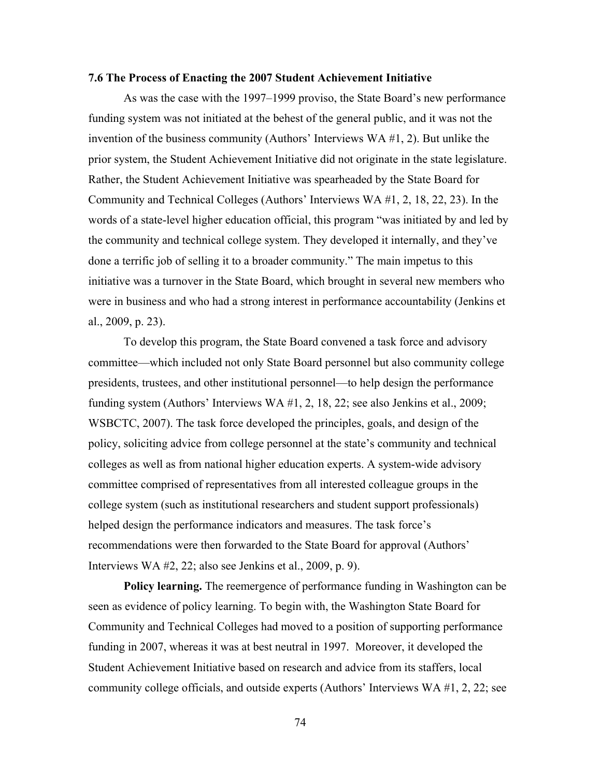### **7.6 The Process of Enacting the 2007 Student Achievement Initiative**

 As was the case with the 1997–1999 proviso, the State Board's new performance funding system was not initiated at the behest of the general public, and it was not the invention of the business community (Authors' Interviews WA #1, 2). But unlike the prior system, the Student Achievement Initiative did not originate in the state legislature. Rather, the Student Achievement Initiative was spearheaded by the State Board for Community and Technical Colleges (Authors' Interviews WA #1, 2, 18, 22, 23). In the words of a state-level higher education official, this program "was initiated by and led by the community and technical college system. They developed it internally, and they've done a terrific job of selling it to a broader community." The main impetus to this initiative was a turnover in the State Board, which brought in several new members who were in business and who had a strong interest in performance accountability (Jenkins et al., 2009, p. 23).

 To develop this program, the State Board convened a task force and advisory committee—which included not only State Board personnel but also community college presidents, trustees, and other institutional personnel—to help design the performance funding system (Authors' Interviews WA #1, 2, 18, 22; see also Jenkins et al., 2009; WSBCTC, 2007). The task force developed the principles, goals, and design of the policy, soliciting advice from college personnel at the state's community and technical colleges as well as from national higher education experts. A system-wide advisory committee comprised of representatives from all interested colleague groups in the college system (such as institutional researchers and student support professionals) helped design the performance indicators and measures. The task force's recommendations were then forwarded to the State Board for approval (Authors' Interviews WA #2, 22; also see Jenkins et al., 2009, p. 9).

**Policy learning.** The reemergence of performance funding in Washington can be seen as evidence of policy learning. To begin with, the Washington State Board for Community and Technical Colleges had moved to a position of supporting performance funding in 2007, whereas it was at best neutral in 1997. Moreover, it developed the Student Achievement Initiative based on research and advice from its staffers, local community college officials, and outside experts (Authors' Interviews WA #1, 2, 22; see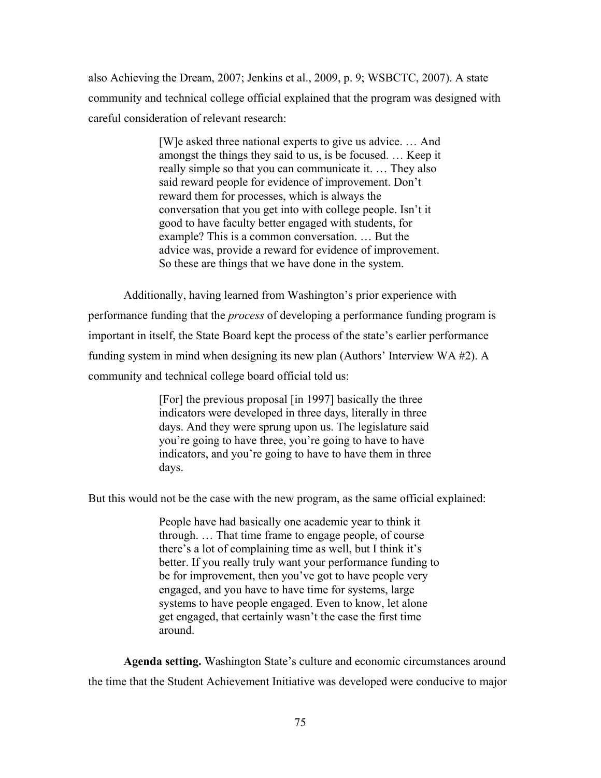also Achieving the Dream, 2007; Jenkins et al., 2009, p. 9; WSBCTC, 2007). A state community and technical college official explained that the program was designed with careful consideration of relevant research:

> [W]e asked three national experts to give us advice. … And amongst the things they said to us, is be focused. … Keep it really simple so that you can communicate it. … They also said reward people for evidence of improvement. Don't reward them for processes, which is always the conversation that you get into with college people. Isn't it good to have faculty better engaged with students, for example? This is a common conversation. … But the advice was, provide a reward for evidence of improvement. So these are things that we have done in the system.

Additionally, having learned from Washington's prior experience with performance funding that the *process* of developing a performance funding program is important in itself, the State Board kept the process of the state's earlier performance funding system in mind when designing its new plan (Authors' Interview WA #2). A community and technical college board official told us:

> [For] the previous proposal [in 1997] basically the three indicators were developed in three days, literally in three days. And they were sprung upon us. The legislature said you're going to have three, you're going to have to have indicators, and you're going to have to have them in three days.

But this would not be the case with the new program, as the same official explained:

People have had basically one academic year to think it through. … That time frame to engage people, of course there's a lot of complaining time as well, but I think it's better. If you really truly want your performance funding to be for improvement, then you've got to have people very engaged, and you have to have time for systems, large systems to have people engaged. Even to know, let alone get engaged, that certainly wasn't the case the first time around.

**Agenda setting.** Washington State's culture and economic circumstances around the time that the Student Achievement Initiative was developed were conducive to major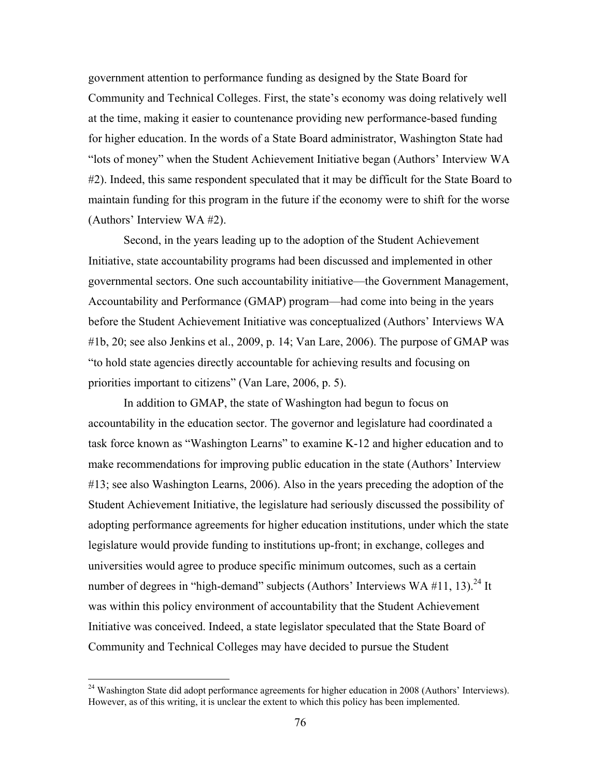government attention to performance funding as designed by the State Board for Community and Technical Colleges. First, the state's economy was doing relatively well at the time, making it easier to countenance providing new performance-based funding for higher education. In the words of a State Board administrator, Washington State had "lots of money" when the Student Achievement Initiative began (Authors' Interview WA #2). Indeed, this same respondent speculated that it may be difficult for the State Board to maintain funding for this program in the future if the economy were to shift for the worse (Authors' Interview WA #2).

 Second, in the years leading up to the adoption of the Student Achievement Initiative, state accountability programs had been discussed and implemented in other governmental sectors. One such accountability initiative—the Government Management, Accountability and Performance (GMAP) program—had come into being in the years before the Student Achievement Initiative was conceptualized (Authors' Interviews WA #1b, 20; see also Jenkins et al., 2009, p. 14; Van Lare, 2006). The purpose of GMAP was "to hold state agencies directly accountable for achieving results and focusing on priorities important to citizens" (Van Lare, 2006, p. 5).

 In addition to GMAP, the state of Washington had begun to focus on accountability in the education sector. The governor and legislature had coordinated a task force known as "Washington Learns" to examine K-12 and higher education and to make recommendations for improving public education in the state (Authors' Interview #13; see also Washington Learns, 2006). Also in the years preceding the adoption of the Student Achievement Initiative, the legislature had seriously discussed the possibility of adopting performance agreements for higher education institutions, under which the state legislature would provide funding to institutions up-front; in exchange, colleges and universities would agree to produce specific minimum outcomes, such as a certain number of degrees in "high-demand" subjects (Authors' Interviews WA  $\#11$ , 13).<sup>24</sup> It was within this policy environment of accountability that the Student Achievement Initiative was conceived. Indeed, a state legislator speculated that the State Board of Community and Technical Colleges may have decided to pursue the Student

<sup>&</sup>lt;sup>24</sup> Washington State did adopt performance agreements for higher education in 2008 (Authors' Interviews). However, as of this writing, it is unclear the extent to which this policy has been implemented.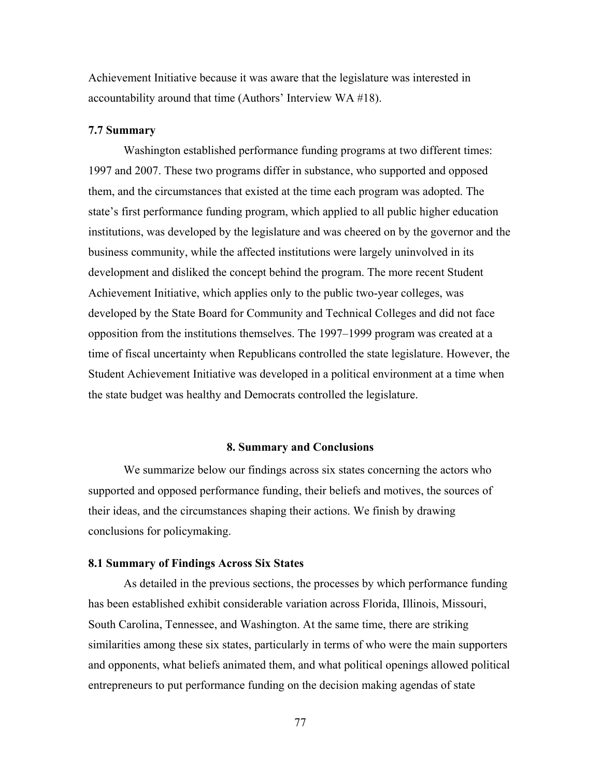Achievement Initiative because it was aware that the legislature was interested in accountability around that time (Authors' Interview WA #18).

## **7.7 Summary**

Washington established performance funding programs at two different times: 1997 and 2007. These two programs differ in substance, who supported and opposed them, and the circumstances that existed at the time each program was adopted. The state's first performance funding program, which applied to all public higher education institutions, was developed by the legislature and was cheered on by the governor and the business community, while the affected institutions were largely uninvolved in its development and disliked the concept behind the program. The more recent Student Achievement Initiative, which applies only to the public two-year colleges, was developed by the State Board for Community and Technical Colleges and did not face opposition from the institutions themselves. The 1997–1999 program was created at a time of fiscal uncertainty when Republicans controlled the state legislature. However, the Student Achievement Initiative was developed in a political environment at a time when the state budget was healthy and Democrats controlled the legislature.

#### **8. Summary and Conclusions**

We summarize below our findings across six states concerning the actors who supported and opposed performance funding, their beliefs and motives, the sources of their ideas, and the circumstances shaping their actions. We finish by drawing conclusions for policymaking.

# **8.1 Summary of Findings Across Six States**

As detailed in the previous sections, the processes by which performance funding has been established exhibit considerable variation across Florida, Illinois, Missouri, South Carolina, Tennessee, and Washington. At the same time, there are striking similarities among these six states, particularly in terms of who were the main supporters and opponents, what beliefs animated them, and what political openings allowed political entrepreneurs to put performance funding on the decision making agendas of state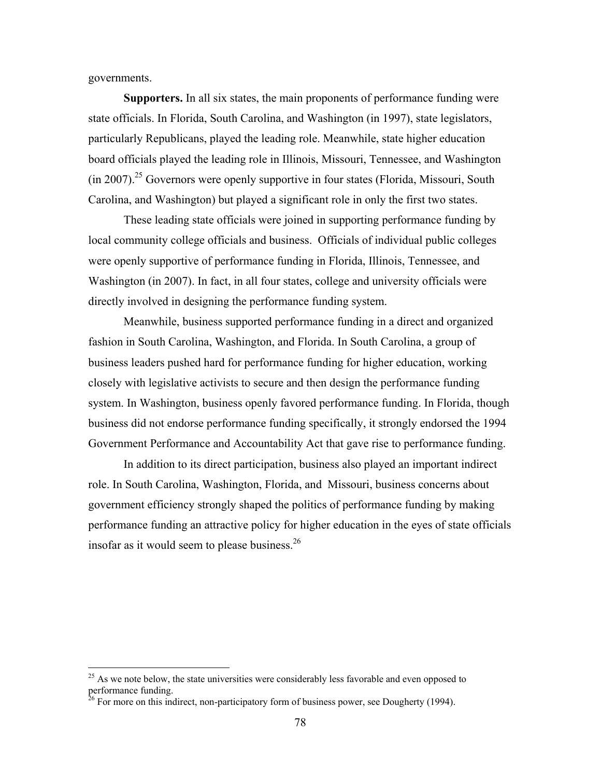governments.

 $\overline{a}$ 

**Supporters.** In all six states, the main proponents of performance funding were state officials. In Florida, South Carolina, and Washington (in 1997), state legislators, particularly Republicans, played the leading role. Meanwhile, state higher education board officials played the leading role in Illinois, Missouri, Tennessee, and Washington  $(in 2007).<sup>25</sup>$  Governors were openly supportive in four states (Florida, Missouri, South Carolina, and Washington) but played a significant role in only the first two states.

These leading state officials were joined in supporting performance funding by local community college officials and business. Officials of individual public colleges were openly supportive of performance funding in Florida, Illinois, Tennessee, and Washington (in 2007). In fact, in all four states, college and university officials were directly involved in designing the performance funding system.

Meanwhile, business supported performance funding in a direct and organized fashion in South Carolina, Washington, and Florida. In South Carolina, a group of business leaders pushed hard for performance funding for higher education, working closely with legislative activists to secure and then design the performance funding system. In Washington, business openly favored performance funding. In Florida, though business did not endorse performance funding specifically, it strongly endorsed the 1994 Government Performance and Accountability Act that gave rise to performance funding.

In addition to its direct participation, business also played an important indirect role. In South Carolina, Washington, Florida, and Missouri, business concerns about government efficiency strongly shaped the politics of performance funding by making performance funding an attractive policy for higher education in the eyes of state officials insofar as it would seem to please business.26

 $^{25}$  As we note below, the state universities were considerably less favorable and even opposed to performance funding.

 $26$  For more on this indirect, non-participatory form of business power, see Dougherty (1994).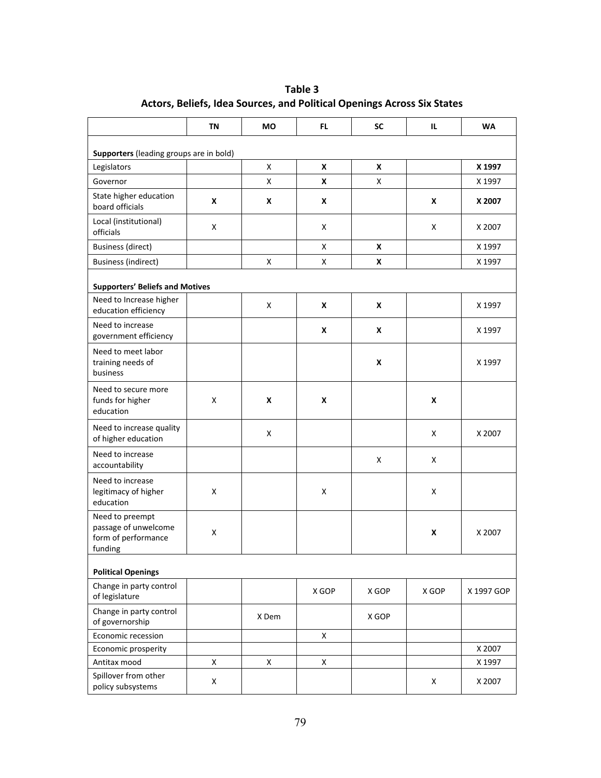|                                                                           | ΤN | MО    | FL.   | <b>SC</b> | IL.   | <b>WA</b>  |
|---------------------------------------------------------------------------|----|-------|-------|-----------|-------|------------|
| Supporters (leading groups are in bold)                                   |    |       |       |           |       |            |
| Legislators                                                               |    | X     | X     | X         |       | X 1997     |
| Governor                                                                  |    | x     | X     | Χ         |       | X 1997     |
| State higher education<br>board officials                                 | X  | X     | X     |           | X     | X 2007     |
| Local (institutional)<br>officials                                        | Χ  |       | X     |           | Χ     | X 2007     |
| <b>Business (direct)</b>                                                  |    |       | X     | X         |       | X 1997     |
| <b>Business (indirect)</b>                                                |    | x     | Χ     | X         |       | X 1997     |
| <b>Supporters' Beliefs and Motives</b>                                    |    |       |       |           |       |            |
| Need to Increase higher<br>education efficiency                           |    | X     | X     | X         |       | X 1997     |
| Need to increase<br>government efficiency                                 |    |       | X     | X         |       | X 1997     |
| Need to meet labor<br>training needs of<br>business                       |    |       |       | X         |       | X 1997     |
| Need to secure more<br>funds for higher<br>education                      | X  | X     | X     |           | X     |            |
| Need to increase quality<br>of higher education                           |    | X     |       |           | X     | X 2007     |
| Need to increase<br>accountability                                        |    |       |       | X         | Χ     |            |
| Need to increase<br>legitimacy of higher<br>education                     | X  |       | X     |           | Χ     |            |
| Need to preempt<br>passage of unwelcome<br>form of performance<br>funding | X  |       |       |           | X     | X 2007     |
| <b>Political Openings</b>                                                 |    |       |       |           |       |            |
| Change in party control<br>of legislature                                 |    |       | X GOP | X GOP     | X GOP | X 1997 GOP |
| Change in party control<br>of governorship                                |    | X Dem |       | X GOP     |       |            |
| Economic recession                                                        |    |       | X     |           |       |            |
| Economic prosperity                                                       |    |       |       |           |       | X 2007     |
| Antitax mood                                                              | X  | X     | Χ     |           |       | X 1997     |
| Spillover from other<br>policy subsystems                                 | X  |       |       |           | X     | X 2007     |

# **Table 3 Actors, Beliefs, Idea Sources, and Political Openings Across Six States**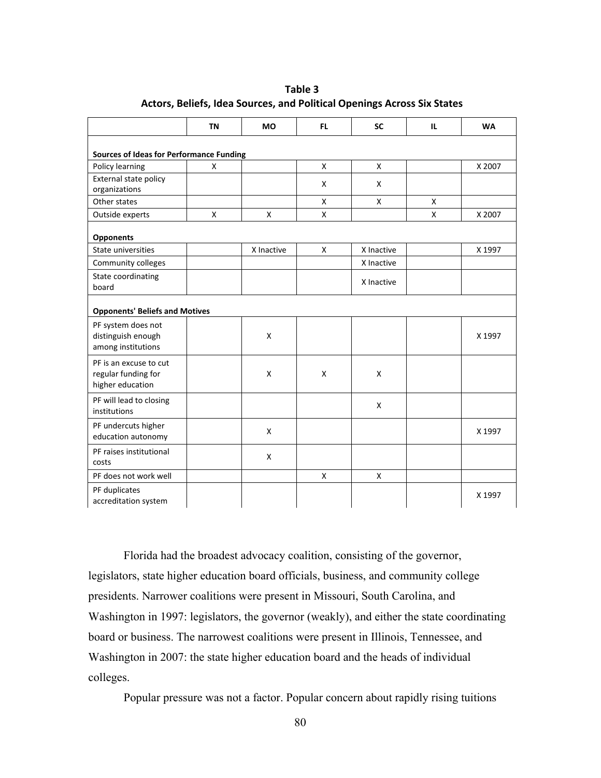|                                                 | <b>TN</b> | <b>MO</b>  | FL.          | <b>SC</b>    | IL. | <b>WA</b> |
|-------------------------------------------------|-----------|------------|--------------|--------------|-----|-----------|
|                                                 |           |            |              |              |     |           |
| <b>Sources of Ideas for Performance Funding</b> |           |            |              |              |     |           |
| Policy learning                                 | X         |            | $\mathsf{x}$ | $\mathsf{X}$ |     | X 2007    |
| External state policy                           |           |            | X            | X            |     |           |
| organizations                                   |           |            |              |              |     |           |
| Other states                                    |           |            | X            | X            | X   |           |
| Outside experts                                 | X         | X          | X            |              | X   | X 2007    |
| <b>Opponents</b>                                |           |            |              |              |     |           |
| State universities                              |           | X Inactive | X            | X Inactive   |     | X 1997    |
| Community colleges                              |           |            |              | X Inactive   |     |           |
| State coordinating                              |           |            |              | X Inactive   |     |           |
| board                                           |           |            |              |              |     |           |
| <b>Opponents' Beliefs and Motives</b>           |           |            |              |              |     |           |
| PF system does not                              |           |            |              |              |     |           |
| distinguish enough                              |           | X          |              |              |     | X 1997    |
| among institutions                              |           |            |              |              |     |           |
| PF is an excuse to cut                          |           |            |              |              |     |           |
| regular funding for                             |           | X          | X            | X            |     |           |
| higher education                                |           |            |              |              |     |           |
| PF will lead to closing                         |           |            |              | X            |     |           |
| institutions                                    |           |            |              |              |     |           |
| PF undercuts higher                             |           | X          |              |              |     |           |
| education autonomy                              |           |            |              |              |     | X 1997    |
| PF raises institutional                         |           |            |              |              |     |           |
| costs                                           |           | X          |              |              |     |           |
| PF does not work well                           |           |            | X            | $\mathsf{X}$ |     |           |
| PF duplicates                                   |           |            |              |              |     |           |
| accreditation system                            |           |            |              |              |     | X 1997    |

**Table 3 Actors, Beliefs, Idea Sources, and Political Openings Across Six States**

Florida had the broadest advocacy coalition, consisting of the governor, legislators, state higher education board officials, business, and community college presidents. Narrower coalitions were present in Missouri, South Carolina, and Washington in 1997: legislators, the governor (weakly), and either the state coordinating board or business. The narrowest coalitions were present in Illinois, Tennessee, and Washington in 2007: the state higher education board and the heads of individual colleges.

Popular pressure was not a factor. Popular concern about rapidly rising tuitions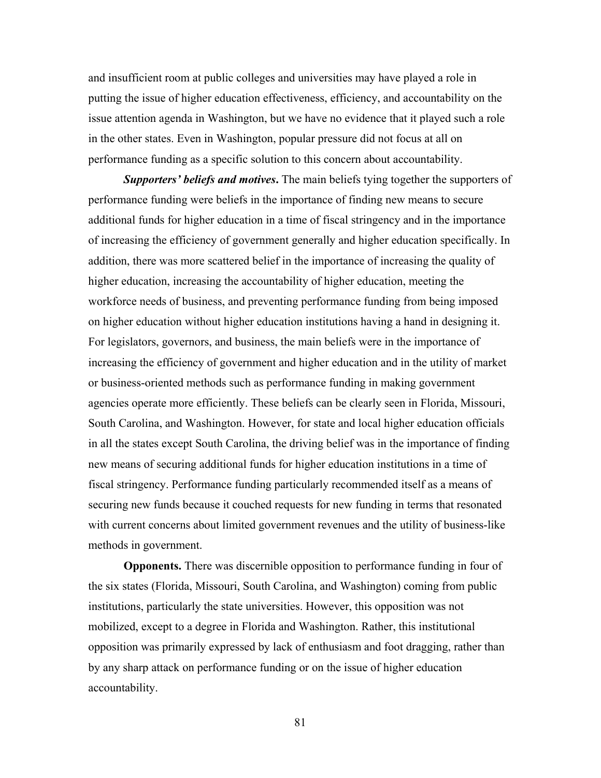and insufficient room at public colleges and universities may have played a role in putting the issue of higher education effectiveness, efficiency, and accountability on the issue attention agenda in Washington, but we have no evidence that it played such a role in the other states. Even in Washington, popular pressure did not focus at all on performance funding as a specific solution to this concern about accountability.

*Supporters' beliefs and motives***.** The main beliefs tying together the supporters of performance funding were beliefs in the importance of finding new means to secure additional funds for higher education in a time of fiscal stringency and in the importance of increasing the efficiency of government generally and higher education specifically. In addition, there was more scattered belief in the importance of increasing the quality of higher education, increasing the accountability of higher education, meeting the workforce needs of business, and preventing performance funding from being imposed on higher education without higher education institutions having a hand in designing it. For legislators, governors, and business, the main beliefs were in the importance of increasing the efficiency of government and higher education and in the utility of market or business-oriented methods such as performance funding in making government agencies operate more efficiently. These beliefs can be clearly seen in Florida, Missouri, South Carolina, and Washington. However, for state and local higher education officials in all the states except South Carolina, the driving belief was in the importance of finding new means of securing additional funds for higher education institutions in a time of fiscal stringency. Performance funding particularly recommended itself as a means of securing new funds because it couched requests for new funding in terms that resonated with current concerns about limited government revenues and the utility of business-like methods in government.

**Opponents.** There was discernible opposition to performance funding in four of the six states (Florida, Missouri, South Carolina, and Washington) coming from public institutions, particularly the state universities. However, this opposition was not mobilized, except to a degree in Florida and Washington. Rather, this institutional opposition was primarily expressed by lack of enthusiasm and foot dragging, rather than by any sharp attack on performance funding or on the issue of higher education accountability.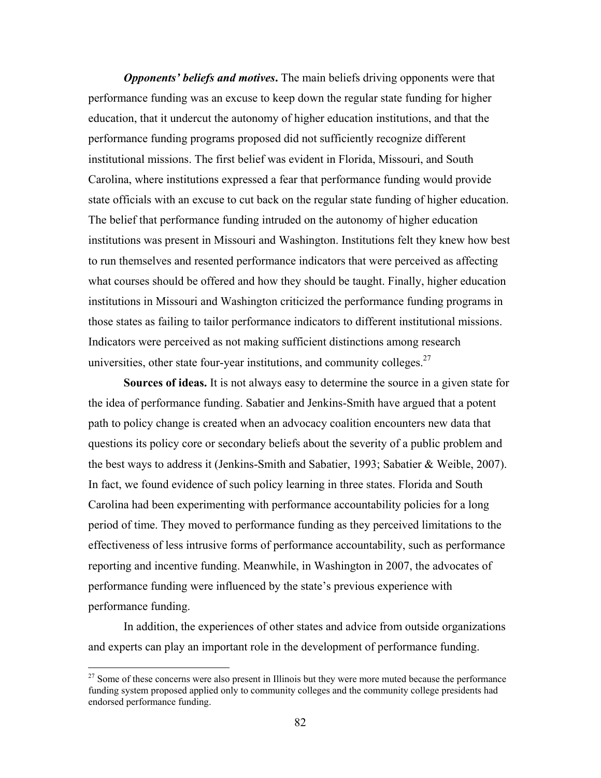*Opponents' beliefs and motives***.** The main beliefs driving opponents were that performance funding was an excuse to keep down the regular state funding for higher education, that it undercut the autonomy of higher education institutions, and that the performance funding programs proposed did not sufficiently recognize different institutional missions. The first belief was evident in Florida, Missouri, and South Carolina, where institutions expressed a fear that performance funding would provide state officials with an excuse to cut back on the regular state funding of higher education. The belief that performance funding intruded on the autonomy of higher education institutions was present in Missouri and Washington. Institutions felt they knew how best to run themselves and resented performance indicators that were perceived as affecting what courses should be offered and how they should be taught. Finally, higher education institutions in Missouri and Washington criticized the performance funding programs in those states as failing to tailor performance indicators to different institutional missions. Indicators were perceived as not making sufficient distinctions among research universities, other state four-year institutions, and community colleges. $27$ 

**Sources of ideas.** It is not always easy to determine the source in a given state for the idea of performance funding. Sabatier and Jenkins-Smith have argued that a potent path to policy change is created when an advocacy coalition encounters new data that questions its policy core or secondary beliefs about the severity of a public problem and the best ways to address it (Jenkins-Smith and Sabatier, 1993; Sabatier & Weible, 2007). In fact, we found evidence of such policy learning in three states. Florida and South Carolina had been experimenting with performance accountability policies for a long period of time. They moved to performance funding as they perceived limitations to the effectiveness of less intrusive forms of performance accountability, such as performance reporting and incentive funding. Meanwhile, in Washington in 2007, the advocates of performance funding were influenced by the state's previous experience with performance funding.

In addition, the experiences of other states and advice from outside organizations and experts can play an important role in the development of performance funding.

 $\overline{a}$ 

 $27$  Some of these concerns were also present in Illinois but they were more muted because the performance funding system proposed applied only to community colleges and the community college presidents had endorsed performance funding.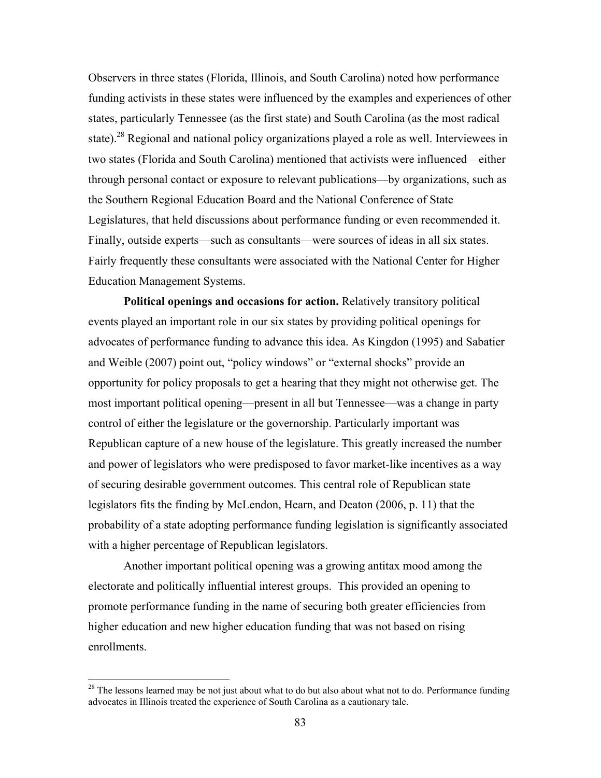Observers in three states (Florida, Illinois, and South Carolina) noted how performance funding activists in these states were influenced by the examples and experiences of other states, particularly Tennessee (as the first state) and South Carolina (as the most radical state).<sup>28</sup> Regional and national policy organizations played a role as well. Interviewees in two states (Florida and South Carolina) mentioned that activists were influenced—either through personal contact or exposure to relevant publications—by organizations, such as the Southern Regional Education Board and the National Conference of State Legislatures, that held discussions about performance funding or even recommended it. Finally, outside experts—such as consultants—were sources of ideas in all six states. Fairly frequently these consultants were associated with the National Center for Higher Education Management Systems.

**Political openings and occasions for action.** Relatively transitory political events played an important role in our six states by providing political openings for advocates of performance funding to advance this idea. As Kingdon (1995) and Sabatier and Weible (2007) point out, "policy windows" or "external shocks" provide an opportunity for policy proposals to get a hearing that they might not otherwise get. The most important political opening—present in all but Tennessee—was a change in party control of either the legislature or the governorship. Particularly important was Republican capture of a new house of the legislature. This greatly increased the number and power of legislators who were predisposed to favor market-like incentives as a way of securing desirable government outcomes. This central role of Republican state legislators fits the finding by McLendon, Hearn, and Deaton (2006, p. 11) that the probability of a state adopting performance funding legislation is significantly associated with a higher percentage of Republican legislators.

 Another important political opening was a growing antitax mood among the electorate and politically influential interest groups. This provided an opening to promote performance funding in the name of securing both greater efficiencies from higher education and new higher education funding that was not based on rising enrollments.

 $\overline{a}$ 

 $28$  The lessons learned may be not just about what to do but also about what not to do. Performance funding advocates in Illinois treated the experience of South Carolina as a cautionary tale.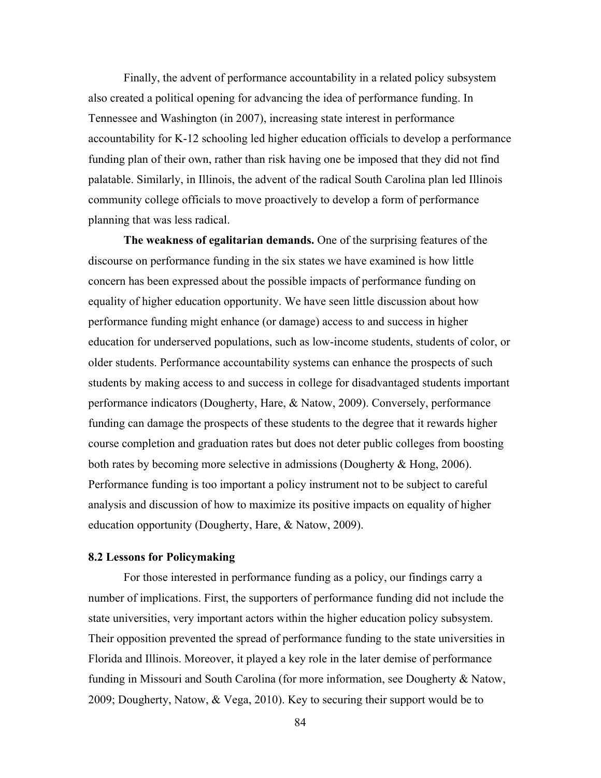Finally, the advent of performance accountability in a related policy subsystem also created a political opening for advancing the idea of performance funding. In Tennessee and Washington (in 2007), increasing state interest in performance accountability for K-12 schooling led higher education officials to develop a performance funding plan of their own, rather than risk having one be imposed that they did not find palatable. Similarly, in Illinois, the advent of the radical South Carolina plan led Illinois community college officials to move proactively to develop a form of performance planning that was less radical.

**The weakness of egalitarian demands.** One of the surprising features of the discourse on performance funding in the six states we have examined is how little concern has been expressed about the possible impacts of performance funding on equality of higher education opportunity. We have seen little discussion about how performance funding might enhance (or damage) access to and success in higher education for underserved populations, such as low-income students, students of color, or older students. Performance accountability systems can enhance the prospects of such students by making access to and success in college for disadvantaged students important performance indicators (Dougherty, Hare, & Natow, 2009). Conversely, performance funding can damage the prospects of these students to the degree that it rewards higher course completion and graduation rates but does not deter public colleges from boosting both rates by becoming more selective in admissions (Dougherty & Hong, 2006). Performance funding is too important a policy instrument not to be subject to careful analysis and discussion of how to maximize its positive impacts on equality of higher education opportunity (Dougherty, Hare, & Natow, 2009).

# **8.2 Lessons for Policymaking**

For those interested in performance funding as a policy, our findings carry a number of implications. First, the supporters of performance funding did not include the state universities, very important actors within the higher education policy subsystem. Their opposition prevented the spread of performance funding to the state universities in Florida and Illinois. Moreover, it played a key role in the later demise of performance funding in Missouri and South Carolina (for more information, see Dougherty & Natow, 2009; Dougherty, Natow, & Vega, 2010). Key to securing their support would be to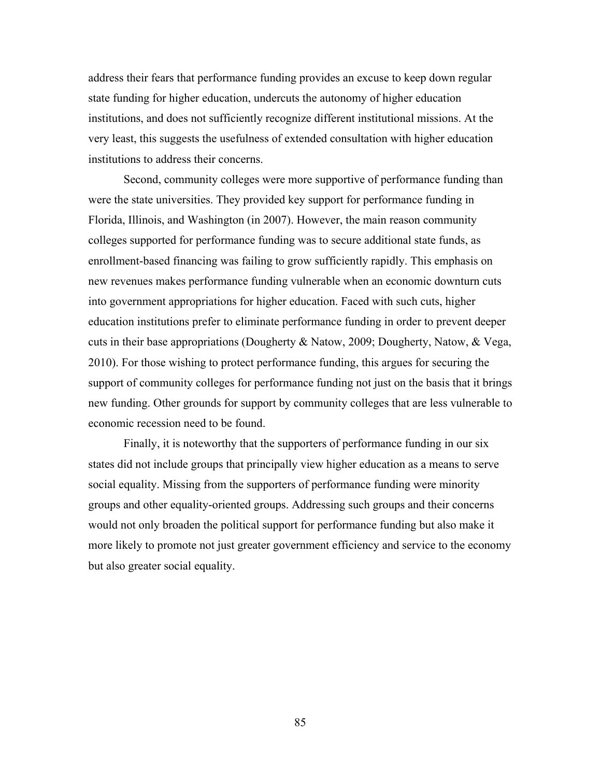address their fears that performance funding provides an excuse to keep down regular state funding for higher education, undercuts the autonomy of higher education institutions, and does not sufficiently recognize different institutional missions. At the very least, this suggests the usefulness of extended consultation with higher education institutions to address their concerns.

Second, community colleges were more supportive of performance funding than were the state universities. They provided key support for performance funding in Florida, Illinois, and Washington (in 2007). However, the main reason community colleges supported for performance funding was to secure additional state funds, as enrollment-based financing was failing to grow sufficiently rapidly. This emphasis on new revenues makes performance funding vulnerable when an economic downturn cuts into government appropriations for higher education. Faced with such cuts, higher education institutions prefer to eliminate performance funding in order to prevent deeper cuts in their base appropriations (Dougherty & Natow, 2009; Dougherty, Natow, & Vega, 2010). For those wishing to protect performance funding, this argues for securing the support of community colleges for performance funding not just on the basis that it brings new funding. Other grounds for support by community colleges that are less vulnerable to economic recession need to be found.

Finally, it is noteworthy that the supporters of performance funding in our six states did not include groups that principally view higher education as a means to serve social equality. Missing from the supporters of performance funding were minority groups and other equality-oriented groups. Addressing such groups and their concerns would not only broaden the political support for performance funding but also make it more likely to promote not just greater government efficiency and service to the economy but also greater social equality.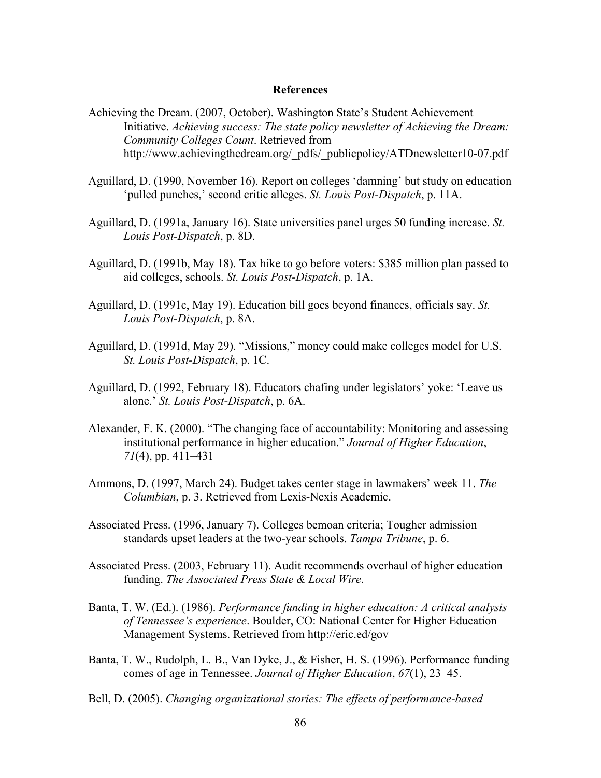## **References**

- Achieving the Dream. (2007, October). Washington State's Student Achievement Initiative. *Achieving success: The state policy newsletter of Achieving the Dream: Community Colleges Count*. Retrieved from http://www.achievingthedream.org/\_pdfs/\_publicpolicy/ATDnewsletter10-07.pdf
- Aguillard, D. (1990, November 16). Report on colleges 'damning' but study on education 'pulled punches,' second critic alleges. *St. Louis Post-Dispatch*, p. 11A.
- Aguillard, D. (1991a, January 16). State universities panel urges 50 funding increase. *St. Louis Post-Dispatch*, p. 8D.
- Aguillard, D. (1991b, May 18). Tax hike to go before voters: \$385 million plan passed to aid colleges, schools. *St. Louis Post-Dispatch*, p. 1A.
- Aguillard, D. (1991c, May 19). Education bill goes beyond finances, officials say. *St. Louis Post-Dispatch*, p. 8A.
- Aguillard, D. (1991d, May 29). "Missions," money could make colleges model for U.S. *St. Louis Post-Dispatch*, p. 1C.
- Aguillard, D. (1992, February 18). Educators chafing under legislators' yoke: 'Leave us alone.' *St. Louis Post-Dispatch*, p. 6A.
- Alexander, F. K. (2000). "The changing face of accountability: Monitoring and assessing institutional performance in higher education." *Journal of Higher Education*, *71*(4), pp. 411–431
- Ammons, D. (1997, March 24). Budget takes center stage in lawmakers' week 11. *The Columbian*, p. 3. Retrieved from Lexis-Nexis Academic.
- Associated Press. (1996, January 7). Colleges bemoan criteria; Tougher admission standards upset leaders at the two-year schools. *Tampa Tribune*, p. 6.
- Associated Press. (2003, February 11). Audit recommends overhaul of higher education funding. *The Associated Press State & Local Wire*.
- Banta, T. W. (Ed.). (1986). *Performance funding in higher education: A critical analysis of Tennessee's experience*. Boulder, CO: National Center for Higher Education Management Systems. Retrieved from http://eric.ed/gov
- Banta, T. W., Rudolph, L. B., Van Dyke, J., & Fisher, H. S. (1996). Performance funding comes of age in Tennessee. *Journal of Higher Education*, *67*(1), 23–45.
- Bell, D. (2005). *Changing organizational stories: The effects of performance-based*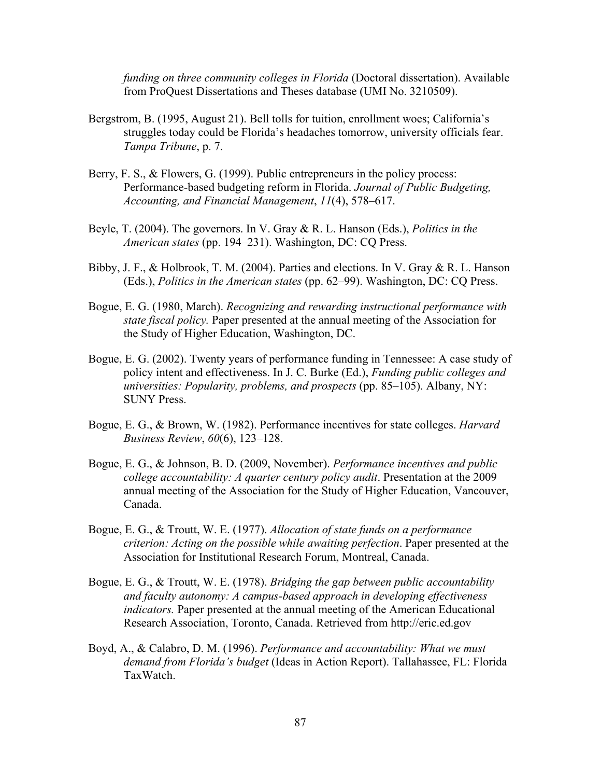*funding on three community colleges in Florida* (Doctoral dissertation). Available from ProQuest Dissertations and Theses database (UMI No. 3210509).

- Bergstrom, B. (1995, August 21). Bell tolls for tuition, enrollment woes; California's struggles today could be Florida's headaches tomorrow, university officials fear. *Tampa Tribune*, p. 7.
- Berry, F. S., & Flowers, G. (1999). Public entrepreneurs in the policy process: Performance-based budgeting reform in Florida. *Journal of Public Budgeting, Accounting, and Financial Management*, *11*(4), 578–617.
- Beyle, T. (2004). The governors. In V. Gray & R. L. Hanson (Eds.), *Politics in the American states* (pp. 194–231). Washington, DC: CQ Press.
- Bibby, J. F., & Holbrook, T. M. (2004). Parties and elections. In V. Gray & R. L. Hanson (Eds.), *Politics in the American states* (pp. 62–99). Washington, DC: CQ Press.
- Bogue, E. G. (1980, March). *Recognizing and rewarding instructional performance with state fiscal policy.* Paper presented at the annual meeting of the Association for the Study of Higher Education, Washington, DC.
- Bogue, E. G. (2002). Twenty years of performance funding in Tennessee: A case study of policy intent and effectiveness. In J. C. Burke (Ed.), *Funding public colleges and universities: Popularity, problems, and prospects* (pp. 85–105). Albany, NY: SUNY Press.
- Bogue, E. G., & Brown, W. (1982). Performance incentives for state colleges. *Harvard Business Review*, *60*(6), 123–128.
- Bogue, E. G., & Johnson, B. D. (2009, November). *Performance incentives and public college accountability: A quarter century policy audit*. Presentation at the 2009 annual meeting of the Association for the Study of Higher Education, Vancouver, Canada.
- Bogue, E. G., & Troutt, W. E. (1977). *Allocation of state funds on a performance criterion: Acting on the possible while awaiting perfection*. Paper presented at the Association for Institutional Research Forum, Montreal, Canada.
- Bogue, E. G., & Troutt, W. E. (1978). *Bridging the gap between public accountability and faculty autonomy: A campus-based approach in developing effectiveness indicators.* Paper presented at the annual meeting of the American Educational Research Association, Toronto, Canada. Retrieved from http://eric.ed.gov
- Boyd, A., & Calabro, D. M. (1996). *Performance and accountability: What we must demand from Florida's budget* (Ideas in Action Report). Tallahassee, FL: Florida TaxWatch.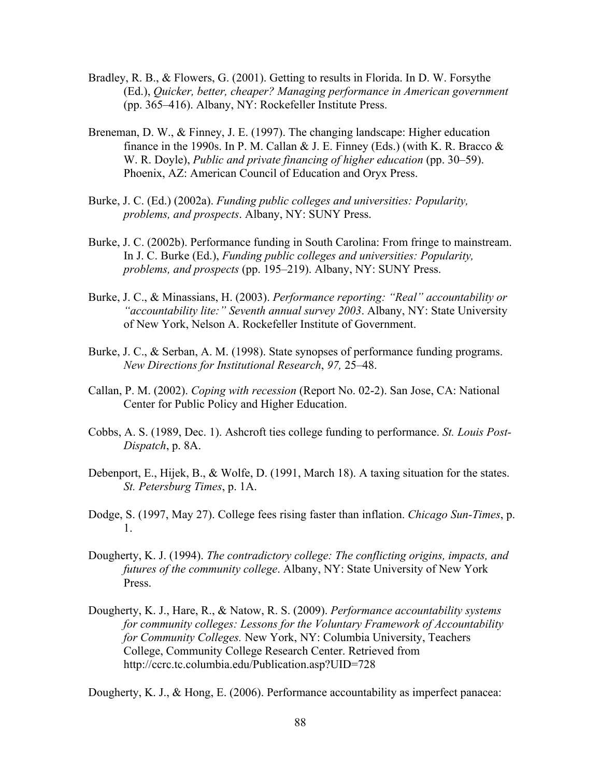- Bradley, R. B., & Flowers, G. (2001). Getting to results in Florida. In D. W. Forsythe (Ed.), *Quicker, better, cheaper? Managing performance in American government* (pp. 365–416). Albany, NY: Rockefeller Institute Press.
- Breneman, D. W., & Finney, J. E. (1997). The changing landscape: Higher education finance in the 1990s. In P. M. Callan & J. E. Finney (Eds.) (with K. R. Bracco  $\&$ W. R. Doyle), *Public and private financing of higher education* (pp. 30–59). Phoenix, AZ: American Council of Education and Oryx Press.
- Burke, J. C. (Ed.) (2002a). *Funding public colleges and universities: Popularity, problems, and prospects*. Albany, NY: SUNY Press.
- Burke, J. C. (2002b). Performance funding in South Carolina: From fringe to mainstream. In J. C. Burke (Ed.), *Funding public colleges and universities: Popularity, problems, and prospects* (pp. 195–219). Albany, NY: SUNY Press.
- Burke, J. C., & Minassians, H. (2003). *Performance reporting: "Real" accountability or "accountability lite:" Seventh annual survey 2003*. Albany, NY: State University of New York, Nelson A. Rockefeller Institute of Government.
- Burke, J. C., & Serban, A. M. (1998). State synopses of performance funding programs. *New Directions for Institutional Research*, *97,* 25–48.
- Callan, P. M. (2002). *Coping with recession* (Report No. 02-2). San Jose, CA: National Center for Public Policy and Higher Education.
- Cobbs, A. S. (1989, Dec. 1). Ashcroft ties college funding to performance. *St. Louis Post-Dispatch*, p. 8A.
- Debenport, E., Hijek, B., & Wolfe, D. (1991, March 18). A taxing situation for the states. *St. Petersburg Times*, p. 1A.
- Dodge, S. (1997, May 27). College fees rising faster than inflation. *Chicago Sun-Times*, p. 1.
- Dougherty, K. J. (1994). *The contradictory college: The conflicting origins, impacts, and futures of the community college*. Albany, NY: State University of New York Press.
- Dougherty, K. J., Hare, R., & Natow, R. S. (2009). *Performance accountability systems for community colleges: Lessons for the Voluntary Framework of Accountability for Community Colleges.* New York, NY: Columbia University, Teachers College, Community College Research Center. Retrieved from http://ccrc.tc.columbia.edu/Publication.asp?UID=728

Dougherty, K. J., & Hong, E. (2006). Performance accountability as imperfect panacea: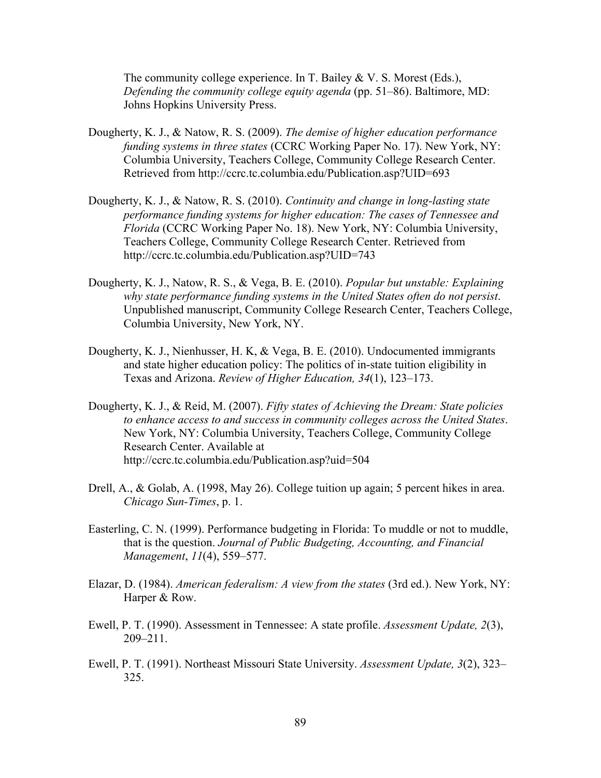The community college experience. In T. Bailey & V. S. Morest (Eds.), *Defending the community college equity agenda* (pp. 51–86). Baltimore, MD: Johns Hopkins University Press.

- Dougherty, K. J., & Natow, R. S. (2009). *The demise of higher education performance funding systems in three states* (CCRC Working Paper No. 17). New York, NY: Columbia University, Teachers College, Community College Research Center. Retrieved from http://ccrc.tc.columbia.edu/Publication.asp?UID=693
- Dougherty, K. J., & Natow, R. S. (2010). *Continuity and change in long-lasting state performance funding systems for higher education: The cases of Tennessee and Florida* (CCRC Working Paper No. 18). New York, NY: Columbia University, Teachers College, Community College Research Center. Retrieved from http://ccrc.tc.columbia.edu/Publication.asp?UID=743
- Dougherty, K. J., Natow, R. S., & Vega, B. E. (2010). *Popular but unstable: Explaining why state performance funding systems in the United States often do not persist*. Unpublished manuscript, Community College Research Center, Teachers College, Columbia University, New York, NY.
- Dougherty, K. J., Nienhusser, H. K, & Vega, B. E. (2010). Undocumented immigrants and state higher education policy: The politics of in-state tuition eligibility in Texas and Arizona. *Review of Higher Education, 34*(1), 123–173.
- Dougherty, K. J., & Reid, M. (2007). *Fifty states of Achieving the Dream: State policies to enhance access to and success in community colleges across the United States*. New York, NY: Columbia University, Teachers College, Community College Research Center. Available at http://ccrc.tc.columbia.edu/Publication.asp?uid=504
- Drell, A., & Golab, A. (1998, May 26). College tuition up again; 5 percent hikes in area. *Chicago Sun-Times*, p. 1.
- Easterling, C. N. (1999). Performance budgeting in Florida: To muddle or not to muddle, that is the question. *Journal of Public Budgeting, Accounting, and Financial Management*, *11*(4), 559–577.
- Elazar, D. (1984). *American federalism: A view from the states* (3rd ed.). New York, NY: Harper & Row.
- Ewell, P. T. (1990). Assessment in Tennessee: A state profile. *Assessment Update, 2*(3), 209–211.
- Ewell, P. T. (1991). Northeast Missouri State University. *Assessment Update, 3*(2), 323– 325.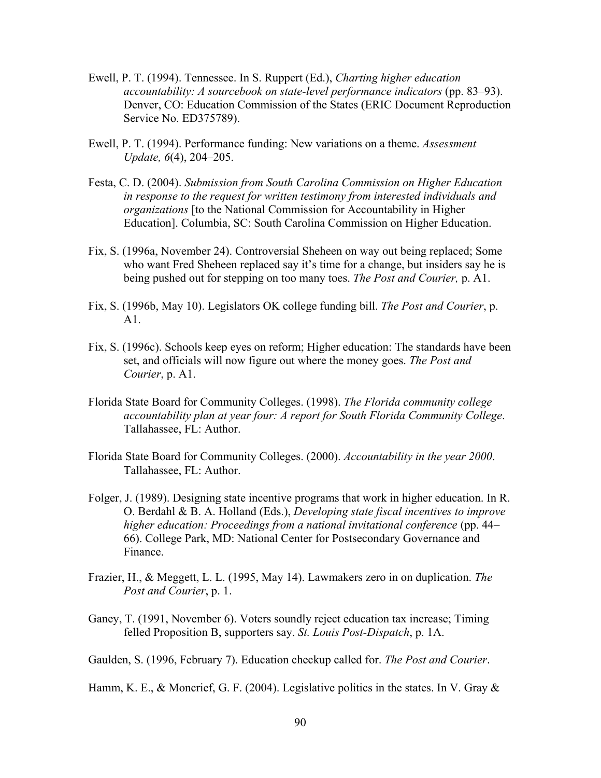- Ewell, P. T. (1994). Tennessee. In S. Ruppert (Ed.), *Charting higher education accountability: A sourcebook on state-level performance indicators* (pp. 83–93). Denver, CO: Education Commission of the States (ERIC Document Reproduction Service No. ED375789).
- Ewell, P. T. (1994). Performance funding: New variations on a theme. *Assessment Update, 6*(4), 204–205.
- Festa, C. D. (2004). *Submission from South Carolina Commission on Higher Education in response to the request for written testimony from interested individuals and organizations* [to the National Commission for Accountability in Higher Education]. Columbia, SC: South Carolina Commission on Higher Education.
- Fix, S. (1996a, November 24). Controversial Sheheen on way out being replaced; Some who want Fred Sheheen replaced say it's time for a change, but insiders say he is being pushed out for stepping on too many toes. *The Post and Courier,* p. A1.
- Fix, S. (1996b, May 10). Legislators OK college funding bill. *The Post and Courier*, p. A1.
- Fix, S. (1996c). Schools keep eyes on reform; Higher education: The standards have been set, and officials will now figure out where the money goes. *The Post and Courier*, p. A1.
- Florida State Board for Community Colleges. (1998). *The Florida community college accountability plan at year four: A report for South Florida Community College*. Tallahassee, FL: Author.
- Florida State Board for Community Colleges. (2000). *Accountability in the year 2000*. Tallahassee, FL: Author.
- Folger, J. (1989). Designing state incentive programs that work in higher education. In R. O. Berdahl & B. A. Holland (Eds.), *Developing state fiscal incentives to improve higher education: Proceedings from a national invitational conference* (pp. 44– 66). College Park, MD: National Center for Postsecondary Governance and Finance.
- Frazier, H., & Meggett, L. L. (1995, May 14). Lawmakers zero in on duplication. *The Post and Courier*, p. 1.
- Ganey, T. (1991, November 6). Voters soundly reject education tax increase; Timing felled Proposition B, supporters say. *St. Louis Post-Dispatch*, p. 1A.
- Gaulden, S. (1996, February 7). Education checkup called for. *The Post and Courier*.
- Hamm, K. E., & Moncrief, G. F. (2004). Legislative politics in the states. In V. Gray  $\&$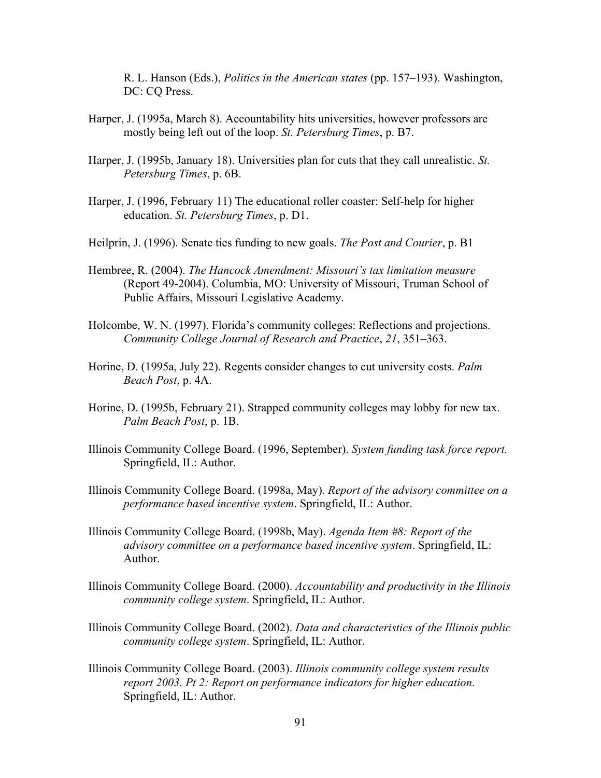R. L. Hanson (Eds.), *Politics in the American states* (pp. 157–193). Washington, DC: CQ Press.

- Harper, J. (1995a, March 8). Accountability hits universities, however professors are mostly being left out of the loop. *St. Petersburg Times*, p. B7.
- Harper, J. (1995b, January 18). Universities plan for cuts that they call unrealistic. *St. Petersburg Times*, p. 6B.
- Harper, J. (1996, February 11) The educational roller coaster: Self-help for higher education. *St. Petersburg Times*, p. D1.
- Heilprin, J. (1996). Senate ties funding to new goals. *The Post and Courier*, p. B1
- Hembree, R. (2004). *The Hancock Amendment: Missouri's tax limitation measure* (Report 49-2004). Columbia, MO: University of Missouri, Truman School of Public Affairs, Missouri Legislative Academy.
- Holcombe, W. N. (1997). Florida's community colleges: Reflections and projections. *Community College Journal of Research and Practice*, *21*, 351–363.
- Horine, D. (1995a, July 22). Regents consider changes to cut university costs. *Palm Beach Post*, p. 4A.
- Horine, D. (1995b, February 21). Strapped community colleges may lobby for new tax. *Palm Beach Post*, p. 1B.
- Illinois Community College Board. (1996, September). *System funding task force report.*  Springfield, IL: Author.
- Illinois Community College Board. (1998a, May). *Report of the advisory committee on a performance based incentive system*. Springfield, IL: Author.
- Illinois Community College Board. (1998b, May). *Agenda Item #8: Report of the advisory committee on a performance based incentive system*. Springfield, IL: Author.
- Illinois Community College Board. (2000). *Accountability and productivity in the Illinois community college system*. Springfield, IL: Author.
- Illinois Community College Board. (2002). *Data and characteristics of the Illinois public community college system*. Springfield, IL: Author.
- Illinois Community College Board. (2003). *Illinois community college system results report 2003. Pt 2: Report on performance indicators for higher education*. Springfield, IL: Author.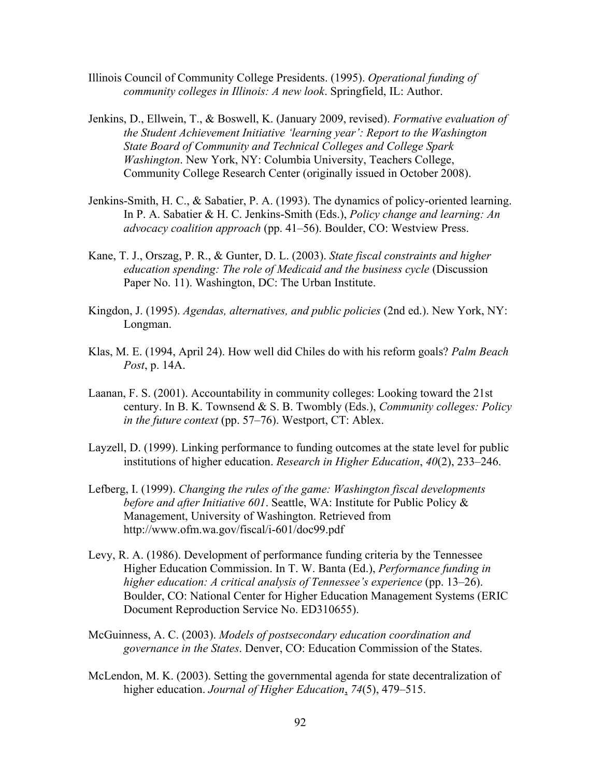- Illinois Council of Community College Presidents. (1995). *Operational funding of community colleges in Illinois: A new look*. Springfield, IL: Author.
- Jenkins, D., Ellwein, T., & Boswell, K. (January 2009, revised). *Formative evaluation of the Student Achievement Initiative 'learning year': Report to the Washington State Board of Community and Technical Colleges and College Spark Washington*. New York, NY: Columbia University, Teachers College, Community College Research Center (originally issued in October 2008).
- Jenkins-Smith, H. C., & Sabatier, P. A. (1993). The dynamics of policy-oriented learning. In P. A. Sabatier & H. C. Jenkins-Smith (Eds.), *Policy change and learning: An advocacy coalition approach* (pp. 41–56). Boulder, CO: Westview Press.
- Kane, T. J., Orszag, P. R., & Gunter, D. L. (2003). *State fiscal constraints and higher education spending: The role of Medicaid and the business cycle* (Discussion Paper No. 11). Washington, DC: The Urban Institute.
- Kingdon, J. (1995). *Agendas, alternatives, and public policies* (2nd ed.). New York, NY: Longman.
- Klas, M. E. (1994, April 24). How well did Chiles do with his reform goals? *Palm Beach Post*, p. 14A.
- Laanan, F. S. (2001). Accountability in community colleges: Looking toward the 21st century. In B. K. Townsend & S. B. Twombly (Eds.), *Community colleges: Policy in the future context* (pp. 57–76). Westport, CT: Ablex.
- Layzell, D. (1999). Linking performance to funding outcomes at the state level for public institutions of higher education. *Research in Higher Education*, *40*(2), 233–246.
- Lefberg, I. (1999). *Changing the rules of the game: Washington fiscal developments before and after Initiative 601*. Seattle, WA: Institute for Public Policy & Management, University of Washington. Retrieved from http://www.ofm.wa.gov/fiscal/i-601/doc99.pdf
- Levy, R. A. (1986). Development of performance funding criteria by the Tennessee Higher Education Commission. In T. W. Banta (Ed.), *Performance funding in higher education: A critical analysis of Tennessee's experience* (pp. 13–26). Boulder, CO: National Center for Higher Education Management Systems (ERIC Document Reproduction Service No. ED310655).
- McGuinness, A. C. (2003). *Models of postsecondary education coordination and governance in the States*. Denver, CO: Education Commission of the States.
- McLendon, M. K. (2003). Setting the governmental agenda for state decentralization of higher education. *Journal of Higher Education*, *74*(5), 479–515.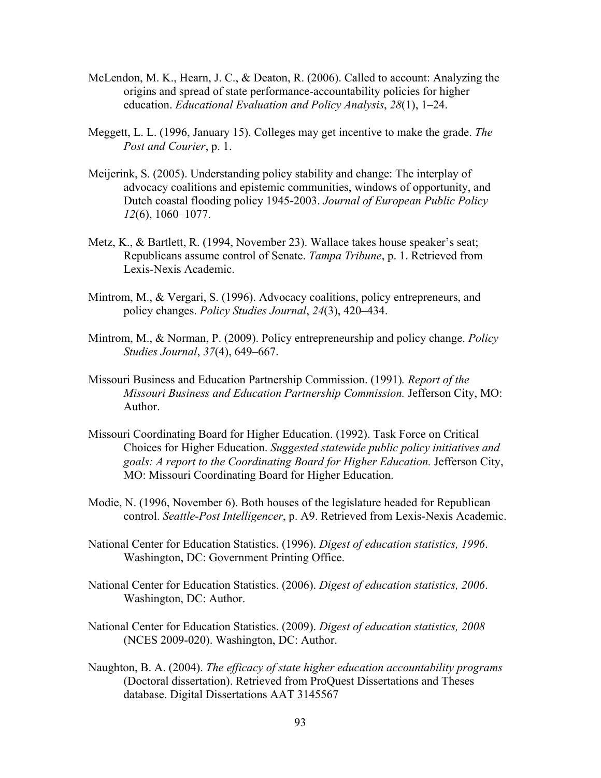- McLendon, M. K., Hearn, J. C., & Deaton, R. (2006). Called to account: Analyzing the origins and spread of state performance-accountability policies for higher education. *Educational Evaluation and Policy Analysis*, *28*(1), 1–24.
- Meggett, L. L. (1996, January 15). Colleges may get incentive to make the grade. *The Post and Courier*, p. 1.
- Meijerink, S. (2005). Understanding policy stability and change: The interplay of advocacy coalitions and epistemic communities, windows of opportunity, and Dutch coastal flooding policy 1945-2003. *Journal of European Public Policy 12*(6), 1060–1077.
- Metz, K., & Bartlett, R. (1994, November 23). Wallace takes house speaker's seat; Republicans assume control of Senate. *Tampa Tribune*, p. 1. Retrieved from Lexis-Nexis Academic.
- Mintrom, M., & Vergari, S. (1996). Advocacy coalitions, policy entrepreneurs, and policy changes. *Policy Studies Journal*, *24*(3), 420–434.
- Mintrom, M., & Norman, P. (2009). Policy entrepreneurship and policy change. *Policy Studies Journal*, *37*(4), 649–667.
- Missouri Business and Education Partnership Commission. (1991)*. Report of the Missouri Business and Education Partnership Commission.* Jefferson City, MO: Author.
- Missouri Coordinating Board for Higher Education. (1992). Task Force on Critical Choices for Higher Education. *Suggested statewide public policy initiatives and goals: A report to the Coordinating Board for Higher Education.* Jefferson City, MO: Missouri Coordinating Board for Higher Education.
- Modie, N. (1996, November 6). Both houses of the legislature headed for Republican control. *Seattle-Post Intelligencer*, p. A9. Retrieved from Lexis-Nexis Academic.
- National Center for Education Statistics. (1996). *Digest of education statistics, 1996*. Washington, DC: Government Printing Office.
- National Center for Education Statistics. (2006). *Digest of education statistics, 2006*. Washington, DC: Author.
- National Center for Education Statistics. (2009). *Digest of education statistics, 2008* (NCES 2009-020). Washington, DC: Author.
- Naughton, B. A. (2004). *The efficacy of state higher education accountability programs* (Doctoral dissertation). Retrieved from ProQuest Dissertations and Theses database. Digital Dissertations AAT 3145567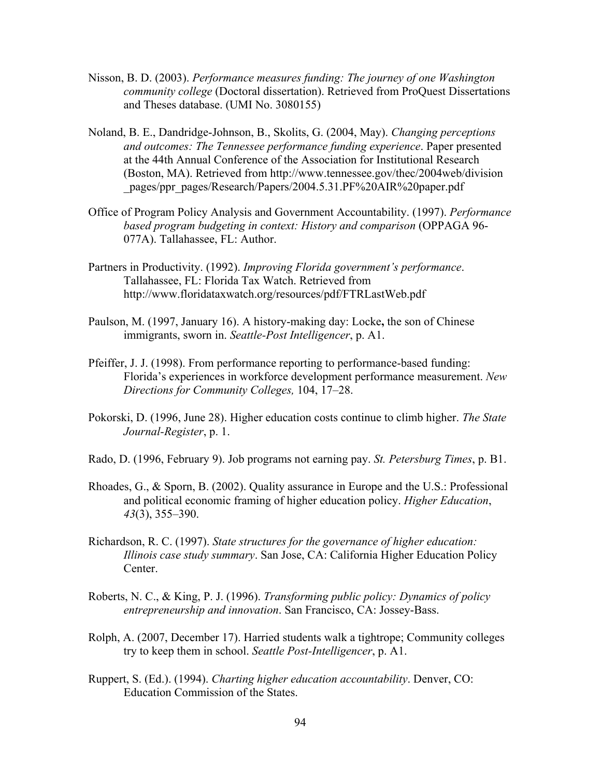- Nisson, B. D. (2003). *Performance measures funding: The journey of one Washington community college* (Doctoral dissertation). Retrieved from ProQuest Dissertations and Theses database. (UMI No. 3080155)
- Noland, B. E., Dandridge-Johnson, B., Skolits, G. (2004, May). *Changing perceptions and outcomes: The Tennessee performance funding experience*. Paper presented at the 44th Annual Conference of the Association for Institutional Research (Boston, MA). Retrieved from http://www.tennessee.gov/thec/2004web/division pages/ppr\_pages/Research/Papers/2004.5.31.PF%20AIR%20paper.pdf
- Office of Program Policy Analysis and Government Accountability. (1997). *Performance based program budgeting in context: History and comparison* (OPPAGA 96- 077A). Tallahassee, FL: Author.
- Partners in Productivity. (1992). *Improving Florida government's performance*. Tallahassee, FL: Florida Tax Watch. Retrieved from http://www.floridataxwatch.org/resources/pdf/FTRLastWeb.pdf
- Paulson, M. (1997, January 16). A history-making day: Locke**,** the son of Chinese immigrants, sworn in. *Seattle-Post Intelligencer*, p. A1.
- Pfeiffer, J. J. (1998). From performance reporting to performance-based funding: Florida's experiences in workforce development performance measurement. *New Directions for Community Colleges,* 104, 17–28.
- Pokorski, D. (1996, June 28). Higher education costs continue to climb higher. *The State Journal-Register*, p. 1.
- Rado, D. (1996, February 9). Job programs not earning pay. *St. Petersburg Times*, p. B1.
- Rhoades, G., & Sporn, B. (2002). Quality assurance in Europe and the U.S.: Professional and political economic framing of higher education policy. *Higher Education*, *43*(3), 355–390.
- Richardson, R. C. (1997). *State structures for the governance of higher education: Illinois case study summary*. San Jose, CA: California Higher Education Policy Center.
- Roberts, N. C., & King, P. J. (1996). *Transforming public policy: Dynamics of policy entrepreneurship and innovation*. San Francisco, CA: Jossey-Bass.
- Rolph, A. (2007, December 17). Harried students walk a tightrope; Community colleges try to keep them in school. *Seattle Post-Intelligencer*, p. A1.
- Ruppert, S. (Ed.). (1994). *Charting higher education accountability*. Denver, CO: Education Commission of the States.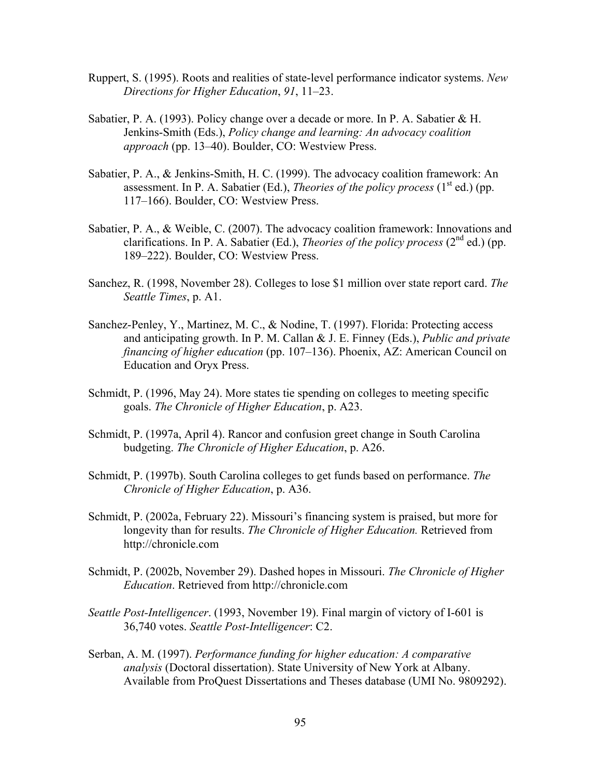- Ruppert, S. (1995). Roots and realities of state-level performance indicator systems. *New Directions for Higher Education*, *91*, 11–23.
- Sabatier, P. A. (1993). Policy change over a decade or more. In P. A. Sabatier & H. Jenkins-Smith (Eds.), *Policy change and learning: An advocacy coalition approach* (pp. 13–40). Boulder, CO: Westview Press.
- Sabatier, P. A., & Jenkins-Smith, H. C. (1999). The advocacy coalition framework: An assessment. In P. A. Sabatier (Ed.), *Theories of the policy process*  $(1<sup>st</sup> ed.)$  (pp. 117–166). Boulder, CO: Westview Press.
- Sabatier, P. A., & Weible, C. (2007). The advocacy coalition framework: Innovations and clarifications. In P. A. Sabatier (Ed.), *Theories of the policy process*  $(2^{nd}$  ed.) (pp. 189–222). Boulder, CO: Westview Press.
- Sanchez, R. (1998, November 28). Colleges to lose \$1 million over state report card. *The Seattle Times*, p. A1.
- Sanchez-Penley, Y., Martinez, M. C., & Nodine, T. (1997). Florida: Protecting access and anticipating growth. In P. M. Callan & J. E. Finney (Eds.), *Public and private financing of higher education* (pp. 107–136). Phoenix, AZ: American Council on Education and Oryx Press.
- Schmidt, P. (1996, May 24). More states tie spending on colleges to meeting specific goals. *The Chronicle of Higher Education*, p. A23.
- Schmidt, P. (1997a, April 4). Rancor and confusion greet change in South Carolina budgeting. *The Chronicle of Higher Education*, p. A26.
- Schmidt, P. (1997b). South Carolina colleges to get funds based on performance. *The Chronicle of Higher Education*, p. A36.
- Schmidt, P. (2002a, February 22). Missouri's financing system is praised, but more for longevity than for results. *The Chronicle of Higher Education.* Retrieved from http://chronicle.com
- Schmidt, P. (2002b, November 29). Dashed hopes in Missouri. *The Chronicle of Higher Education*. Retrieved from http://chronicle.com
- *Seattle Post-Intelligencer*. (1993, November 19). Final margin of victory of I-601 is 36,740 votes. *Seattle Post-Intelligencer*: C2.
- Serban, A. M. (1997). *Performance funding for higher education: A comparative analysis* (Doctoral dissertation). State University of New York at Albany. Available from ProQuest Dissertations and Theses database (UMI No. 9809292).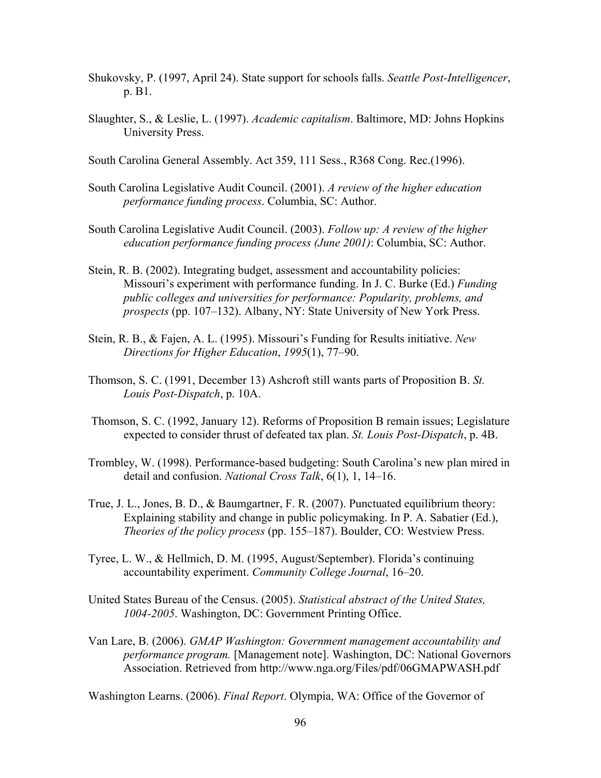- Shukovsky, P. (1997, April 24). State support for schools falls. *Seattle Post-Intelligencer*, p. B1.
- Slaughter, S., & Leslie, L. (1997). *Academic capitalism*. Baltimore, MD: Johns Hopkins University Press.
- South Carolina General Assembly. Act 359, 111 Sess., R368 Cong. Rec.(1996).
- South Carolina Legislative Audit Council. (2001). *A review of the higher education performance funding process*. Columbia, SC: Author.
- South Carolina Legislative Audit Council. (2003). *Follow up: A review of the higher education performance funding process (June 2001)*: Columbia, SC: Author.
- Stein, R. B. (2002). Integrating budget, assessment and accountability policies: Missouri's experiment with performance funding. In J. C. Burke (Ed.) *Funding public colleges and universities for performance: Popularity, problems, and prospects* (pp. 107–132). Albany, NY: State University of New York Press.
- Stein, R. B., & Fajen, A. L. (1995). Missouri's Funding for Results initiative. *New Directions for Higher Education*, *1995*(1), 77–90.
- Thomson, S. C. (1991, December 13) Ashcroft still wants parts of Proposition B. *St. Louis Post-Dispatch*, p. 10A.
- Thomson, S. C. (1992, January 12). Reforms of Proposition B remain issues; Legislature expected to consider thrust of defeated tax plan. *St. Louis Post-Dispatch*, p. 4B.
- Trombley, W. (1998). Performance-based budgeting: South Carolina's new plan mired in detail and confusion. *National Cross Talk*, 6(1), 1, 14–16.
- True, J. L., Jones, B. D., & Baumgartner, F. R. (2007). Punctuated equilibrium theory: Explaining stability and change in public policymaking. In P. A. Sabatier (Ed.), *Theories of the policy process* (pp. 155–187). Boulder, CO: Westview Press.
- Tyree, L. W., & Hellmich, D. M. (1995, August/September). Florida's continuing accountability experiment. *Community College Journal*, 16–20.
- United States Bureau of the Census. (2005). *Statistical abstract of the United States, 1004-2005*. Washington, DC: Government Printing Office.
- Van Lare, B. (2006). *GMAP Washington: Government management accountability and performance program.* [Management note]. Washington, DC: National Governors Association. Retrieved from http://www.nga.org/Files/pdf/06GMAPWASH.pdf

Washington Learns. (2006). *Final Report*. Olympia, WA: Office of the Governor of